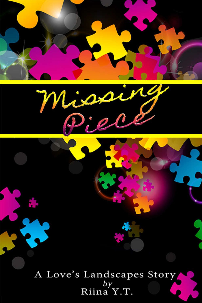



5

A Love's Landscapes Story  $\lim_{a \to 0} \frac{by}{y}$ . T.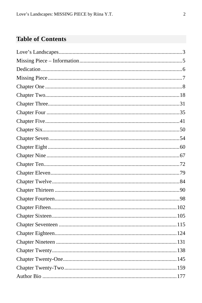# **Table of Contents**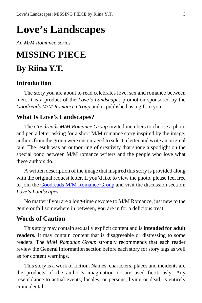# <span id="page-2-0"></span>**Love's Landscapes**

*An M/M Romance series*

# **MISSING PIECE**

# **By Riina Y.T.**

# **Introduction**

The story you are about to read celebrates love, sex and romance between men. It is a product of the *Love's Landscapes* promotion sponsored by the *Goodreads M/M Romance Group* and is published as a gift to you.

# **What Is Love's Landscapes?**

The *Goodreads M/M Romance Group* invited members to choose a photo and pen a letter asking for a short M/M romance story inspired by the image; authors from the group were encouraged to select a letter and write an original tale. The result was an outpouring of creativity that shone a spotlight on the special bond between M/M romance writers and the people who love what these authors do.

A written description of the image that inspired this story is provided along with the original request letter. If you'd like to view the photo, please feel free to join the [Goodreads M/M Romance Group](http://www.goodreads.com/group/show/20149-m-m-romance) and visit the discussion section: *Love's Landscapes*.

No matter if you are a long-time devotee to M/M Romance, just new to the genre or fall somewhere in between, you are in for a delicious treat.

## **Words of Caution**

This story may contain sexually explicit content and is **intended for adult readers.** It may contain content that is disagreeable or distressing to some readers. The *M/M Romance Group* strongly recommends that each reader review the General Information section before each story for story tags as well as for content warnings.

This story is a work of fiction. Names, characters, places and incidents are the products of the author's imagination or are used fictitiously. Any resemblance to actual events, locales, or persons, living or dead, is entirely coincidental.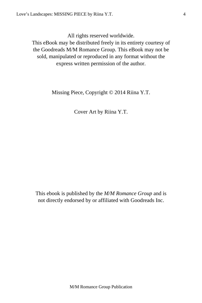All rights reserved worldwide.

This eBook may be distributed freely in its entirety courtesy of the Goodreads M/M Romance Group. This eBook may not be sold, manipulated or reproduced in any format without the express written permission of the author.

Missing Piece, Copyright © 2014 Riina Y.T.

Cover Art by Riina Y.T.

This ebook is published by the *M/M Romance Group* and is not directly endorsed by or affiliated with Goodreads Inc.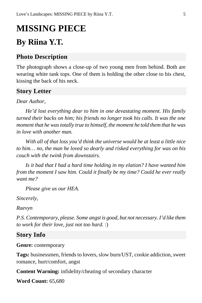# <span id="page-4-0"></span>**MISSING PIECE By Riina Y.T.**

# **Photo Description**

The photograph shows a close-up of two young men from behind. Both are wearing white tank tops. One of them is holding the other close to his chest, kissing the back of his neck.

# **Story Letter**

### *Dear Author*,

*He'd lost everything dear to him in one devastating moment. His family turned their backs on him; his friends no longer took his calls. It was the one moment that he was totally true to himself, the moment he told them that he was in love with another man.*

*With all of that loss you'd think the universe would be at least a little nice to him… no, the man he loved so dearly and risked everything for was on his couch with the twink from downstairs.*

*Is it bad that I had a hard time holding in my elation? I have wanted him from the moment I saw him. Could it finally be my time? Could he ever really want me?*

*Please give us our HEA.*

*Sincerely,*

*Raevyn*

*P.S. Contemporary, please. Some angst is good, but not necessary. I'd like them to work for their love, just not too hard.* :)

# **Story Info**

**Genre:** contemporary

**Tags:** businessmen, friends to lovers, slow burn/UST, cookie addiction, sweet romance, hurt/comfort, angst

**Content Warning:** infidelity/cheating of secondary character

**Word Count:** 65,680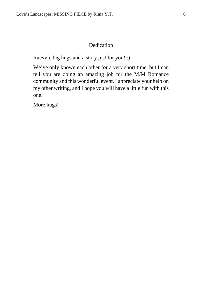# **Dedication**

<span id="page-5-0"></span>Raevyn, big hugs and a story *just* for you! :)

We've only known each other for a very short time, but I can tell you are doing an amazing job for the M/M Romance community and this wonderful event. I appreciate your help on my other writing, and I hope you will have a little fun with this one.

More hugs!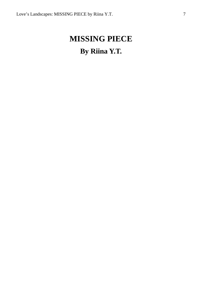# <span id="page-6-0"></span>**MISSING PIECE By Riina Y.T.**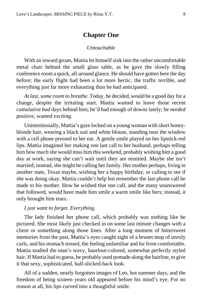# **Chapter One**

#### *Untouchable*

<span id="page-7-0"></span>With an inward groan, Mattia let himself sink into the rather uncomfortable metal chair behind the small glass table, as he gave the slowly filling conference room a quick, all-around glance. He should have gotten here the day before; the early flight had been a lot more hectic, the traffic terrible, and everything just far more exhausting than he had anticipated.

*At last, some room to breathe.* Today, he decided, would be a good day for a change, despite the irritating start. Mattia wanted to leave those recent cumulative *bad* days behind him; he'd had enough of downs lately; he *needed* positive, wanted *exciting.*

Unintentionally, Mattia's gaze locked on a young woman with short honeyblonde hair, wearing a black suit and white blouse, standing near the window with a cell phone pressed to her ear. A gentle smile played on her lipstick-red lips. Mattia imagined her making one last call to her husband, perhaps telling him how much she would miss him this weekend, probably wishing him a good day at work, saying she can't wait until they are reunited. Maybe she isn't married; instead, she might be calling her family. Her mother perhaps, living in another state, Texas maybe, wishing her a happy birthday, or calling to see if she was doing okay. Mattia couldn't help but remember the last phone call he made to his mother. How he wished that one call, and the many unanswered that followed, would have made him smile a warm smile like hers; instead, it only brought him tears.

#### *I just want to forget. Everything.*

The lady finished her phone call, which probably was nothing like he pictured. She most likely just checked in on some last minute changes with a client or something along those lines. After a long moment of bittersweet memories from the past, Mattia's eyes caught sight of a brunet mop of unruly curls, and his stomach tensed, the feeling unfamiliar and far from comfortable. Mattia studied the man's wavy, hazelnut-colored, somewhat perfectly styled hair. If Mattia had to guess, he probably used pomade along the hairline, to give it that sexy, sophisticated, half-slicked-back look.

All of a sudden, nearly forgotten images of Leo, hot summer days, and the freedom of being sixteen years old appeared before his mind's eye. For no reason at all, his lips curved into a thoughtful smile.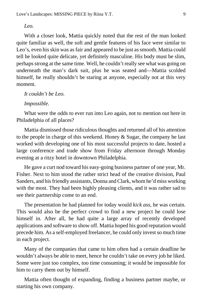#### *Leo.*

With a closer look, Mattia quickly noted that the rest of the man looked quite familiar as well, the soft and gentle features of his face were similar to Leo's, even his skin was as fair and appeared to be just as smooth. Mattia could tell he looked quite delicate, yet definitely masculine. His body must be slim, perhaps strong at the same time. Well, he couldn't really see what was going on underneath the man's dark suit, plus he was seated and—Mattia scolded himself, he really shouldn't be staring at anyone, especially not at this very moment.

#### *It couldn't be Leo.*

*Impossible.*

What were the odds to ever run into Leo again, not to mention out here in Philadelphia of all places?

Mattia dismissed those ridiculous thoughts and returned all of his attention to the people in charge of this weekend. Honey & Sugar, the company he last worked with developing one of his most successful projects to date, hosted a large conference and trade show from Friday afternoon through Monday evening at a ritzy hotel in downtown Philadelphia.

He gave a curt nod toward his easy-going business partner of one year, Mr. Fisher. Next to him stood the rather strict head of the creative division, Paul Sanders, and his friendly assistants, Donna and Clark, whom he'd miss working with the most. They had been highly pleasing clients, and it was rather sad to see their partnership come to an end.

The presentation he had planned for today would *kick ass,* he was certain. This would also be the perfect crowd to find a new project he could lose himself in. After all, he had quite a large array of recently developed applications and software to show off. Mattia hoped his good reputation would precede him. As a self-employed freelancer, he could only invest so much time in each project.

Many of the companies that came to him often had a certain deadline he wouldn't always be able to meet, hence he couldn't take on every job he liked. Some were just too complex, too time consuming; it would be impossible for him to carry them out by himself.

Mattia often thought of expanding, finding a business partner maybe, or starting his own company.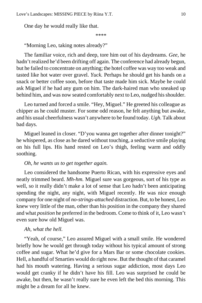One day he would really like that.

\*\*\*\*

"Morning Leo, taking notes already?"

The familiar voice, rich and deep, tore him out of his daydreams. *Gee,* he hadn't realized he'd been drifting off again. The conference had already begun, but he failed to concentrate on anything; the hotel coffee was way too weak and tasted like hot water over gravel. *Yuck.* Perhaps he should get his hands on a snack or better coffee soon, before that taste made him sick. Maybe he could ask Miguel if he had any gum on him. The dark-haired man who sneaked up behind him, and was now seated comfortably next to Leo, nudged his shoulder.

Leo turned and forced a smile. "Hey, Miguel." He greeted his colleague as chipper as he could muster. For some odd reason, he felt anything but awake, and his usual cheerfulness wasn't anywhere to be found today. *Ugh.* Talk about bad days.

Miguel leaned in closer. "D'you wanna get together after dinner tonight?" he whispered, as close as he dared without touching, a seductive smile playing on his full lips. His hand rested on Leo's thigh, feeling warm and oddly soothing.

#### *Oh, he wants us to get together again.*

Leo considered the handsome Puerto Rican, with his expressive eyes and neatly trimmed beard. *Mh-hm.* Miguel sure was gorgeous, sort of his type as well, so it really didn't make a lot of sense that Leo hadn't been anticipating spending the night, any night, with Miguel recently. He was nice enough company for one night of *no-strings-attached* distraction. But, to be honest, Leo knew very little of the man, other than his position in the company they shared and what *position* he preferred in the bedroom. Come to think of it, Leo wasn't even sure how old Miguel was.

#### *Ah, what the hell.*

"Yeah, of course," Leo assured Miguel with a small smile. He wondered briefly how he would get through today without his typical amount of strong coffee and sugar. What he'd give for a Mars Bar or some chocolate cookies. Hell, a handful of Smarties would do right now. But the thought of that caramel had his mouth watering. Having a serious sugar addiction, most days Leo would get cranky if he didn't have his fill. Leo was surprised he could be awake, but then, he wasn't really sure he even left the bed this morning. This might be a dream for all he knew.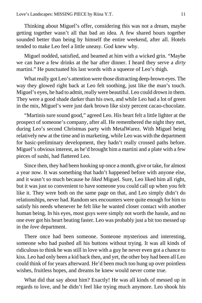Thinking about Miguel's offer, considering this was not a dream, maybe getting together wasn't all that bad an idea. A few shared hours together sounded better than being by himself the entire weekend, after all. Hotels tended to make Leo feel a little uneasy. God knew why.

Miguel nodded, satisfied, and beamed at him with a wicked grin. "Maybe we can have a few drinks at the bar after dinner. I heard they serve a *dirty* martini." He punctuated his last words with a squeeze of Leo's thigh.

What really got Leo's attention were those distracting deep-brown eyes. The way they glowed right back at Leo felt soothing, just like the man's touch. Miguel's eyes, he had to admit, really were beautiful. Leo could drown in them. They were a good shade darker than his own, and while Leo had a lot of green in the mix, Miguel's were just dark brown like sixty percent cacao-chocolate.

"Martinis sure sound good," agreed Leo. His heart felt a little lighter at the prospect of someone's company, after all. He remembered the night they met, during Leo's second Christmas party with MetalWarez. With Miguel being relatively new at the time and in marketing, while Leo was with the department for basic-preliminary development, they hadn't really crossed paths before. Miguel's obvious interest, as he'd brought him a martini and a plate with a few pieces of sushi, had flattered Leo.

Since then, they had been hooking up once a month, give or take, for almost a year now. It was something that hadn't happened before with anyone else, and it wasn't so much because he *liked* Miguel. Sure, Leo liked him all right, but it was just so convenient to have someone you could call up when you felt like it. They were both on the same page on that, and Leo simply didn't do relationships, never had. Random sex encounters were quite enough for him to satisfy his needs whenever he felt like he wanted closer contact with another human being. In his eyes, most guys were simply not worth the hassle, and no one ever got his heart beating faster. Leo was probably just a bit too messed up in the *love* department.

There once had been someone. Someone mysterious and interesting, someone who had pushed all his buttons without trying. It was all kinds of ridiculous to think he was still in love with a guy he never even got a chance to kiss. Leo had only been a kid back then, and yet, the other boy had been all Leo could think of for years afterward. He'd been much too hung up over pointless wishes, fruitless hopes, and dreams he knew would never come true.

What did that say about him? Exactly! He was all kinds of messed up in regards to love, and he didn't feel like trying much anymore. Leo shook his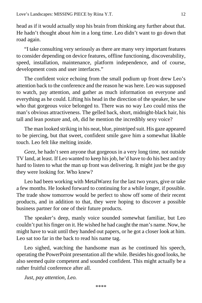head as if it would actually stop his brain from thinking any further about that. He hadn't thought about *him* in a long time. Leo didn't want to go down that road again.

"I take consulting very seriously as there are many very important features to consider depending on device features, offline functioning, discoverability, speed, installation, maintenance, platform independence, and of course, development costs and user interfaces."

The confident voice echoing from the small podium up front drew Leo's attention back to the conference and the reason he was here. Leo was supposed to watch, pay attention, and gather as much information on everyone and everything as he could. Lifting his head in the direction of the speaker, he saw who that gorgeous voice belonged to. There was no way Leo could miss the man's obvious attractiveness. The gelled back, short, midnight-black hair, his tall and lean posture and, *oh,* did he mention the incredibly sexy voice?

The man looked striking in his neat, blue, pinstriped suit. His gaze appeared to be piercing, but that sweet, confident smile gave him a somewhat likable touch. Leo felt like melting inside.

*Geez,* he hadn't seen anyone that gorgeous in a very long time, not outside TV land, at least. If Leo wanted to keep his job, he'd have to do his best and try hard to listen to what the man up front was delivering. It might just be the guy they were looking for. Who knew?

Leo had been working with MetalWarez for the last two years, give or take a few months. He looked forward to continuing for a while longer, if possible. The trade show tomorrow would be perfect to show off some of their recent products, and in addition to that, they were hoping to discover a possible business partner for one of their future products.

The speaker's deep, manly voice sounded somewhat familiar, but Leo couldn't put his finger on it. He wished he had caught the man's name. Now, he might have to wait until they handed out papers, or he got a closer look at him. Leo sat too far in the back to read his name tag.

Leo sighed, watching the handsome man as he continued his speech, operating the PowerPoint presentation all the while. Besides his good looks, he also seemed quite competent and sounded confident. This might actually be a rather fruitful conference after all.

*Just, pay attention, Leo.*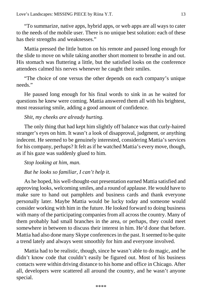"To summarize, native apps, hybrid apps, or web apps are all ways to cater to the needs of the mobile user. There is no unique best solution: each of these has their strengths and weaknesses."

Mattia pressed the little button on his remote and paused long enough for the slide to move on while taking another short moment to breathe in and out. His stomach was fluttering a little, but the satisfied looks on the conference attendees calmed his nerves whenever he caught their smiles.

"The choice of one versus the other depends on each company's unique needs."

He paused long enough for his final words to sink in as he waited for questions he knew were coming. Mattia answered them all with his brightest, most reassuring smile, adding a good amount of confidence.

#### *Shit, my cheeks are already hurting.*

The only thing that had kept him slightly off balance was that curly-haired stranger's eyes on him. It wasn't a look of disapproval, judgment, or anything indecent. He seemed to be genuinely interested, considering Mattia's services for his company, perhaps? It felt as if he watched Mattia's every move, though, as if his gaze was suddenly glued to him.

#### *Stop looking at him, man.*

#### *But he looks so familiar, I can't help it.*

As he hoped, his well-thought-out presentation earned Mattia satisfied and approving looks, welcoming smiles, and a round of applause. He would have to make sure to hand out pamphlets and business cards and thank everyone personally later. Maybe Mattia would be lucky today and someone would consider working with him in the future. He looked forward to doing business with many of the participating companies from all across the country. Many of them probably had small branches in the area, or perhaps, they could meet somewhere in between to discuss their interest in him. He'd done that before. Mattia had also done many Skype conferences in the past. It seemed to be quite a trend lately and always went smoothly for him and everyone involved.

Mattia had to be realistic, though, since he wasn't able to do magic, and he didn't know code that couldn't easily be figured out. Most of his business contacts were within driving distance to his home and office in Chicago. After all, developers were scattered all around the country, and he wasn't anyone special.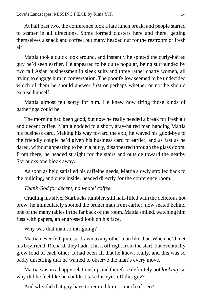At half past two, the conference took a late lunch break, and people started to scatter in all directions. Some formed clusters here and there, getting themselves a snack and coffee, but many headed out for the restroom or fresh air.

Mattia took a quick look around, and instantly he spotted the curly-haired guy he'd seen earlier. He appeared to be quite popular, being surrounded by two tall Asian businessmen in sleek suits and three rather chatty women, all trying to engage him in conversation. The poor fellow seemed to be undecided which of them he should answer first or perhaps whether or not he should excuse himself.

Mattia almost felt sorry for him. He knew how tiring those kinds of gatherings could be.

The morning had been good, but now he really needed a break for fresh air and decent coffee. Mattia nodded to a short, gray-haired man handing Mattia his business card. Making his way toward the exit, he waved his good-bye to the friendly couple he'd given his business card to earlier, and as fast as he dared, without appearing to be in a hurry, disappeared through the glass doors. From there, he headed straight for the stairs and outside toward the nearby Starbucks one block away.

As soon as he'd satisfied his caffeine needs, Mattia slowly strolled back to the building, and once inside, headed directly for the conference room.

#### *Thank God for decent, non-hotel coffee.*

Cradling his silver Starbucks tumbler, still half-filled with the delicious hot brew, he immediately spotted the brunet man from earlier, now seated behind one of the many tables in the far back of the room. Mattia smiled, watching him fuss with papers, an engrossed look on his face.

Why was that man so intriguing?

Mattia never felt quite so drawn to any other man like that. When he'd met his boyfriend, Richard, they hadn't hit it off right from the start, but eventually grew fond of each other. It had been all that he knew, really, and this was so badly unsettling that he wanted to observe the man's every move.

Mattia was in a happy relationship and therefore definitely not *looking*, so why did he feel like he couldn't take his eyes off this guy?

And why did that guy have to remind him so much of Leo?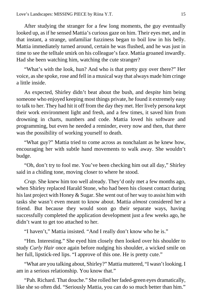After studying the stranger for a few long moments, the guy eventually looked up, as if he sensed Mattia's curious gaze on him. Their eyes met, and in that instant, a strange, unfamiliar fuzziness began to boil low in his belly. Mattia immediately turned around, certain he was flushed, and he was just in time to see the telltale smirk on his colleague's face. Mattia groaned inwardly. Had she been watching him, watching the cute stranger?

"What's with the look, hun? And who is that pretty guy over there?" Her voice, as she spoke, rose and fell in a musical way that always made him cringe a little inside.

As expected, Shirley didn't beat about the bush, and despite him being someone who enjoyed keeping most things private, he found it extremely easy to talk to her. They had hit it off from the day they met. Her lively persona kept their work environment light and fresh, and a few times, it saved him from drowning in charts, numbers and code. Mattia loved his software and programming, but even he needed a reminder, every now and then, that there was the possibility of working yourself to death.

"What guy?" Mattia tried to come across as nonchalant as he knew how, encouraging her with subtle hand movements to walk away. She wouldn't budge.

"Oh, don't try to fool me. You've been checking him out all day," Shirley said in a chiding tone, moving closer to where he stood.

*Crap.* She knew him too well already. They'd only met a few months ago, when Shirley replaced Harald Stone, who had been his closest contact during his last project with Honey & Sugar. She went out of her way to assist him with tasks she wasn't even meant to know about. Mattia *almost* considered her a friend. But because they would soon go their separate ways, having successfully completed the application development just a few weeks ago, he didn't want to get too attached to her.

"I haven't," Mattia insisted. "And I really don't know who he is."

"Hm. Interesting." She eyed him closely then looked over his shoulder to study *Curly Hair* once again before nudging his shoulder, a wicked smile on her full, lipstick-red lips. "I approve of this one. He is pretty cute."

"What are you talking about, Shirley?" Mattia muttered, "I wasn't looking. I am in a serious relationship. You know that."

"Pah. Richard. That douche." She rolled her faded-green eyes dramatically, like she so often did. "Seriously Mattia, you can do so much better than him."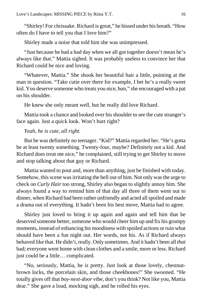"Shirley! For chrissake. Richard is great," he hissed under his breath. "How often do I have to tell you that I love him?"

Shirley made a noise that told him she was unimpressed.

"Just because he had a bad day when we all got together doesn't mean he's always like that." Mattia sighed. It was probably useless to convince her that Richard could be nice and loving.

"Whatever, Mattia." She shook her beautiful hair a little, pointing at the man in question. "Take cutie over there for example, I bet he's a really sweet kid. You deserve someone who treats you nice, hun," she encouraged with a pat on his shoulder.

He knew she only meant well, but he really did love Richard.

Mattia took a chance and looked over his shoulder to see the cute stranger's face again. Just a quick look. Won't hurt right?

#### *Yeah, he is cute, all right.*

But he was definitely no teenager. "Kid?" Mattia regarded her. "He's gotta be at least twenty something. Twenty-four, maybe? Definitely not a kid. And Richard does treat me nice," he complained, still trying to get Shirley to move and stop talking about that guy or Richard.

Mattia wanted to pout and, more than anything, just be finished with today. Somehow, this scene was irritating the hell out of him. Not only was the urge to check on *Curly Hair* too strong, Shirley also began to slightly annoy him. She always found a way to remind him of that day all three of them went out to dinner, when Richard had been rather unfriendly and acted all spoiled and made a drama out of everything. It hadn't been his best move, Mattia had to agree.

Shirley just loved to bring it up again and again and tell him that he deserved someone better, someone who would cheer him up and fix his grumpy moments, instead of enhancing his moodiness with spoiled actions or ruin what should have been a fun night out. Her words, not his. As if Richard always behaved like that. He didn't, really. Only sometimes. And it hadn't been all *that* bad; everyone went home with clean clothes and a smile, more or less. Richard just could be a little… complicated.

"No, seriously, Mattia, he *is* pretty. Just look at those lovely, chestnutbrown locks, the porcelain skin, and those cheekbones!" She swooned. "He totally gives off that *boy-next-door* vibe, don't you think? Not like you, Mattia dear." She gave a loud, mocking sigh, and he rolled his eyes.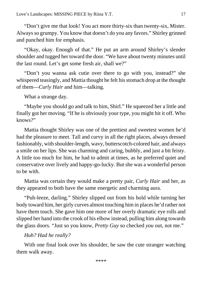"Don't give me that look! You act more thirty-six than twenty-six, Mister. Always so grumpy. You know that doesn't do you any favors." Shirley grinned and punched him for emphasis.

"Okay, okay. Enough of that." He put an arm around Shirley's slender shoulder and tugged her toward the door. "We have about twenty minutes until the last round. Let's get some fresh air, shall we?"

"Don't you wanna ask cutie over there to go with you, instead?" she whispered teasingly, and Mattia thought he felt his stomach drop at the thought of them—*Curly Hair* and him—talking.

What a strange day.

"Maybe you should go and talk to him, Shirl." He squeezed her a little and finally got her moving. "If he is obviously your type, you might hit it off. Who knows?"

Mattia thought Shirley was one of the prettiest and sweetest women he'd had the pleasure to meet. Tall and curvy in all the right places, always dressed fashionably, with shoulder-length, wavy, butterscotch-colored hair, and always a smile on her lips. She was charming and caring, bubbly, and just a bit feisty. A little too much for him, he had to admit at times, as he preferred quiet and conservative over lively and happy-go-lucky. But she was a wonderful person to be with.

Mattia was certain they would make a pretty pair, *Curly Hair* and her, as they appeared to both have the same energetic and charming aura.

"Puh-leeze, darling." Shirley slipped out from his hold while turning her body toward him, her girly curves almost touching him in places he'd rather not have them touch. She gave him one more of her overly dramatic eye rolls and slipped her hand into the crook of his elbow instead, pulling him along towards the glass doors. "Just so you know, *Pretty Guy* so checked *you* out, not me."

#### *Huh? Had he really?*

With one final look over his shoulder, he saw the cute stranger watching them walk away.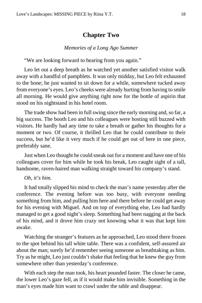# **Chapter Two**

#### *Memories of a Long Ago Summer*

<span id="page-17-0"></span>"We are looking forward to hearing from you again."

Leo let out a deep breath as he watched yet another satisfied visitor walk away with a handful of pamphlets. It was only midday, but Leo felt exhausted to the bone; he just wanted to sit down for a while, somewhere tucked away from everyone's eyes. Leo's cheeks were already hurting from having to smile all morning. He would give anything right now for the bottle of aspirin that stood on his nightstand in his hotel room.

The trade show had been in full swing since the early morning and, so far, a big success. The booth Leo and his colleagues were hosting still buzzed with visitors. He hardly had any time to take a breath or gather his thoughts for a moment or two. Of course, it thrilled Leo that he could contribute to their success, but he'd like it very much if he could get out of here in one piece, preferably sane.

Just when Leo thought he could sneak out for a moment and have one of his colleagues cover for him while he took his break, Leo caught sight of a tall, handsome, raven-haired man walking straight toward his company's stand.

#### *Oh, it's him.*

It had totally slipped his mind to check the man's name yesterday after the conference. The evening before was too busy, with everyone needing something from him, and pulling him here and there before he could get away for his evening with Miguel. And on top of everything else, Leo had hardly managed to get a good night's sleep. Something had been nagging at the back of his mind, and it drove him crazy not knowing what it was that kept him awake.

Watching the stranger's features as he approached, Leo stood there frozen to the spot behind his tall white table. There was a confident, self-assured air about the man; surely he'd remember seeing someone as breathtaking as him. Try as he might, Leo just couldn't shake that feeling that he knew the guy from somewhere other than yesterday's conference.

With each step the man took, his heart pounded faster. The closer he came, the lower Leo's gaze fell, as if it would make him invisible. Something in the man's eyes made him want to crawl under the table and disappear.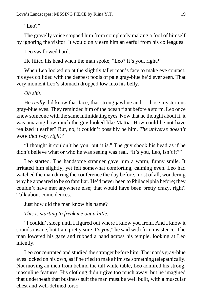"Leo?"

The gravelly voice stopped him from completely making a fool of himself by ignoring the visitor. It would only earn him an earful from his colleagues.

Leo swallowed hard.

He lifted his head when the man spoke, "Leo? It's you, right?"

When Leo looked up at the slightly taller man's face to make eye contact, his eyes collided with the deepest pools of pale gray-blue he'd ever seen. That very moment Leo's stomach dropped low into his belly.

#### *Oh shit.*

He *really* did know that face, that strong jawline and… those mysterious gray-blue eyes. They reminded him of the ocean right before a storm. Leo once knew someone with the same intimidating eyes. Now that he thought about it, it was amazing how much the guy looked like Mattia. How could he not have realized it earlier? But, no, it couldn't possibly be him. *The universe doesn't work that way, right?*

"I thought it couldn't be you, but it is." The guy shook his head as if he didn't believe what or who he was seeing was real. "It's you, Leo, isn't it?"

Leo started. The handsome stranger gave him a warm, funny smile. It irritated him slightly, yet felt somewhat comforting, calming even. Leo had watched the man during the conference the day before, most of all, wondering why he appeared to be so familiar. He'd never been to Philadelphia before; they couldn't have met anywhere else; that would have been pretty crazy, right? Talk about coincidences.

Just how did the man know his name?

*This is starting to freak me out a little.*

"I couldn't sleep until I figured out where I know you from. And I know it sounds insane, but I am pretty sure it's *you,*" he said with firm insistence. The man lowered his gaze and rubbed a hand across his temple, looking at Leo intently.

Leo concentrated and studied the stranger before him. The man's gray-blue eyes locked on his own, as if he tried to make him *see* something telepathically. Not moving an inch from behind the tall white table, Leo admired his strong, masculine features. His clothing didn't give too much away, but he imagined that underneath that business suit the man must be well built, with a muscular chest and well-defined torso.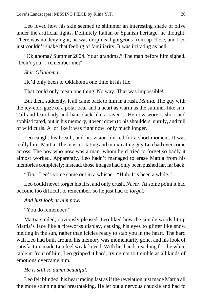Leo loved how his skin seemed to shimmer an interesting shade of olive under the artificial lights. Definitely Italian or Spanish heritage, he thought. There was no denying it, he was drop-dead gorgeous from up-close, and Leo just couldn't shake that feeling of familiarity. It was irritating as hell.

"Oklahoma? Summer 2004. Your grandma." The man before him sighed. "Don't you… remember me?"

#### *Shit. Oklahoma.*

He'd only been to Oklahoma one time in his life.

That could only mean one thing. No way. That was impossible!

But then, suddenly, it all came back to him in a rush. *Mattia.* The guy with the icy-cold gaze of a polar bear and a heart as warm as the summer-like sun. Tall and lean body and hair black like a raven's. He now wore it short and sophisticated, but in his memory, it went down to his shoulders, unruly, and full of wild curls. A lot like it was right now, only much longer.

Leo caught his breath, and his vision blurred for a short moment. It was really him. Mattia. The most irritating and intoxicating guy Leo had ever come across. The boy who now was a man, whom he'd tried to forget so badly it almost worked. Apparently, Leo hadn't managed to erase Mattia from his memories completely; instead, those images had only been pushed far, far back.

"Tia." Leo's voice came out in a whisper. "Huh. It's been a while."

Leo could never forget his first and only crush. *Never.* At some point it had become too difficult to remember, so he just had to *forget*.

*And just look at him now!*

"You do remember."

Mattia smiled, obviously pleased. Leo liked how the simple words lit up Mattia's face like a fireworks display, causing his eyes to glitter like snow melting in the sun, rather than icicles ready to stab you in the heart. The hard wall Leo had built around his memory was momentarily gone, and his look of satisfaction made Leo feel weak-kneed. With his hands reaching for the white table in front of him, Leo gripped it hard, trying not to tremble as all kinds of emotions overcame him.

#### *He is still so damn beautiful.*

Leo felt blinded, his heart racing fast as if the revelation just made Mattia all the more stunning and breathtaking. He let out a nervous chuckle and had to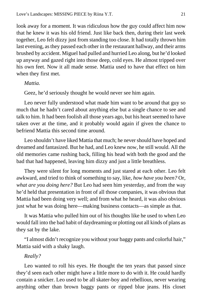look away for a moment. It was ridiculous how the guy could affect him now that he knew it was his old friend. Just like back then, during their last week together, Leo felt dizzy just from standing too close. It had totally thrown him last evening, as they passed each other in the restaurant hallway, and their arms brushed by accident. Miguel had pulled and hurried Leo along, but he'd looked up anyway and gazed right into those deep, cold eyes. He almost tripped over his own feet. Now it all made sense. Mattia used to have that effect on him when they first met.

#### *Mattia.*

Geez, he'd seriously thought he would never see him again.

Leo never fully understood what made him want to be around that guy so much that he hadn't cared about anything else but a single chance to see and talk to him. It had been foolish all those years ago, but his heart seemed to have taken over at the time, and it probably would again if given the chance to befriend Mattia this second time around.

Leo shouldn't have liked Mattia that much; he never should have hoped and dreamed and fantasized. But he had, and Leo knew now, he still would. All the old memories came rushing back, filling his head with both the good and the bad that had happened, leaving him dizzy and just a little breathless.

They were silent for long moments and just stared at each other. Leo felt awkward, and tried to think of something to say, like, *how have you been?* Or, *what are you doing here?* But Leo had seen him yesterday, and from the way he'd held that presentation in front of all those companies, it was obvious that Mattia had been doing very well; and from what he heard, it was also obvious just what he was doing here—making business contacts—as simple as that.

It was Mattia who pulled him out of his thoughts like he used to when Leo would fall into the bad habit of daydreaming or plotting out all kinds of plans as they sat by the lake.

"I almost didn't recognize you without your baggy pants and colorful hair," Mattia said with a shaky laugh.

#### *Really?*

Leo wanted to roll his eyes. He thought the ten years that passed since they'd seen each other might have a little more to do with it. He could hardly contain a snicker. Leo used to be all skater-boy and rebellious, never wearing anything other than brown baggy pants or ripped blue jeans. His closet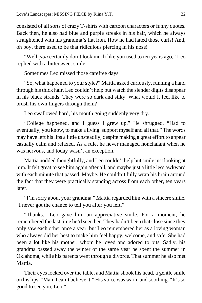consisted of all sorts of crazy T-shirts with cartoon characters or funny quotes. Back then, he also had blue and purple streaks in his hair, which he always straightened with his grandma's flat iron. How he had hated those curls! And, oh boy, there used to be that ridiculous piercing in his nose!

"Well, *you* certainly don't look much like you used to ten years ago," Leo replied with a bittersweet smile.

Sometimes Leo missed those carefree days.

"So, what happened to your style?" Mattia asked curiously, running a hand through his thick hair. Leo couldn't help but watch the slender digits disappear in his black strands. They were so dark and silky. What would it feel like to brush his own fingers through them?

Leo swallowed hard, his mouth going suddenly very dry.

"College happened, and I guess I grew up." He shrugged. "Had to eventually, you know, to make a living, support myself and all that." The words may have left his lips a little unsteadily, despite making a great effort to appear casually calm and relaxed. As a rule, he never managed nonchalant when he was nervous, and today wasn't an exception.

Mattia nodded thoughtfully, and Leo couldn't help but smile just looking at him. It felt great to see him again after all, and maybe just a little less awkward with each minute that passed. Maybe. He couldn't fully wrap his brain around the fact that they were practically standing across from each other, ten years later.

"I'm sorry about your grandma." Mattia regarded him with a sincere smile. "I never got the chance to tell you after you left."

"Thanks." Leo gave him an appreciative smile. For a moment, he remembered the last time he'd seen her. They hadn't been that close since they only saw each other once a year, but Leo remembered her as a loving woman who always did her best to make him feel happy, welcome, and safe. She had been a lot like his mother, whom he loved and adored to bits. Sadly, his grandma passed away the winter of the same year he spent the summer in Oklahoma, while his parents went through a divorce. That summer he also met Mattia.

Their eyes locked over the table, and Mattia shook his head, a gentle smile on his lips. "Man, I can't believe it." His voice was warm and soothing. "It's so good to see you, Leo."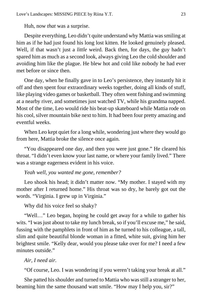Huh, now *that* was a surprise.

Despite everything, Leo didn't quite understand why Mattia was smiling at him as if he had just found his long lost kitten. He looked genuinely pleased. Well, if that wasn't just a *little* weird. Back then, for days, the guy hadn't spared him as much as a second look, always giving Leo the cold shoulder and avoiding him like the plague. He blew hot and cold like nobody he had ever met before or since then.

One day, when he finally gave in to Leo's persistence, they instantly hit it off and then spent four extraordinary weeks together, doing all kinds of stuff, like playing video games or basketball. They often went fishing and swimming at a nearby river, and sometimes just watched TV, while his grandma napped. Most of the time, Leo would ride his beat-up skateboard while Mattia rode on his cool, silver mountain bike next to him. It had been four pretty amazing and eventful weeks.

When Leo kept quiet for a long while, wondering just where they would go from here, Mattia broke the silence once again.

"You disappeared one day, and then you were just gone." He cleared his throat. "I didn't even know your last name, or where your family lived." There was a strange eagerness evident in his voice.

*Yeah well, you wanted me gone, remember?*

Leo shook his head; it didn't matter now. "My mother. I stayed with my mother after I returned home." His throat was so dry, he barely got out the words. "Virginia. I grew up in Virginia."

Why did his voice feel so shaky?

"Well…" Leo began, hoping he could get away for a while to gather his wits. "I was just about to take my lunch break, so if you'll excuse me," he said, fussing with the pamphlets in front of him as he turned to his colleague, a tall, slim and quite beautiful blonde woman in a fitted, white suit, giving him her brightest smile. "Kelly dear, would you please take over for me? I need a few minutes outside."

#### *Air, I need air.*

"Of course, Leo. I was wondering if you weren't taking your break at all."

She patted his shoulder and turned to Mattia who was still a stranger to her, beaming him the same thousand watt smile. "How may I help you, sir?"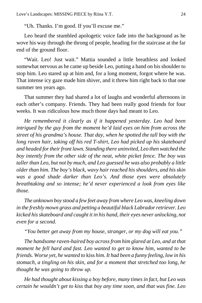"Uh. Thanks. I'm good. If you'll excuse me."

Leo heard the stumbled apologetic voice fade into the background as he wove his way through the throng of people, heading for the staircase at the far end of the ground floor.

"Wait. Leo! Just wait." Mattia sounded a little breathless and looked somewhat nervous as he came up beside Leo, putting a hand on his shoulder to stop him. Leo stared up at him and, for a long moment, forgot where he was. That intense icy gaze made him shiver, and it threw him right back to that one summer ten years ago.

That summer they had shared a lot of laughs and wonderful afternoons in each other's company. Friends. They had been really good friends for four weeks. It was ridiculous how much those days had meant to Leo.

*He remembered it clearly as if it happened yesterday. Leo had been intrigued by the guy from the moment he'd laid eyes on him from across the street of his grandma's house. That day, when he spotted the tall boy with the long raven hair, taking off his red T-shirt, Leo had picked up his skateboard and headed for their front lawn. Standing there uninvited, Leo then watched the boy intently from the other side of the neat, white picket fence. The boy was taller than Leo, but not by much, and Leo guessed he was also probably a little older than him. The boy's black, wavy hair reached his shoulders, and his skin was a good shade darker than Leo's. And those eyes were absolutely breathtaking and so intense; he'd never experienced a look from eyes like those.*

*The unknown boy stood a few feet away from where Leo was, kneeling down in the freshly mown grass and petting a beautiful black Labrador retriever. Leo kicked his skateboard and caught it in his hand, their eyes never unlocking, not even for a second.*

*"You better get away from my house, stranger, or my dog will eat you."*

*The handsome raven-haired boy across from him glared at Leo, and at that moment he fell hard and fast. Leo wanted to get to know him, wanted to be friends. Worse yet, he wanted to* kiss *him. It had been a funny feeling, low in his stomach, a tingling on his skin, and for a moment that stretched too long, he thought he was going to throw up.*

*He had thought about kissing a boy before, many times in fact, but Leo was certain he wouldn't get to kiss* that *boy any time soon, and that was fine. Leo*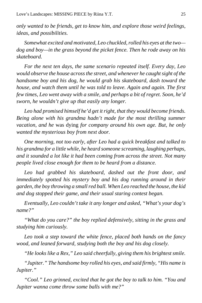*only wanted to be friends, get to know him, and explore those weird feelings, ideas, and possibilities.*

*Somewhat excited and motivated, Leo chuckled, rolled his eyes at the two dog and boy—in the grass beyond the picket fence. Then he rode away on his skateboard.*

*For the next ten days, the same scenario repeated itself. Every day, Leo would observe the house across the street, and whenever he caught sight of the handsome boy and his dog, he would grab his skateboard, dash toward the house, and watch them until he was told to leave. Again and again. The first few times, Leo went away with a smile, and perhaps a bit of regret. Soon, he'd sworn, he wouldn't give up that easily any longer.*

*Leo had promised himself he'd get it right, that they would become friends. Being alone with his grandma hadn't made for the most thrilling summer vacation, and he* was dying *for company around his own age. But, he only wanted the mysterious boy from next door.*

*One morning, not too early, after Leo had a quick breakfast and talked to his grandma for a little while, he heard someone screaming, laughing perhaps, and it sounded a lot like it had been coming from across the street. Not many people lived close enough for them to be heard from a distance.*

*Leo had grabbed his skateboard, dashed out the front door, and immediately spotted his mystery boy and his dog running around in their garden, the boy throwing a small red ball. When Leo reached the house, the kid and dog stopped their game, and their usual staring contest began.*

*Eventually, Leo couldn't take it any longer and asked, "What's your dog's name?"*

*"What do you care?" the boy replied defensively, sitting in the grass and studying him curiously.*

*Leo took a step toward the white fence, placed both hands on the fancy wood, and leaned forward, studying both the boy and his dog closely.*

*"He looks like a Rex," Leo said cheerfully, giving them his brightest smile.*

*"Jupiter." The handsome boy rolled his eyes, and said firmly, "His name is Jupiter."*

*"Cool." Leo grinned, excited that he got the boy to talk to him. "You and Jupiter wanna come throw some balls with me?"*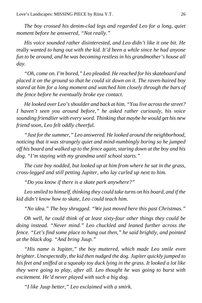*The boy crossed his denim-clad legs and regarded Leo for a long, quiet moment before he answered, "Not really."*

*His voice sounded rather disinterested, and Leo didn't like it one bit. He*  really *wanted to hang out with the kid. It'd been a while since he had anyone fun to be around, and he was becoming restless in his grandmother's house all day.*

*"Oh, come on. I'm bored," Leo pleaded. He reached for his skateboard and placed it on the ground so that he could sit down on it. The raven-haired boy stared at him for a long moment and watched him closely through the bars of the fence before he eventually broke eye contact.*

*He looked over Leo's shoulder and back at him. "You live across the street? I haven't seen you around before," he asked rather curiously, his voice sounding friendlier with every word. Thinking that maybe he would get his new friend soon, Leo felt oddly cheerful.*

*"Just for the summer," Leo answered. He looked around the neighborhood, noticing that it was strangely quiet and mind-numbingly boring so he jumped off his board and walked up to the fence again, staring down at the boy and his dog. "I'm staying with my grandma until school starts."*

*The cute boy nodded, but looked up at him from where he sat in the grass, cross-legged and still petting Jupiter, who lay curled up next to him.*

*"Do you know if there is a skate park anywhere?"*

*Leo smiled to himself, thinking they could take turns on his board, and if the kid didn't know how to skate, Leo could teach him.*

*"No idea." The boy shrugged. "We just moved here this past Christmas."*

*Oh well, he could think of at least sixty-four other things they could be doing instead. "Never mind." Leo chuckled and leaned further across the fence. "Let's find some place to hang out then," he said brightly, and pointed at the black dog. "And bring Juup."*

*"His name is* Jupiter*," the boy muttered, which made Leo smile even brighter. Unexpectedly, the kid then nudged the dog. Jupiter quickly jumped to his feet and sniffed at a squeaky toy duck lying in the grass. It looked a lot like they were going to play, after all. Leo thought he was going to burst with excitement. He'd never played with such a big dog.*

*"I like Juup better," Leo exclaimed with a smirk.*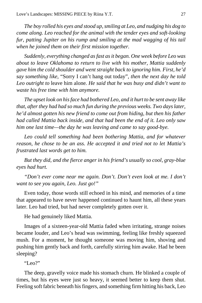*The boy rolled his eyes and stood up, smiling at Leo, and nudging his dog to come along. Leo reached for the animal with the tender eyes and soft-looking fur, patting Jupiter on his rump and smiling at the mad wagging of his tail when he joined them on their first mission together.*

*Suddenly, everything changed as fast as it began. One week before Leo was about to leave Oklahoma to return to live with his mother, Mattia suddenly gave him the cold shoulder and went straight back to ignoring him. First, he'd say something like,* "Sorry I can't hang out today"*, then the next day he told Leo outright to* leave him alone*. He said that he was busy and didn't want to waste his free time with him anymore.*

*The upset look on his face had bothered Leo, and it hurt to be sent away like that, after they had had so much fun during the previous weeks. Two days later, he'd almost gotten his new friend to come out from hiding, but then his father had called Mattia back inside, and that had been the end of it. Leo only saw him one last time—the day he was leaving and came to say good-bye.*

*Leo could tell something had been bothering Mattia, and for whatever reason, he chose to be an ass. He accepted it and tried not to let Mattia's frustrated last words get to him.*

*But they did, and the fierce anger in his friend's usually so cool, gray-blue eyes had hurt.*

*"Don't ever come near me again. Don't. Don't even look at me. I don't want to see you again, Leo. Just go!"*

Even today, those words still echoed in his mind, and memories of a time that appeared to have never happened continued to haunt him, all these years later. Leo had tried, but had never completely gotten over it.

He had genuinely liked Mattia.

Images of a sixteen-year-old Mattia faded when irritating, strange noises became louder, and Leo's head was swimming, feeling like freshly squeezed mush. For a moment, he thought someone was moving him, shoving and pushing him gently back and forth, carefully stirring him awake. Had he been sleeping?

"Leo?"

The deep, gravelly voice made his stomach churn. He blinked a couple of times, but his eyes were just so heavy, it seemed better to keep them shut. Feeling soft fabric beneath his fingers, and something firm hitting his back, Leo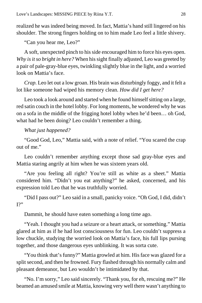realized he was indeed being moved. In fact, Mattia's hand still lingered on his shoulder. The strong fingers holding on to him made Leo feel a little shivery.

"Can you hear me, Leo?"

A soft, unexpected pinch to his side encouraged him to force his eyes open. *Why is it so bright in here?* When his sight finally adjusted, Leo was greeted by a pair of pale-gray-blue eyes, twinkling slightly blue in the light, and a worried look on Mattia's face.

*Crap.* Leo let out a low groan. His brain was disturbingly foggy, and it felt a lot like someone had wiped his memory clean. *How did I get here?*

Leo took a look around and started when he found himself sitting on a large, red satin couch in the hotel lobby. For long moments, he wondered why he was on a sofa in the middle of the frigging hotel lobby when he'd been… oh God, what had he been doing? Leo couldn't remember a thing.

# *What just happened?*

"Good God, Leo," Mattia said, with a note of relief. "You scared the crap out of me."

Leo couldn't remember anything except those sad gray-blue eyes and Mattia staring angrily at him when he was sixteen years old.

"Are you feeling all right? You're still as white as a sheet." Mattia considered him. "Didn't you eat anything?" he asked, concerned, and his expression told Leo that he was truthfully worried.

"Did I pass out?" Leo said in a small, panicky voice. "Oh God, I did, didn't  $I$ ?"

Dammit, he should have eaten something a long time ago.

"Yeah. I thought you had a seizure or a heart attack, or something." Mattia glared at him as if he had lost consciousness for fun. Leo couldn't suppress a low chuckle, studying the worried look on Mattia's face, his full lips pursing together, and those dangerous eyes unblinking. It was sorta cute.

"You think that's funny?" Mattia growled at him. His face was glazed for a split second, and then he frowned. Fury flashed through his normally calm and pleasant demeanor, but Leo wouldn't be intimidated by that.

"No. I'm sorry," Leo said sincerely. "Thank you, for eh, rescuing me?" He beamed an amused smile at Mattia, knowing very well there wasn't anything to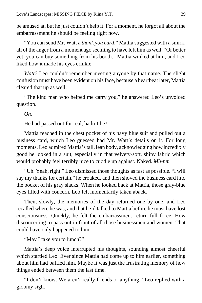be amused at, but he just couldn't help it. For a moment, he forgot all about the embarrassment he should be feeling right now.

"You can send Mr. Watt a *thank you card*," Mattia suggested with a smirk, all of the anger from a moment ago seeming to have left him as well. "Or better yet, you can buy something from his booth." Mattia winked at him, and Leo liked how it made his eyes crinkle.

*Watt?* Leo couldn't remember meeting anyone by that name. The slight confusion must have been evident on his face, because a heartbeat later, Mattia cleared that up as well.

"The kind man who helped me carry you," he answered Leo's unvoiced question.

*Oh.*

He had passed out for real, hadn't he?

Mattia reached in the chest pocket of his navy blue suit and pulled out a business card, which Leo guessed had Mr. Watt's details on it. For long moments, Leo admired Mattia's tall, lean body, acknowledging how incredibly good he looked in a suit, especially in that velvety-soft, shiny fabric which would probably feel terribly nice to cuddle up against. Naked. *Mh-hm.*

"Uh. Yeah, right." Leo dismissed those thoughts as fast as possible. "I will say my thanks for certain," he croaked, and then shoved the business card into the pocket of his gray slacks. When he looked back at Mattia, those gray-blue eyes filled with concern, Leo felt momentarily taken aback.

Then, slowly, the memories of the day returned one by one, and Leo recalled where he was, and that he'd talked to Mattia before he must have lost consciousness. Quickly, he felt the embarrassment return full force. How disconcerting to pass out in front of all those businessmen and women. That could have only happened to him.

"May I take you to lunch?"

Mattia's deep voice interrupted his thoughts, sounding almost cheerful which startled Leo. Ever since Mattia had come up to him earlier, something about him had baffled him. Maybe it was just the frustrating memory of how things ended between them the last time.

"I don't know. We aren't really friends or anything," Leo replied with a gloomy sigh.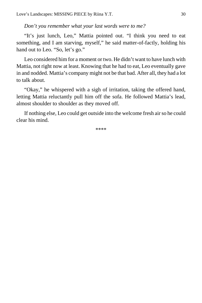*Don't you remember what your last words were to me?*

"It's just lunch, Leo," Mattia pointed out. "I think you need to eat something, and I am starving, myself," he said matter-of-factly, holding his hand out to Leo. "So, let's go."

Leo considered him for a moment or two. He didn't want to have lunch with Mattia, not right now at least. Knowing that he had to eat, Leo eventually gave in and nodded. Mattia's company might not be that bad. After all, they had a lot to talk about.

"Okay," he whispered with a sigh of irritation, taking the offered hand, letting Mattia reluctantly pull him off the sofa. He followed Mattia's lead, almost shoulder to shoulder as they moved off.

If nothing else, Leo could get outside into the welcome fresh air so he could clear his mind.

\*\*\*\*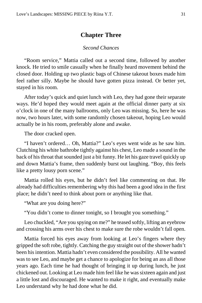# **Chapter Three**

#### *Second Chances*

<span id="page-30-0"></span>"Room service," Mattia called out a second time, followed by another knock. He tried to smile casually when he finally heard movement behind the closed door. Holding up two plastic bags of Chinese takeout boxes made him feel rather silly. Maybe he should have gotten pizza instead. Or better yet, stayed in his room.

After today's quick and quiet lunch with Leo, they had gone their separate ways. He'd hoped they would meet again at the official dinner party at six o'clock in one of the many ballrooms, only Leo was missing. So, here he was now, two hours later, with some randomly chosen takeout, hoping Leo would actually be in his room, preferably alone and awake.

The door cracked open.

"I haven't ordered… Oh, Mattia?" Leo's eyes went wide as he saw him. Clutching his white bathrobe tightly against his chest, Leo made a sound in the back of his throat that sounded just a bit funny*.* He let his gaze travel quickly up and down Mattia's frame, then suddenly burst out laughing. "Boy, this feels like a pretty lousy porn scene."

Mattia rolled his eyes, but he didn't feel like commenting on that. He already had difficulties remembering why this had been a good idea in the first place; he didn't need to think about porn or anything like that.

"What are you doing here?"

"You didn't come to dinner tonight, so I brought you something."

Leo chuckled, "Are you spying on me?" he teased softly, lifting an eyebrow and crossing his arms over his chest to make sure the robe wouldn't fall open.

Mattia forced his eyes away from looking at Leo's fingers where they gripped the soft robe, tightly. Catching the guy straight out of the shower hadn't been his intention. Mattia hadn't even considered the possibility. All he wanted was to see Leo, and maybe get a chance to apologize for being an ass all those years ago. Each time he had thought of bringing it up during lunch, he just chickened out. Looking at Leo made him feel like he was sixteen again and just a little lost and discouraged. He wanted to make it right, and eventually make Leo understand why he had done what he did.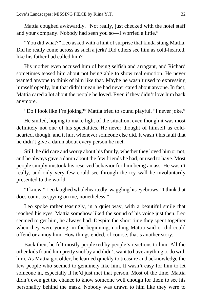Mattia coughed awkwardly. "Not really, just checked with the hotel staff and your company. Nobody had seen you so—I worried a little."

"You did what?" Leo asked with a hint of surprise that kinda stung Mattia. Did he really come across as such a jerk? Did others see him as cold-hearted, like his father had called him?

His mother even accused him of being selfish and arrogant, and Richard sometimes teased him about not being able to show real emotion. He never wanted anyone to think of him like that. Maybe he wasn't used to expressing himself openly, but that didn't mean he had never cared about anyone. In fact, Mattia cared a lot about the people he loved. Even if they didn't love him back anymore.

"Do I look like I'm joking?" Mattia tried to sound playful. "I never joke."

He smiled, hoping to make light of the situation, even though it was most definitely not one of his specialties. He never thought of himself as coldhearted, though, and it hurt whenever someone else did. It wasn't his fault that he didn't give a damn about every person he met.

Still, he did care and worry about his family, whether they loved him or not, and he always gave a damn about the few friends he had, or used to have. Most people simply mistook his reserved behavior for him being an ass. He wasn't really, and only very few could see through the icy wall he involuntarily presented to the world.

"I know." Leo laughed wholeheartedly, waggling his eyebrows. "I think that does count as spying on me, nonetheless."

Leo spoke rather teasingly, in a quiet way, with a beautiful smile that reached his eyes. Mattia somehow liked the sound of his voice just then. Leo seemed to get him, he always had. Despite the short time they spent together when they were young, in the beginning, nothing Mattia said or did could offend or annoy him. How things ended, of course, that's another story.

Back then, he felt mostly perplexed by people's reactions to him. All the other kids found him pretty snobby and didn't want to have anything to do with him. As Mattia got older, he learned quickly to treasure and acknowledge the few people who seemed to genuinely like him. It wasn't easy for him to let someone in, especially if he'd just met that person. Most of the time, Mattia didn't even get the chance to know someone well enough for them to see his personality behind the mask. Nobody was drawn to him like they were to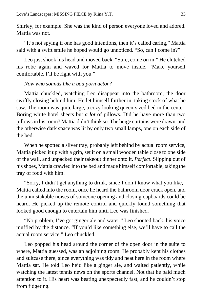Shirley, for example. She was the kind of person everyone loved and adored. Mattia was not.

"It's not spying if one has good intentions, then it's called caring," Mattia said with a swift smile he hoped would go unnoticed. "So, can I come in?"

Leo just shook his head and moved back. "Sure, come on in." He clutched his robe again and waved for Mattia to move inside. "Make yourself comfortable. I'll be right with you."

### *Now who sounds like a bad porn actor?*

Mattia chuckled, watching Leo disappear into the bathroom, the door swiftly closing behind him. He let himself further in, taking stock of what he saw. The room was quite large, a cozy looking queen-sized bed in the center. Boring white hotel sheets but *a lot* of pillows. Did he have more than two pillows in his room? Mattia didn't think so. The beige curtains were drawn, and the otherwise dark space was lit by only two small lamps, one on each side of the bed.

When he spotted a silver tray, probably left behind by actual room service, Mattia picked it up with a grin, set it on a small wooden table close to one side of the wall, and unpacked their takeout dinner onto it. *Perfect.* Slipping out of his shoes, Mattia crawled into the bed and made himself comfortable, taking the tray of food with him.

"Sorry, I didn't get anything to drink, since I don't know what you like," Mattia called into the room, once he heard the bathroom door crack open, and the unmistakable noises of someone opening and closing cupboards could be heard. He picked up the remote control and quickly found something that looked good enough to entertain him until Leo was finished.

"No problem, I've got ginger ale and water," Leo shouted back, his voice muffled by the distance. "If you'd like something else, we'll have to call the actual room service," Leo chuckled.

Leo popped his head around the corner of the open door in the suite to where, Mattia guessed, was an adjoining room. He probably kept his clothes and suitcase there, since everything was tidy and neat here in the room where Mattia sat. He told Leo he'd like a ginger ale, and waited patiently, while watching the latest tennis news on the sports channel. Not that he paid much attention to it. His heart was beating unexpectedly fast, and he couldn't stop from fidgeting.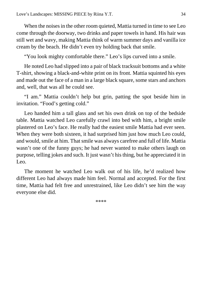When the noises in the other room quieted, Mattia turned in time to see Leo come through the doorway, two drinks and paper towels in hand. His hair was still wet and wavy, making Mattia think of warm summer days and vanilla ice cream by the beach. He didn't even try holding back that smile.

"You look mighty comfortable there." Leo's lips curved into a smile.

He noted Leo had slipped into a pair of black tracksuit bottoms and a white T-shirt, showing a black-and-white print on its front. Mattia squinted his eyes and made out the face of a man in a large black square, some stars and anchors and, well, that was all he could see.

"I am." Mattia couldn't help but grin, patting the spot beside him in invitation. "Food's getting cold."

Leo handed him a tall glass and set his own drink on top of the bedside table. Mattia watched Leo carefully crawl into bed with him, a bright smile plastered on Leo's face. He really had the easiest smile Mattia had ever seen. When they were both sixteen, it had surprised him just how much Leo could, and would, smile at him. That smile was always carefree and full of life. Mattia wasn't one of the funny guys; he had never wanted to make others laugh on purpose, telling jokes and such. It just wasn't his thing, but he appreciated it in Leo.

The moment he watched Leo walk out of his life, he'd realized how different Leo had always made him feel. Normal and accepted. For the first time, Mattia had felt free and unrestrained, like Leo didn't see him the way everyone else did.

\*\*\*\*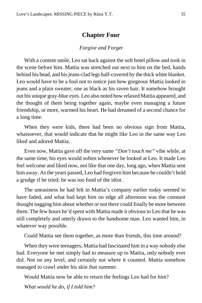## **Chapter Four**

#### *Forgive and Forget*

<span id="page-34-0"></span>With a content smile, Leo sat back against the soft hotel pillow and took in the scene before him. Mattia was stretched out next to him on the bed, hands behind his head, and his jeans-clad legs half-covered by the thick white blanket. Leo would have to be a fool not to notice just how gorgeous Mattia looked in jeans and a plain sweater, one as black as his raven hair. It somehow brought out his unique gray-blue eyes. Leo also noted how relaxed Mattia appeared, and the thought of them being together again, maybe even managing a future friendship, or more, warmed his heart. He had dreamed of a second chance for a long time.

When they were kids, there had been no obvious sign from Mattia, whatsoever, that would indicate that he might like Leo in the same way Leo liked and adored Mattia.

Even now, Mattia gave off the very same *"Don't touch me"* vibe while, at the same time, his eyes would soften whenever he looked at Leo. It made Leo feel welcome and liked now, not like that one day, long ago, when Mattia sent him away. As the years passed, Leo had forgiven him because he couldn't hold a grudge if he tried; he was too fond of the idiot.

The uneasiness he had felt in Mattia's company earlier today seemed to have faded, and what had kept him on edge all afternoon was the constant thought nagging him about whether or not there could finally be more between them. The few hours he'd spent with Mattia made it obvious to Leo that he was still completely and utterly drawn to the handsome man. Leo wanted him, in whatever way possible.

Could Mattia see them together, as more than friends, this time around?

When they were teenagers, Mattia had fascinated him in a way nobody else had. Everyone he met simply had to measure up to Mattia, only nobody ever did. Not on any level, and certainly not where it counted. Mattia somehow managed to crawl under his skin that summer.

Would Mattia now be able to return the feelings Leo had for him?

*What would he do, if I told him?*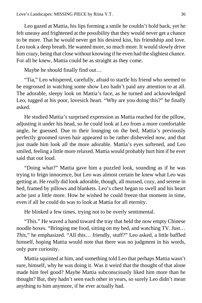Leo gazed at Mattia, his lips forming a smile he couldn't hold back, yet he felt uneasy and frightened at the possibility that they would never get a chance to be more. That he would never get his desired kiss, his friendship and love. Leo took a deep breath. He wanted more, so much more. It would slowly drive him crazy, being that close without knowing if he even had the slightest chance. For all he knew, Mattia could be as straight as they come.

Maybe he should finally find out…

"Tia," Leo whispered, carefully, afraid to startle his friend who seemed to be engrossed in watching some show Leo hadn't paid any attention to at all. The adorable, sleepy look on Mattia's face, as he turned and acknowledged Leo, tugged at his poor, lovesick heart. "Why are you doing this?" he finally asked.

He studied Mattia's surprised expression as Mattia reached for the pillow, adjusting it under his head, so he could look at Leo from a more comfortable angle, he guessed. Due to their lounging on the bed, Mattia's previously perfectly groomed raven hair appeared to be rather disheveled now, and that just made him look all the more adorable. Mattia's eyes softened, and Leo smiled, feeling a little more relaxed. Mattia would probably hurt him if he ever said that out loud.

"Doing what?" Mattia gave him a puzzled look, sounding as if he was trying to feign innocence, but Leo was almost certain he knew what Leo was getting at. He *really* did look adorable, though, all mussed, cozy, and serene in bed, framed by pillows and blankets. Leo's chest began to swell and his heart ache just a little more. How he wished he could freeze that moment in time, even if all he could do was to look at Mattia for all eternity.

He blinked a few times, trying not to be overly sentimental.

"This." He waved a hand toward the tray that held the now empty Chinese noodle boxes. "Bringing me food, sitting on my bed, and watching TV. Just… *This*," he emphasized. "All this… friendly, stuff?" Leo asked, a little baffled himself, hoping Mattia would note that there was no judgment in his words, only pure curiosity.

Mattia squinted at him, and something told Leo that perhaps Mattia wasn't sure, himself, why he was doing it. Was it weird that the thought of that alone made him feel good? Maybe Mattia subconsciously liked him more than he thought? But, they hadn't seen each other in years, so surely Leo didn't mean anything to him anymore, if he ever actually had.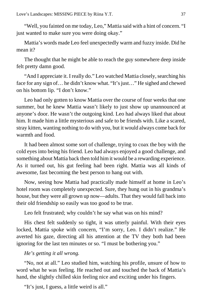Love's Landscapes: MISSING PIECE by Riina Y.T. 37

"Well, you fainted on me today, Leo," Mattia said with a hint of concern. "I just wanted to make sure you were doing okay."

Mattia's words made Leo feel unexpectedly warm and fuzzy inside. Did he mean it?

The thought that he might be able to reach the guy somewhere deep inside felt pretty damn good.

"And I appreciate it. I really do." Leo watched Mattia closely, searching his face for any sign of… he didn't know what. "It's just…" He sighed and chewed on his bottom lip. "I don't know."

Leo had only gotten to know Mattia over the course of four weeks that one summer, but he knew Mattia wasn't likely to just show up unannounced at anyone's door. He wasn't the outgoing kind. Leo had always liked that about him. It made him a little mysterious and safe to be friends with. Like a scared, stray kitten, wanting nothing to do with you, but it would always come back for warmth and food.

It had been almost some sort of challenge, trying to coax the boy with the cold eyes into being his friend. Leo had always enjoyed a good challenge, and something about Mattia back then told him it would be a rewarding experience. As it turned out, his gut feeling had been right. Mattia was all kinds of awesome, fast becoming the best person to hang out with.

Now, seeing how Mattia had practically made himself at home in Leo's hotel room was completely unexpected. Sure, they hung out in his grandma's house, but they were all grown up now—adults. That they would fall back into their old friendship so easily was too good to be true.

Leo felt frustrated; why couldn't he say what was on his mind?

His chest felt suddenly so tight, it was utterly painful. With their eyes locked, Mattia spoke with concern, "I'm sorry, Leo. I didn't realize." He averted his gaze, directing all his attention at the TV they both had been ignoring for the last ten minutes or so. "I must be bothering you."

## *He's getting it all wrong.*

"No, not at all." Leo studied him, watching his profile, unsure of how to word what he was feeling. He reached out and touched the back of Mattia's hand, the slightly chilled skin feeling nice and exciting under his fingers.

"It's just, I guess, a little weird is all."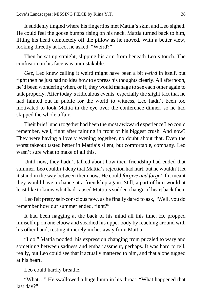It suddenly tingled where his fingertips met Mattia's skin, and Leo sighed. He could feel the goose bumps rising on his neck. Mattia turned back to him, lifting his head completely off the pillow as he moved. With a better view, looking directly at Leo, he asked, "Weird?"

Then he sat up straight, slipping his arm from beneath Leo's touch. The confusion on his face was unmistakable.

*Gee,* Leo knew calling it weird might have been a bit *weird* in itself, but right then he just had no idea how to express his thoughts clearly. All afternoon, he'd been wondering when, or if, they would manage to see each other again to talk properly. After today's ridiculous events, especially the slight fact that he had fainted out in public for the world to witness, Leo hadn't been too motivated to look Mattia in the eye over the conference dinner, so he had skipped the whole affair.

Their brief lunch together had been the most awkward experience Leo could remember, well, right after fainting in front of his biggest crush. And now? They were having a lovely evening together, no doubt about that. Even the worst takeout tasted better in Mattia's silent, but comfortable, company. Leo wasn't sure what to make of all this.

Until now, they hadn't talked about how their friendship had ended that summer. Leo couldn't deny that Mattia's rejection had hurt, but he wouldn't let it stand in the way between them now. He could *forgive and forget* if it meant they would have a chance at a friendship again. Still, a part of him would at least like to know what had caused Mattia's sudden change of heart back then.

Leo felt pretty self-conscious now, as he finally dared to ask, "Well, you do remember how our summer ended, right?"

It had been nagging at the back of his mind all this time. He propped himself up on one elbow and steadied his upper body by reaching around with his other hand, resting it merely inches away from Mattia.

"I do." Mattia nodded, his expression changing from puzzled to wary and something between sadness and embarrassment, perhaps. It was hard to tell, really, but Leo could see that it actually mattered to him, and that alone tugged at his heart.

Leo could hardly breathe.

"What…" He swallowed a huge lump in his throat. "What happened that last day?"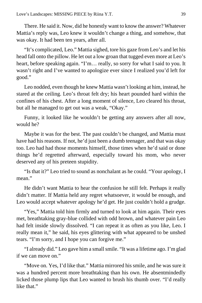There. He said it. Now, did he honestly want to know the answer? Whatever Mattia's reply was, Leo knew it wouldn't change a thing, and somehow, that was okay. It had been ten years, after all.

"It's complicated, Leo." Mattia sighed, tore his gaze from Leo's and let his head fall onto the pillow. He let out a low groan that tugged even more at Leo's heart, before speaking again. "I'm… really, so sorry for what I said to you. It wasn't right and I've wanted to apologize ever since I realized you'd left for good."

Leo nodded, even though he knew Mattia wasn't looking at him, instead, he stared at the ceiling. Leo's throat felt dry; his heart pounded hard within the confines of his chest. After a long moment of silence, Leo cleared his throat, but all he managed to get out was a weak, "Okay."

Funny, it looked like he wouldn't be getting any answers after all now, would he?

Maybe it was for the best. The past couldn't be changed, and Mattia must have had his reasons. If not, he'd just been a dumb teenager, and that was okay too. Leo had had those moments himself, those times when he'd said or done things he'd regretted afterward, especially toward his mom, who never deserved any of his preteen stupidity.

"Is that it?" Leo tried to sound as nonchalant as he could. "Your apology, I mean"

He didn't want Mattia to hear the confusion he still felt. Perhaps it really didn't matter. If Mattia held any regret whatsoever, it would be enough, and Leo would accept whatever apology he'd get. He just couldn't hold a grudge.

"Yes," Mattia told him firmly and turned to look at him again. Their eyes met, breathtaking gray-blue collided with odd brown, and whatever pain Leo had felt inside slowly dissolved. "I can repeat it as often as you like, Leo. I really mean it," he said, his eyes glittering with what appeared to be unshed tears. "I'm sorry, and I hope you can forgive me."

"I already did." Leo gave him a small smile. "It was a lifetime ago. I'm glad if we can move on."

"Move on. Yes, I'd like that." Mattia mirrored his smile, and he was sure it was a hundred percent more breathtaking than his own. He absentmindedly licked those plump lips that Leo wanted to brush his thumb over. "I'd really like that."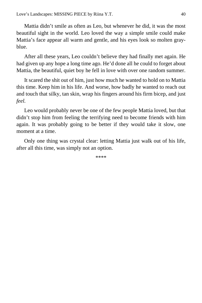Mattia didn't smile as often as Leo, but whenever he did, it was the most beautiful sight in the world. Leo loved the way a simple smile could make Mattia's face appear all warm and gentle, and his eyes look so molten grayblue.

After all these years, Leo couldn't believe they had finally met again. He had given up any hope a long time ago. He'd done all he could to forget about Mattia, the beautiful, quiet boy he fell in love with over one random summer.

It scared the shit out of him, just how much he wanted to hold on to Mattia this time. Keep him in his life. And worse, how badly he wanted to reach out and touch that silky, tan skin, wrap his fingers around his firm bicep, and just *feel.*

Leo would probably never be one of the few people Mattia loved, but that didn't stop him from feeling the terrifying need to become friends with him again. It was probably going to be better if they would take it slow, one moment at a time.

Only one thing was crystal clear: letting Mattia just walk out of his life, after all this time, was simply not an option.

\*\*\*\*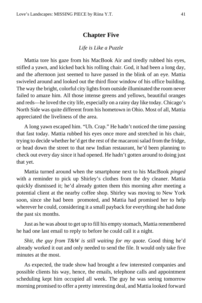## **Chapter Five**

#### *Life is Like a Puzzle*

Mattia tore his gaze from his MacBook Air and tiredly rubbed his eyes, stifled a yawn, and kicked back his rolling chair. God, it had been a long day, and the afternoon just seemed to have passed in the blink of an eye. Mattia swiveled around and looked out the third floor window of his office building. The way the bright, colorful city lights from outside illuminated the room never failed to amaze him. All those intense greens and yellows, beautiful oranges and reds—he loved the city life, especially on a rainy day like today. Chicago's North Side was quite different from his hometown in Ohio. Most of all, Mattia appreciated the liveliness of the area.

A long yawn escaped him. "Uh. Crap." He hadn't noticed the time passing that fast today. Mattia rubbed his eyes once more and stretched in his chair, trying to decide whether he'd get the rest of the macaroni salad from the fridge, or head down the street to that new Indian restaurant, he'd been planning to check out every day since it had opened. He hadn't gotten around to doing just that yet.

Mattia turned around when the smartphone next to his MacBook *pinged* with a reminder to pick up Shirley's clothes from the dry cleaner. Mattia quickly dismissed it; he'd already gotten them this morning after meeting a potential client at the nearby coffee shop. Shirley was moving to New York soon, since she had been promoted, and Mattia had promised her to help wherever he could, considering it a small payback for everything she had done the past six months.

Just as he was about to get up to fill his empty stomach, Mattia remembered he had one last email to reply to before he could call it a night.

*Shit, the guy from T&W is still waiting for my quote.* Good thing he'd already worked it out and only needed to send the file. It would only take five minutes at the most.

As expected, the trade show had brought a few interested companies and possible clients his way, hence, the emails, telephone calls and appointment scheduling kept him occupied all week. The guy he was seeing tomorrow morning promised to offer a pretty interesting deal, and Mattia looked forward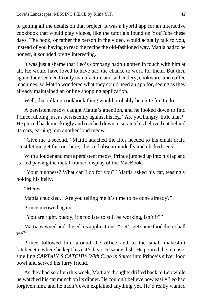to getting all the details on that project. It was a hybrid app for an interactive cookbook that would play videos, like the tutorials found on YouTube these days. The book, or rather the person in the video, would actually talk to you, instead of you having to read the recipe the old-fashioned way. Mattia had to be honest, it sounded pretty interesting.

It was just a shame that Leo's company hadn't gotten in touch with him at all. He would have loved to have had the chance to work for them. But then again, they seemed to only manufacture and sell cutlery, cookware, and coffee machines, so Mattia wondered what they could need an app for, seeing as they already maintained an online shopping application.

Well, that talking cookbook thing would probably be quite fun to do.

A persistent meow caught Mattia's attention, and he looked down to find Prince rubbing just as persistently against his leg. "Are you hungry, little man?" He purred back mockingly and reached down to scratch his beloved cat behind its ears, earning him another loud meow.

"Give me a second." Mattia attached the files needed to his email draft. "Just let me get this out here," he said absentmindedly and clicked *send.*

With a louder and more persistent meow, Prince jumped up into his lap and started pawing the metal-framed display of the MacBook.

"Your highness? What can I do for you?" Mattia asked his cat, teasingly poking his belly.

"Meow."

Mattia chuckled. "Are you telling me it's time to be done already?"

Prince meowed again.

"You are right, buddy, it's too late to still be working, isn't it?"

Mattia yawned and closed his applications. "Let's get some food then, shall we?"

Prince followed him around the office and to the small makeshift kitchenette where he kept his cat's favorite saucy dish. He poured the intensesmelling *CAPTAIN'S CATCH*™ *With Crab in Sauce* into Prince's silver food bowl and served his furry friend.

As they had so often this week, Mattia's thoughts drifted back to Leo while he watched his cat munch on its dinner. He couldn't believe how easily Leo had forgiven him, and he hadn't even explained anything yet. He'd really wanted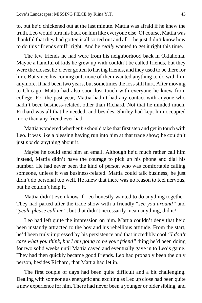to, but he'd chickened out at the last minute. Mattia was afraid if he knew the truth, Leo would turn his back on him like everyone else. Of course, Mattia was thankful that they had gotten it all sorted out and all—he just didn't know how to do this "friends stuff" right. And he *really* wanted to get it right this time.

The few friends he had were from his neighborhood back in Oklahoma. Maybe a handful of kids he grew up with couldn't be called friends, but they were the closest he'd ever gotten to having friends, and they used to be there for him. But since his coming out, none of them wanted anything to do with him anymore. It had been two years, but sometimes the loss still hurt. After moving to Chicago, Mattia had also soon lost touch with everyone he knew from college. For the past year, Mattia hadn't had any contact with anyone who hadn't been business-related, other than Richard. Not that he minded much. Richard was all that he needed, and besides, Shirley had kept him occupied more than any friend ever had.

Mattia wondered whether *he* should take that first step and get in touch with Leo. It was like a blessing having run into him at that trade show; he couldn't just *not* do anything about it.

Maybe he could send him an email. Although he'd much rather call him instead, Mattia didn't have the courage to pick up his phone and dial his number. He had never been the kind of person who was comfortable calling someone, unless it was business-related. Mattia could talk business; he just didn't do personal too well. He knew that there was no reason to feel nervous, but he couldn't help it.

Mattia didn't even know if Leo honestly wanted to do anything together. They had parted after the trade show with a friendly "*see you around"* and "*yeah, please call me",* but that didn't necessarily mean anything, did it?

Leo had left quite the impression on him. Mattia couldn't deny that he'd been instantly attracted to the boy and his rebellious attitude. From the start, he'd been truly impressed by his persistence and that incredibly cool *"I don't care what you think, but I am going to be your friend"* thing he'd been doing for two solid weeks until Mattia caved and eventually gave in to Leo's game. They had then quickly became good friends. Leo had probably been the only person, besides Richard, that Mattia had let in.

The first couple of days had been quite difficult and a bit challenging. Dealing with someone as energetic and exciting as Leo up close had been quite a new experience for him. There had never been a younger or older sibling, and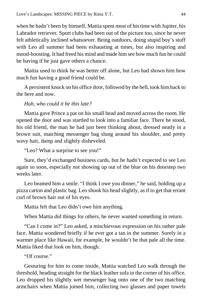when he hadn't been by himself, Mattia spent most of his time with Jupiter, his Labrador retriever. Sport clubs had been out of the picture too, since he never felt athletically inclined whatsoever. Being outdoors, doing stupid boy's stuff with Leo all summer had been exhausting at times, but also inspiring and mood-boosting. It had freed his mind and made him see how much fun he could be having if he just gave others a chance.

Mattia used to think he was better off alone, but Leo had shown him how much fun having a good friend could be.

A persistent knock on his office door, followed by the bell, took him back to the here and now.

## *Huh, who could it be this late?*

Mattia gave Prince a pat on his small head and moved across the room. He opened the door and was startled to look into a familiar face. There he stood, his old friend, the man he had just been thinking about, dressed neatly in a brown suit, matching messenger bag slung around his shoulder, and pretty wavy hair, damp and slightly disheveled.

"Leo? What a surprise to see you!"

Sure, they'd exchanged business cards, but he hadn't expected to see Leo again so soon, especially not showing up out of the blue on his doorstep two weeks later.

Leo beamed him a smile. "I think I owe you dinner," he said, holding up a pizza carton and plastic bag. Leo shook his head slightly, as if to get that errant curl of brown hair out of his eyes.

Mattia felt that Leo didn't owe him anything.

When Mattia did things for others, he never wanted something in return.

"Can I come in?" Leo asked, a mischievous expression on his rather pale face. Mattia wondered briefly if he ever got a tan in the summer. Surely in a warmer place like Hawaii, for example, he wouldn't be that pale all the time. Mattia liked that look on him, though.

"Of course."

Gesturing for him to come inside, Mattia watched Leo walk through the threshold, heading straight for the black leather sofa in the corner of his office. Leo dropped his slightly wet messenger bag onto one of the two matching armchairs when Mattia joined him, collecting two glasses and paper towels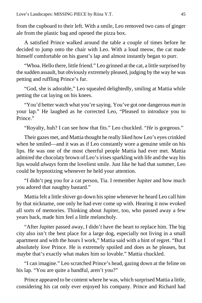from the cupboard to their left. With a smile, Leo removed two cans of ginger ale from the plastic bag and opened the pizza box.

A satisfied Prince walked around the table a couple of times before he decided to jump onto the chair with Leo. With a loud meow, the cat made himself comfortable on his guest's lap and almost instantly began to purr.

"Whoa. Hello there, little friend." Leo grinned at the cat, a little surprised by the sudden assault, but obviously extremely pleased, judging by the way he was petting and ruffling Prince's fur.

"God, she is adorable," Leo squealed delightedly, smiling at Mattia while petting the cat laying on his knees.

"You'd better watch what you're saying. You've got one dangerous *man* in your lap." He laughed as he corrected Leo, "Pleased to introduce you to Prince."

"Royalty, huh? I can see how that fits." Leo chuckled. "*He* is gorgeous."

Their gazes met, and Mattia thought he really liked how Leo's eyes crinkled when he smiled—and it was as if Leo constantly wore a genuine smile on his lips. He was one of the most cheerful people Mattia had ever met. Mattia admired the chocolaty brown of Leo's irises sparkling with life and the way his lips would *always* form the loveliest smile. Just like he had that summer, Leo could be hypnotizing whenever he held your attention.

"I didn't peg you for a cat person, Tia. I remember Jupiter and how much you adored that naughty bastard."

Mattia felt a little shiver go down his spine whenever he heard Leo call him by that nickname, one only he had ever come up with. Hearing it now evoked all sorts of memories. Thinking about Jupiter, too, who passed away a few years back, made him feel a little melancholy.

"After Jupiter passed away, I didn't have the heart to replace him. The big city also isn't the best place for a large dog, especially not living in a small apartment and with the hours I work," Mattia said with a hint of regret. "But I absolutely *love* Prince. He is extremely spoiled and does as he pleases, but maybe that's exactly what makes him so lovable." Mattia chuckled.

"I can imagine." Leo scratched Prince's head, gazing down at the feline on his lap. "You are quite a handful, aren't you?"

Prince appeared to be content where he was, which surprised Mattia a little, considering his cat only ever enjoyed his company. Prince and Richard had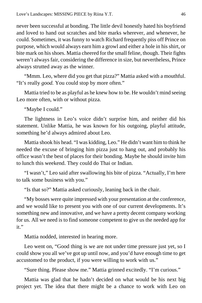never been successful at bonding. The little devil honestly hated his boyfriend and loved to hand out scratches and bite marks wherever, and whenever, he could. Sometimes, it was funny to watch Richard frequently piss off Prince on purpose, which would always earn him a growl and either a hole in his shirt, or bite mark on his shoes. Mattia cheered for the small feline, though. Their fights weren't always fair, considering the difference in size, but nevertheless, Prince always strutted away as the winner.

"Mmm. Leo, where did you get that pizza?" Mattia asked with a mouthful. "It's really *good.* You could stop by more often."

Mattia tried to be as playful as he knew how to be. He wouldn't mind seeing Leo more often, with or without pizza.

"Maybe I could."

The lightness in Leo's voice didn't surprise him, and neither did his statement. Unlike Mattia, he was known for his outgoing, playful attitude, something he'd always admired about Leo.

Mattia shook his head. "I was kidding, Leo." He didn't want him to think he needed the excuse of bringing him pizza just to hang out, and probably his office wasn't the best of places for their bonding. Maybe he should invite him to lunch this weekend. They could do Thai or Indian.

"I wasn't," Leo said after swallowing his bite of pizza. "Actually, I'm here to talk some business with you."

"Is that so?" Mattia asked curiously, leaning back in the chair.

"My bosses were quite impressed with your presentation at the conference, and we would like to present you with one of our current developments. It's something new and innovative, and we have a pretty decent company working for us. All we need is to find someone competent to give us the needed app for it."

Mattia nodded, interested in hearing more.

Leo went on, "Good thing is we are not under time pressure just yet, so I could show you all we've got up until now, and you'd have enough time to get accustomed to the product, if you were willing to work with us."

"Sure thing. Please show me." Mattia grinned excitedly. "I'm curious."

Mattia was glad that he hadn't decided on what would be his next big project yet. The idea that there might be a chance to work with Leo on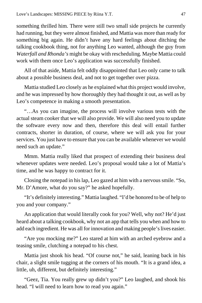something thrilled him. There were still two small side projects he currently had running, but they were almost finished, and Mattia was more than ready for something big again. He didn't have any hard feelings about ditching the talking cookbook thing, not for anything Leo wanted, although the guy from *Waterfall and Rhonda's* might be okay with rescheduling. Maybe Mattia could work with them once Leo's application was successfully finished.

All of that aside, Mattia felt oddly disappointed that Leo only came to talk about a possible business deal, and not to get together over pizza.

Mattia studied Leo closely as he explained what this project would involve, and he was impressed by how thoroughly they had thought it out, as well as by Leo's competence in making a smooth presentation.

"…As you can imagine, the process will involve various tests with the actual steam cooker that we will also provide. We will also need you to update the software every now and then, therefore this deal will entail further contracts, shorter in duration, of course, where we will ask you for your services. You just have to ensure that you can be available whenever we would need such an update."

Mmm. Mattia really liked that prospect of extending their business deal whenever updates were needed. Leo's proposal would take a lot of Mattia's time, and he was happy to contract for it.

Closing the notepad in his lap, Leo gazed at him with a nervous smile. "So, Mr. D'Amore, what do you say?" he asked hopefully.

"It's definitely interesting." Mattia laughed. "I'd be honored to be of help to you and your company."

An application that would literally cook for you? Well, why not? He'd just heard about a talking cookbook, why not an app that tells you when and how to add each ingredient. He was all for innovation and making people's lives easier.

"Are you mocking me?" Leo stared at him with an arched eyebrow and a teasing smile, clutching a notepad to his chest.

Mattia just shook his head. "Of course not," he said, leaning back in his chair, a slight smile tugging at the corners of his mouth. "It is a grand idea, a little, uh, different, but definitely interesting."

"Geez, Tia. You really grew up didn't you?" Leo laughed, and shook his head. "I will need to learn how to read you again."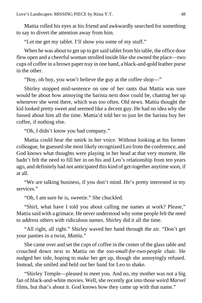Mattia rolled his eyes at his friend and awkwardly searched for something to say to divert the attention away from him.

"Let me get my tablet. I'll show you some of my stuff."

When he was about to get up to get said tablet from his table, the office door flew open and a cheerful woman strolled inside like she owned the place—two cups of coffee in a brown paper tray in one hand, a black-and-gold leather purse in the other.

"Boy, oh boy, you won't believe the guy at the coffee shop—"

Shirley stopped mid-sentence on one of her rants that Mattia was sure would be about how annoying the barista next door could be, chatting her up whenever she went there, which was too often. Old news. Mattia thought the kid looked pretty sweet and seemed like a decent guy. He had no idea why she fussed about him all the time. Mattia'd told her to just let the barista buy her coffee, if nothing else.

"Oh, I didn't know you had company."

Mattia could hear the smirk in her voice. Without looking at his former colleague, he guessed she most likely recognized Leo from the conference, and God knows what thoughts were playing in her head at that very moment. He hadn't felt the need to fill her in on his and Leo's relationship from ten years ago, and definitely had not anticipated this kind of get-together anytime soon, if at all.

"We are talking business, if you don't mind. He's pretty interested in my services."

"Oh, I am sure he is, sweetie." She chuckled.

"Shirl, what have I told you about calling me names at work? Please," Mattia said with a grimace. He never understood why some people felt the need to address others with ridiculous names. Shirley did it all the time.

"All right, all right." Shirley waved her hand through the air. "Don't get your panties in a twist, *Mattia.*"

She came over and set the cups of coffee in the center of the glass table and crouched down next to Mattia on the *too-small-for-two-people* chair. He nudged her side, hoping to make her get up, though she annoyingly refused. Instead, she smiled and held out her hand for Leo to shake.

"Shirley Temple—pleased to meet you. And no, my mother was not a big fan of black-and-white movies. Well, she recently got into those weird *Marvel* films, but that's about it. God knows how they came up with that name."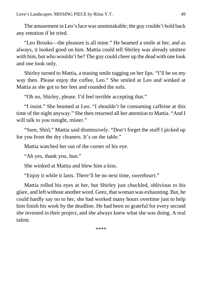The amusement in Leo's face was unmistakable; the guy couldn't hold back any emotion if he tried.

"Leo Brooks—the pleasure is all mine." He beamed a smile at her, and as always, it looked good on him. Mattia could tell Shirley was already smitten with him, but who wouldn't be? The guy could cheer up the dead with one look and one look only.

Shirley turned to Mattia, a teasing smile tugging on her lips. "I'll be on my way then. Please enjoy the coffee, Leo." She smiled at Leo and winked at Mattia as she got to her feet and rounded the sofa.

"Oh no, Shirley, please. I'd feel terrible accepting that."

"I insist." She beamed at Leo. "I shouldn't be consuming caffeine at this time of the night anyway." She then returned all her attention to Mattia. "And I will talk to you tonight, mister."

"Sure, Shirl," Mattia said dismissively. "Don't forget the stuff I picked up for you from the dry cleaners. It's on the table."

Mattia watched her out of the corner of his eye.

"Ah yes, thank you, hun."

She winked at Mattia and blew him a kiss.

"Enjoy it while it lasts. There'll be no next time, *sweetheart*."

Mattia rolled his eyes at her, but Shirley just chuckled, oblivious to his glare, and left without another word. Geez, that woman was exhausting. But, he could hardly say no to her, she had worked many hours overtime just to help him finish his work by the deadline. He had been so grateful for every second she invested in their project, and she always knew what she was doing. A real talent.

\*\*\*\*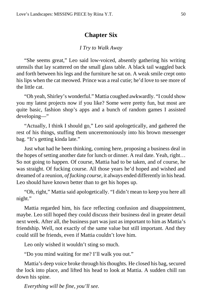# **Chapter Six**

### *I Try to Walk Away*

"She seems great," Leo said low-voiced, absently gathering his writing utensils that lay scattered on the small glass table. A black tail waggled back and forth between his legs and the furniture he sat on. A weak smile crept onto his lips when the cat meowed. Prince was a real cutie; he'd love to see more of the little cat.

"Oh yeah, Shirley's wonderful." Mattia coughed awkwardly. "I could show you my latest projects now if you like? Some were pretty fun, but most are quite basic, fashion shop's apps and a bunch of random games I assisted developing—"

"Actually, I think I should go," Leo said apologetically, and gathered the rest of his things, stuffing them unceremoniously into his brown messenger bag. "It's getting kinda late."

Just what had he been thinking, coming here, proposing a business deal in the hopes of setting another date for lunch or dinner. A real date. Yeah, right… So not going to happen. Of course, Mattia had to be taken, and of course, he was straight. Of fucking course. All those years he'd hoped and wished and dreamed of a reunion, *of fucking course,* it always ended differently in his head. Leo should have known better than to get his hopes up.

"Oh, right," Mattia said apologetically. "I didn't mean to keep you here all night."

Mattia regarded him, his face reflecting confusion and disappointment, maybe. Leo still hoped they could discuss their business deal in greater detail next week. After all, the business part was just as important to him as Mattia's friendship. Well, not exactly of the same value but still important. And they could still be friends, even if Mattia couldn't love him.

Leo only wished it wouldn't sting so much.

"Do you mind waiting for me? I'll walk you out."

Mattia's deep voice broke through his thoughts. He closed his bag, secured the lock into place, and lifted his head to look at Mattia. A sudden chill ran down his spine.

*Everything will be fine, you'll see.*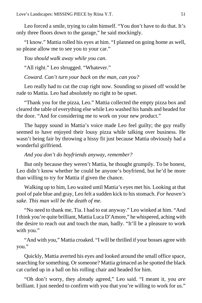Leo forced a smile, trying to calm himself. "You don't have to do that. It's only three floors down to the garage," he said mockingly.

"I know." Mattia rolled his eyes at him. "I planned on going home as well, so please allow me to see you to your car."

*You should walk away while you can.*

"All right." Leo shrugged. "Whatever."

*Coward. Can't turn your back on the man, can you?*

Leo really had to cut the crap right now. Sounding so pissed off would be rude to Mattia. Leo had absolutely no right to be upset.

"Thank you for the pizza, Leo." Mattia collected the empty pizza box and cleared the table of everything else while Leo washed his hands and headed for the door. "And for considering me to work on your new product."

The happy sound in Mattia's voice made Leo feel guilty; the guy really seemed to have enjoyed their lousy pizza while talking over business. He wasn't being fair by throwing a hissy fit just because Mattia obviously had a wonderful girlfriend.

### *And you don't do boyfriends anyway, remember?*

But only because they weren't Mattia, he thought grumpily. To be honest, Leo didn't know whether he could be anyone's boyfriend, but he'd be more than willing to try for Mattia if given the chance.

Walking up to him, Leo waited until Mattia's eyes met his. Looking at that pool of pale blue and gray, Leo felt a sudden kick to his stomach. *For heaven's sake. This man will be the death of me.*

"No need to thank me, Tia. I had to eat anyway." Leo winked at him. "And I think you're quite brilliant, Mattia Luca D'Amore," he whispered, aching with the desire to reach out and touch the man, badly. "It'll be a pleasure to work with you."

"And with you," Mattia croaked. "I will be thrilled if your bosses agree with you."

Quickly, Mattia averted his eyes and looked around the small office space, searching for something. Or someone? Mattia grimaced as he spotted the black cat curled up in a ball on his rolling chair and headed for him.

"Oh don't worry, they already agreed," Leo said. "I meant it, you *are* brilliant. I just needed to confirm with you that you're willing to work for us."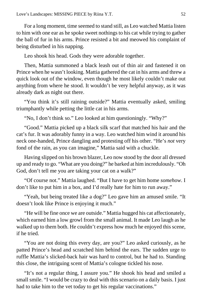For a long moment, time seemed to stand still, as Leo watched Mattia listen to him with one ear as he spoke sweet nothings to his cat while trying to gather the ball of fur in his arms. Prince resisted a bit and meowed his complaint of being disturbed in his napping.

Leo shook his head. Gods they were adorable together.

Then, Mattia summoned a black leash out of thin air and fastened it on Prince when he wasn't looking. Mattia gathered the cat in his arms and threw a quick look out of the window, even though he most likely couldn't make out anything from where he stood. It wouldn't be very helpful anyway, as it was already dark as night out there.

"You think it's still raining outside?" Mattia eventually asked, smiling triumphantly while petting the little cat in his arms.

"No, I don't think so." Leo looked at him questioningly. "Why?"

"Good." Mattia picked up a black silk scarf that matched his hair and the cat's fur. It was adorably funny in a way. Leo watched him wind it around his neck one-handed, Prince dangling and protesting off his other. "He's *not* very fond of the rain, as you can imagine," Mattia said with a chuckle.

Having slipped on his brown blazer, Leo now stood by the door all dressed up and ready to go. "What are you doing?" he barked at him incredulously. "Oh God, don't tell me you are taking your cat on a walk?"

"Of course not." Mattia laughed. "But I have to get him home *somehow*. I don't like to put him in a box, and I'd really hate for him to run away."

"Yeah, but being treated like a dog?" Leo gave him an amused smile. "It doesn't look like Prince is enjoying it much."

"He will be fine once we are outside." Mattia hugged his cat affectionately, which earned him a low growl from the small animal. It made Leo laugh as he walked up to them both. He couldn't express how much he enjoyed this scene, if he tried.

"You are not doing this every day, are you?" Leo asked curiously, as he patted Prince's head and scratched him behind the ears. The sudden urge to ruffle Mattia's slicked-back hair was hard to control, but he had to. Standing this close, the intriguing scent of Mattia's cologne tickled his nose.

"It's not a regular thing, I assure you." He shook his head and smiled a small smile. "I would be crazy to deal with this scenario on a daily basis. I just had to take him to the vet today to get his regular vaccinations."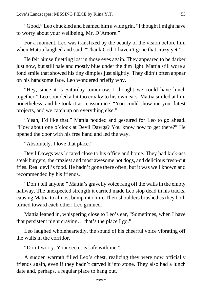"Good." Leo chuckled and beamed him a wide grin. "I thought I might have to worry about your wellbeing, Mr. D'Amore."

For a moment, Leo was transfixed by the beauty of the vision before him when Mattia laughed and said, "Thank God, I haven't gone that crazy yet."

He felt himself getting lost in those eyes again. They appeared to be darker just now, but still pale and mostly blue under the dim light. Mattia still wore a fond smile that showed his tiny dimples just slightly. They didn't often appear on his handsome face. Leo wondered briefly why.

"Hey, since it is Saturday tomorrow, I thought we could have lunch together." Leo sounded a bit too croaky to his own ears. Mattia smiled at him nonetheless, and he took it as reassurance. "You could show me your latest projects, and we catch up on everything else."

"Yeah, I'd like that." Mattia nodded and gestured for Leo to go ahead. "How about one o'clock at Devil Dawgs? You know how to get there?" He opened the door with his free hand and led the way.

"Absolutely. I love that place."

Devil Dawgs was located close to his office and home. They had kick-ass steak burgers, the craziest and most awesome hot dogs, and delicious fresh-cut fries. Real devil's food. He hadn't gone there often, but it was well known and recommended by his friends.

"Don't tell anyone." Mattia's gravelly voice rang off the walls in the empty hallway. The unexpected strength it carried made Leo stop dead in his tracks, causing Mattia to almost bump into him. Their shoulders brushed as they both turned toward each other; Leo grinned.

Mattia leaned in, whispering close to Leo's ear, "Sometimes, when I have that persistent night craving… that's the place I go."

Leo laughed wholeheartedly, the sound of his cheerful voice vibrating off the walls in the corridor.

"Don't worry. Your secret is safe with me."

A sudden warmth filled Leo's chest, realizing they were now officially friends again, even if they hadn't carved it into stone. They also had a lunch date and, perhaps, a regular place to hang out.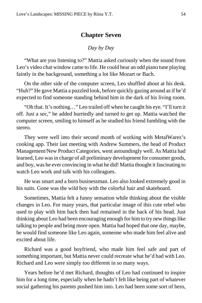# **Chapter Seven**

## *Day by Day*

"What are you listening to?" Mattia asked curiously when the sound from Leo's video chat window came to life. He could hear an odd piano tune playing faintly in the background, something a lot like Mozart or Bach.

On the other side of the computer screen, Leo shuffled about at his desk. "Huh?" He gave Mattia a puzzled look, before quickly gazing around as if he'd expected to find someone standing behind him in the dark of his living room.

"Oh that. It's nothing…" Leo trailed off when he caught his eye. "I'll turn it off. Just a sec," he added hurriedly and turned to get up. Mattia watched the computer screen, smiling to himself as he studied his friend fumbling with the stereo.

They were well into their second month of working with MetalWarez's cooking app. Their last meeting with Andrew Summers, the head of Product Management/New Product Categories, went astoundingly well. As Mattia had learned, Leo was in charge of all preliminary development for consumer goods, and boy, was he ever convincing in what he did! Mattia thought it fascinating to watch Leo work and talk with his colleagues.

He was smart and a born businessman. Leo also looked extremely good in his suits. Gone was the wild boy with the colorful hair and skateboard.

Sometimes, Mattia felt a funny sensation while thinking about the visible changes in Leo. For many years, that particular image of this cute rebel who used to play with him back then had remained in the back of his head. Just thinking about Leo had been encouraging enough for him to try new things like talking to people and being more open. Mattia had hoped that one day, maybe, he would find someone like Leo again, someone who made him feel alive and excited about life.

Richard was a good boyfriend, who made him feel safe and part of something important, but Mattia never could recreate what he'd had with Leo. Richard and Leo were simply too different in so many ways.

Years before he'd met Richard, thoughts of Leo had continued to inspire him for a long time, especially when he hadn't felt like being part of whatever social gathering his parents pushed him into. Leo had been some sort of hero,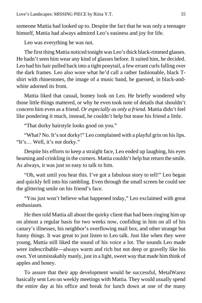someone Mattia had looked up to. Despite the fact that he was only a teenager himself, Mattia had always admired Leo's easiness and joy for life.

Leo was everything he was not.

The first thing Mattia noticed tonight was Leo's thick black-rimmed glasses. He hadn't seen him wear any kind of glasses before. It suited him, he decided. Leo had his hair pulled back into a tight ponytail, a few errant curls falling over the dark frames. Leo also wore what he'd call a rather fashionable, black Tshirt with rhinestones, the image of a music band, he guessed, in black-andwhite adorned its front.

Mattia liked that casual, homey look on Leo. He briefly wondered why those little things mattered, or why he even took note of details that shouldn't concern him even as a friend. *Or especially as only a friend.* Mattia didn't feel like pondering it much, instead, he couldn't help but tease his friend a little.

"That dorky hairstyle looks good on you."

"What? No. It's not dorky!" Leo complained with a playful grin on his lips. "It's… Well, it's *not* dorky."

Despite his efforts to keep a straight face, Leo ended up laughing, his eyes beaming and crinkling in the corners. Mattia couldn't help but return the smile. As always, it was just so easy to talk to him.

"Oh, wait until you hear this. I've got a fabulous story to tell!" Leo began and quickly fell into his rambling. Even through the small screen he could see the glittering smile on his friend's face.

"You just won't believe what happened today," Leo exclaimed with great enthusiasm.

He then told Mattia all about the quirky client that had been ringing him up on almost a regular basis for two weeks now, confiding in him on all of his canary's illnesses, his neighbor's overflowing mail box, and other strange but funny things. It was great to just listen to Leo talk. Just like when they were young, Mattia still liked the sound of his voice a lot. The sounds Leo made were indescribable—always warm and rich but not deep or gravelly like his own. Yet unmistakably manly, just in a light, sweet way that made him think of apples and honey.

To assure that their app development would be successful, MetalWarez basically sent Leo on weekly meetings with Mattia. They would usually spend the entire day at his office and break for lunch down at one of the many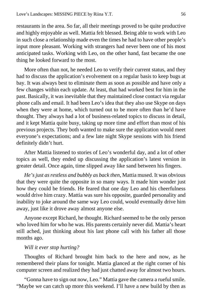restaurants in the area. So far, all their meetings proved to be quite productive and highly enjoyable as well. Mattia felt blessed. Being able to work with Leo in such close a relationship made even the times he had to have other people's input more pleasant. Working with strangers had never been one of his most anticipated tasks. Working with Leo, on the other hand, fast became the one thing he looked forward to the most.

More often than not, he needed Leo to verify their current status, and they had to discuss the application's evolvement on a regular basis to keep bugs at bay. It was always best to eliminate them as soon as possible and have only a few changes within each update. At least, that had worked best for him in the past. Basically, it was inevitable that they maintained close contact via regular phone calls and email. It had been Leo's idea that they also use Skype on days when they were at home, which turned out to be more often than he'd have thought. They always had a lot of business-related topics to discuss in detail, and it kept Mattia quite busy, taking up more time and effort than most of his previous projects. They both wanted to make sure the application would meet everyone's expectations; and a few late night Skype sessions with his friend definitely didn't hurt.

After Mattia listened to stories of Leo's wonderful day, and a lot of other topics as well, they ended up discussing the application's latest version in greater detail. Once again, time slipped away like sand between his fingers.

*He's just as restless and bubbly as back then,* Mattia mused. It was obvious that they were quite the opposite in so many ways. It made him wonder just how they could be friends. He feared that one day Leo and his cheerfulness would drive him crazy. Mattia was sure his opposite, guarded personality and inability to joke around the same way Leo could, would eventually drive him away, just like it drove away almost anyone else.

Anyone except Richard, he thought. Richard seemed to be the only person who loved him for who he was. His parents certainly never did. Mattia's heart still ached, just thinking about his last phone call with his father all those months ago.

### *Will it ever stop hurting?*

Thoughts of Richard brought him back to the here and now, as he remembered their plans for tonight. Mattia glanced at the right corner of his computer screen and realized they had just chatted away for almost two hours.

"Gonna have to sign out now, Leo." Mattia gave the camera a rueful smile. "Maybe we can catch up more this weekend. I'll have a new build by then as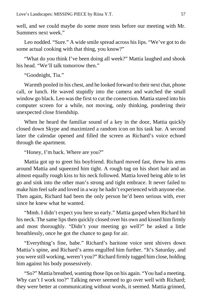well, and we could maybe do some more tests before our meeting with Mr. Summers next week."

Leo nodded. "Sure." A wide smile spread across his lips. "We've got to do some actual cooking with that thing, you know?"

"What do you think I've been doing all week?" Mattia laughed and shook his head. "We'll talk tomorrow then."

"Goodnight, Tia."

Warmth pooled in his chest, and he looked forward to their next chat, phone call, or lunch. He waved stupidly into the camera and watched the small window go black. Leo was the first to cut the connection. Mattia stared into his computer screen for a while, not moving, only thinking, pondering their unexpected close friendship.

When he heard the familiar sound of a key in the door, Mattia quickly closed down Skype and maximized a random icon on his task bar. A second later the calendar opened and filled the screen as Richard's voice echoed through the apartment.

"Honey, I'm back. Where are you?"

Mattia got up to greet his boyfriend. Richard moved fast, threw his arms around Mattia and squeezed him tight. A rough tug on his short hair and an almost equally rough kiss to his neck followed. Mattia loved being able to let go and sink into the other man's strong and tight embrace. It never failed to make him feel safe and loved in a way he hadn't experienced with anyone else. Then again, Richard had been the only person he'd been serious with, ever since he knew what he wanted.

"Mmh. I didn't expect you here so early." Mattia gasped when Richard bit his neck. The same lips then quickly closed over his own and kissed him firmly and most thoroughly. "Didn't your meeting go well?" he asked a little breathlessly, once he got the chance to gasp for air.

"Everything's fine, babe." Richard's baritone voice sent shivers down Mattia's spine, and Richard's arms engulfed him further. "It's Saturday, and you were still working, weren't you?" Richard firmly tugged him close, holding him against his body possessively.

"So?" Mattia breathed, wanting those lips on his again. "You had a meeting. Why can't I work too?" Talking never seemed to go over well with Richard; they were better at communicating without words, it seemed. Mattia grinned,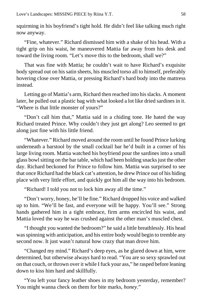squirming in his boyfriend's tight hold. He didn't feel like talking much right now anyway.

"Fine, whatever." Richard dismissed him with a shake of his head. With a tight grip on his waist, he maneuvered Mattia far away from his desk and toward the living room. "Let's move this to the bedroom, shall we?"

That was fine with Mattia; he couldn't wait to have Richard's exquisite body spread out on his satin sheets, his muscled torso all to himself, preferably hovering close over Mattia, or pressing Richard's hard body into the mattress instead.

Letting go of Mattia's arm, Richard then reached into his slacks. A moment later, he pulled out a plastic bag with what looked a lot like dried sardines in it. "Where is that little monster of yours?"

"Don't call him that," Mattia said in a chiding tone. He hated the way Richard treated Prince. Why couldn't they just get along? Leo seemed to get along just fine with his little friend.

"Whatever." Richard moved around the room until he found Prince lurking underneath a barstool by the small cocktail bar he'd built in a corner of his large living room. Mattia watched his boyfriend pour the sardines into a small glass bowl sitting on the bar table, which had been holding snacks just the other day. Richard beckoned for Prince to follow him. Mattia was surprised to see that once Richard had the black cat's attention, he drew Prince out of his hiding place with very little effort, and quickly got him all the way into his bedroom.

"Richard! I told you not to lock him away all the time."

"Don't worry, honey, he'll be fine." Richard dropped his voice and walked up to him. "We'll be fast, and everyone will be happy. You'll see." Strong hands gathered him in a tight embrace, firm arms encircled his waist, and Mattia loved the way he was crushed against the other man's muscled chest.

"I thought you wanted the bedroom?" he said a little breathlessly. His head was spinning with anticipation, and his entire body would begin to tremble any second now. It just wasn't natural how crazy that man drove him.

"Changed my mind." Richard's deep eyes, as he glared down at him, were determined, but otherwise always hard to read. "You are so sexy sprawled out on that couch, or thrown over it while I fuck your ass," he rasped before leaning down to kiss him hard and skillfully.

"You left your fancy leather shoes in my bedroom yesterday, remember? You might wanna check on them for bite marks, *honey*."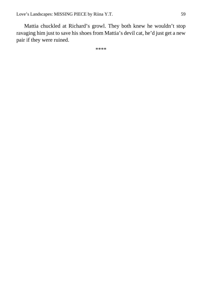Mattia chuckled at Richard's growl. They both knew he wouldn't stop ravaging him just to save his shoes from Mattia's devil cat, he'd just get a new pair if they were ruined.

\*\*\*\*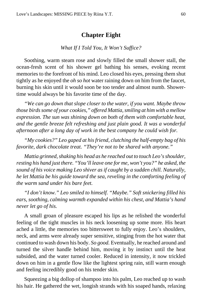# **Chapter Eight**

## *What If I Told You, It Won't Suffice?*

Soothing, warm steam rose and slowly filled the small shower stall, the ocean-fresh scent of his shower gel bathing his senses, evoking recent memories to the forefront of his mind. Leo closed his eyes, pressing them shut tightly as he enjoyed the *oh so hot* water raining down on him from the faucet, burning his skin until it would soon be too tender and almost numb. Showertime would always be his favorite time of the day.

*"We can go down that slope closer to the water, if you want. Maybe throw those birds some of your cookies," offered Mattia, smiling at him with a mellow expression. The sun was shining down on both of them with comfortable heat, and the gentle breeze felt refreshing and just plain good. It was a wonderful afternoon after a long day of work in the best company he could wish for.*

*"My cookies?" Leo gaped at his friend, clutching the half-empty bag of his favorite, dark chocolate treat. "They're not to be shared with anyone."*

*Mattia grinned, shaking his head as he reached out to touch Leo's shoulder, resting his hand just there. "You'll leave one for me, won't you?" he asked, the sound of his voice making Leo shiver as if caught by a sudden chill. Naturally, he let Mattia be his guide toward the sea, reveling in the comforting feeling of the warm sand under his bare feet.*

*"I don't know." Leo smiled to himself. "Maybe." Soft snickering filled his ears, soothing, calming warmth expanded within his chest, and Mattia's hand never let go of his.*

A small groan of pleasure escaped his lips as he relished the wonderful feeling of the tight muscles in his neck loosening up some more. His heart ached a little, the memories too bittersweet to fully enjoy. Leo's shoulders, neck, and arms were already super sensitive, stinging from the hot water that continued to wash down his body. *So good.* Eventually, he reached around and turned the silver handle behind him, moving it by instinct until the heat subsided, and the water turned cooler. Reduced in intensity, it now trickled down on him in a gentle flow like the lightest spring rain, still warm enough and feeling incredibly good on his tender skin.

Squeezing a big dollop of shampoo into his palm, Leo reached up to wash his hair. He gathered the wet, longish strands with his soaped hands, relaxing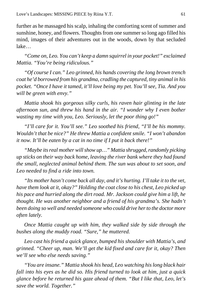further as he massaged his scalp, inhaling the comforting scent of summer and sunshine, honey, and flowers. Thoughts from one summer so long ago filled his mind, images of their adventures out in the woods, down by that secluded lake…

*"Come on, Leo. You can't keep a damn squirrel in your pocket!" exclaimed Mattia. "You're being ridiculous."*

*"Of course I can." Leo grinned, his hands covering the long brown trench coat he'd borrowed from his grandma, cradling the captured, tiny animal in his pocket. "Once I have it tamed, it'll love being my pet. You'll see, Tia. And you will be green with envy."*

*Mattia shook his gorgeous silky curls, his raven hair glinting in the late afternoon sun, and threw his hand in the air. "I wonder why I even bother wasting my time with you, Leo. Seriously, let the poor thing go!"*

*"I'll care for it. You'll see." Leo soothed his friend, "I'll be his mommy. Wouldn't that be nice?" He threw Mattia a confident smile. "I won't abandon it now. It'll be eaten by a cat in no time if I put it back there!"*

*"Maybe its real mother will show up…" Mattia shrugged, randomly picking up sticks on their way back home, leaving the river bank where they had found the small, neglected animal behind them. The sun was about to set soon, and Leo needed to find a ride into town.*

*"Its mother hasn't come back all day, and it's hurting. I'll take it to the vet, have them look at it, okay?" Holding the coat close to his chest, Leo picked up his pace and hurried along the dirt road. Mr. Jackson could give him a lift, he thought. He was another neighbor and a friend of his grandma's. She hadn't been doing so well and needed someone who could drive her to the doctor more often lately.*

*Once Mattia caught up with him, they walked side by side through the bushes along the muddy road. "Sure," he muttered.* 

*Leo cast his friend a quick glance, bumped his shoulder with Mattia's, and grinned. "Cheer up, man. We'll get the kid fixed and care for it, okay? Then we'll see who else needs saving."*

*"You are insane." Mattia shook his head, Leo watching his long black hair fall into his eyes as he did so. His friend turned to look at him, just a quick glance before he returned his gaze ahead of them. "But I like that, Leo, let's save the world. Together."*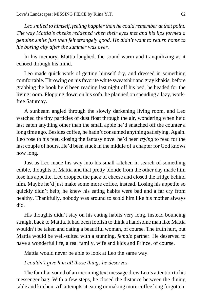*Leo smiled to himself, feeling happier than he could remember at that point. The way Mattia's cheeks reddened when their eyes met and his lips formed a genuine smile just then felt strangely good. He didn't want to return home to his boring city after the summer was over.*

In his memory, Mattia laughed, the sound warm and tranquilizing as it echoed through his mind.

Leo made quick work of getting himself dry, and dressed in something comfortable. Throwing on his favorite white sweatshirt and gray khakis, before grabbing the book he'd been reading last night off his bed, he headed for the living room. Plopping down on his sofa, he planned on spending a lazy, workfree Saturday.

A sunbeam angled through the slowly darkening living room, and Leo watched the tiny particles of dust float through the air, wondering when he'd last eaten anything other than the small apple he'd snatched off the counter a long time ago. Besides coffee, he hadn't consumed anything satisfying. Again. Leo rose to his feet, closing the fantasy novel he'd been *trying* to read for the last couple of hours. He'd been stuck in the middle of a chapter for God knows how long.

Just as Leo made his way into his small kitchen in search of something edible, thoughts of Mattia and that pretty blonde from the other day made him lose his appetite. Leo dropped the pack of cheese and closed the fridge behind him. Maybe he'd just make some more coffee, instead. Losing his appetite so quickly didn't help; he knew his eating habits were bad and a far cry from healthy. Thankfully, nobody was around to scold him like his mother always did.

His thoughts didn't stay on his eating habits very long, instead bouncing straight back to Mattia. It had been foolish to think a handsome man like Mattia wouldn't be taken and dating a beautiful woman, of course. The truth hurt, but Mattia would be well-suited with a stunning, *female* partner. He deserved to have a wonderful life, a real family, wife and kids and Prince, of course.

Mattia would never be able to look at Leo the same way.

*I couldn't give him all those things he deserves.*

The familiar sound of an incoming text message drew Leo's attention to his messenger bag. With a few steps, he closed the distance between the dining table and kitchen. All attempts at eating or making more coffee long forgotten,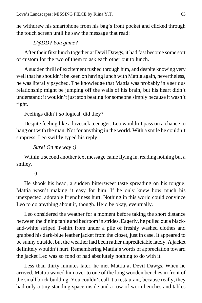he withdrew his smartphone from his bag's front pocket and clicked through the touch screen until he saw the message that read:

*L@DD? You game?*

After their first lunch together at Devil Dawgs, it had fast become some sort of custom for the two of them to ask each other out to lunch.

A sudden thrill of excitement rushed through him, and despite knowing very well that he shouldn't be keen on having lunch with Mattia again, nevertheless, he was literally psyched. The knowledge that Mattia was probably in a serious relationship might be jumping off the walls of his brain, but his heart didn't understand; it wouldn't just stop beating for someone simply because it wasn't right.

Feelings didn't *do* logical, did they?

Despite feeling like a lovesick teenager, Leo wouldn't pass on a chance to hang out with the man. Not for anything in the world. With a smile he couldn't suppress, Leo swiftly typed his reply.

*Sure! On my way ;)*

Within a second another text message came flying in, reading nothing but a smiley.

*:)*

He shook his head, a sudden bittersweet taste spreading on his tongue. Mattia wasn't making it easy for him. If he only knew how much his unexpected, adorable friendliness hurt. Nothing in this world could convince Leo to do anything about it, though. He'd be okay, eventually.

Leo considered the weather for a moment before taking the short distance between the dining table and bedroom in strides. Eagerly, he pulled out a blackand-white striped T-shirt from under a pile of freshly washed clothes and grabbed his dark-blue leather jacket from the closet, just in case. It appeared to be sunny outside, but the weather had been rather unpredictable lately. A jacket definitely wouldn't hurt. Remembering Mattia's words of appreciation toward the jacket Leo was so fond of had absolutely nothing to do with it.

Less than thirty minutes later, he met Mattia at Devil Dawgs. When he arrived, Mattia waved him over to one of the long wooden benches in front of the small brick building. You couldn't call it a restaurant, because really, they had only a tiny standing space inside and a row of worn benches and tables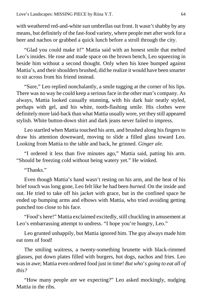with weathered red-and-white sun umbrellas out front. It wasn't shabby by any means, but definitely of the fast-food variety, where people met after work for a beer and nachos or grabbed a quick lunch before a stroll through the city.

"Glad you could make it!" Mattia said with an honest smile that melted Leo's insides. He rose and made space on the brown bench, Leo squeezing in beside him without a second thought. Only when his knee bumped against Mattia's, and their shoulders brushed, did he realize it would have been smarter to sit across from his friend instead.

"Sure," Leo replied nonchalantly, a smile tugging at the corner of his lips. There was no way he could keep a serious face in the other man's company. As always, Mattia looked casually stunning, with his dark hair neatly styled, perhaps with gel, and his white, tooth-flashing smile. His clothes were definitely more laid-back than what Mattia usually wore, yet they still appeared stylish. White button-down shirt and dark jeans never failed to impress.

Leo startled when Mattia touched his arm, and brushed along his fingers to draw his attention downward, moving to slide a filled glass toward Leo. Looking from Mattia to the table and back, he grinned. *Ginger ale.*

"I ordered it less than five minutes ago," Mattia said, patting his arm. "Should be freezing cold without being watery yet." He winked.

"Thanks."

Even though Mattia's hand wasn't resting on his arm, and the heat of his brief touch was long gone, Leo felt like he had been *burned.* On the inside and out. He tried to take off his jacket with grace, but in the confined space he ended up bumping arms and elbows with Mattia, who tried avoiding getting punched too close to his face.

"Food's here!" Mattia exclaimed excitedly, still chuckling in amusement at Leo's embarrassing attempt to undress. "I hope you're hungry, Leo."

Leo grunted unhappily, but Mattia ignored him. The guy always made him eat *tons* of food!

The smiling waitress, a twenty-something brunette with black-rimmed glasses, put down plates filled with burgers, hot dogs, nachos and fries. Leo was in awe; Mattia even ordered food just in time! *But who*'*s going to eat all of this?*

"How many people are we expecting?" Leo asked mockingly, nudging Mattia in the ribs.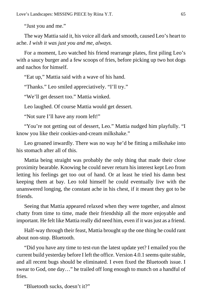"Just you and me."

The way Mattia said it, his voice all dark and smooth, caused Leo's heart to ache. *I wish it was just you and me, always.*

For a moment, Leo watched his friend rearrange plates, first piling Leo's with a saucy burger and a few scoops of fries, before picking up two hot dogs and nachos for himself.

"Eat up," Mattia said with a wave of his hand.

"Thanks." Leo smiled appreciatively. "I'll try."

"We'll get dessert too." Mattia winked.

Leo laughed. Of course Mattia would get dessert.

"Not sure I'll have any room left!"

"You're not getting out of dessert, Leo." Mattia nudged him playfully. "I know you like their cookies-and-cream milkshake."

Leo groaned inwardly. There was no way he'd be fitting a milkshake into his stomach after all of this.

Mattia being straight was probably the only thing that made their close proximity bearable. Knowing he could never return his interest kept Leo from letting his feelings get too out of hand. Or at least he tried his damn best keeping them at bay. Leo told himself he could eventually live with the unanswered longing, the constant ache in his chest, if it meant they got to be friends.

Seeing that Mattia appeared relaxed when they were together, and almost chatty from time to time, made their friendship all the more enjoyable and important. He felt like Mattia really did need him, even if it was just as a friend.

Half-way through their feast, Mattia brought up the one thing he could rant about non-stop. Bluetooth.

"Did you have any time to test-run the latest update yet? I emailed you the current build yesterday before I left the office. Version 4.0.1 seems quite stable, and all recent bugs should be eliminated. I even fixed the Bluetooth issue. I swear to God, one day…" he trailed off long enough to munch on a handful of fries.

"Bluetooth sucks, doesn't it?"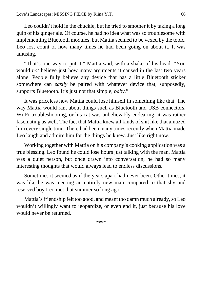Leo couldn't hold in the chuckle, but he tried to smother it by taking a long gulp of his ginger ale. Of course, he had no idea what was so troublesome with implementing Bluetooth modules, but Mattia seemed to be vexed by the topic. Leo lost count of how many times he had been going on about it. It was amusing.

"That's one way to put it," Mattia said, with a shake of his head. "You would *not* believe just how many arguments it caused in the last two years alone. People fully believe any device that has a little Bluetooth sticker somewhere can *easily* be paired with whatever device that, supposedly, supports Bluetooth. It's just not that simple, *baby.*"

It was priceless how Mattia could lose himself in something like that. The way Mattia would rant about things such as Bluetooth and USB connectors, Wi-Fi troubleshooting, or his cat was unbelievably endearing; it was rather fascinating as well. The fact that Mattia knew all kinds of shit like that amazed him every single time. There had been many times recently when Mattia made Leo laugh and admire him for the things he knew. Just like right now.

Working together with Mattia on his company's cooking application was a true blessing. Leo found he could lose hours just talking with the man. Mattia was a quiet person, but once drawn into conversation, he had so many interesting thoughts that would always lead to endless discussions.

Sometimes it seemed as if the years apart had never been. Other times, it was like he was meeting an entirely new man compared to that shy and reserved boy Leo met that summer so long ago.

Mattia's friendship felt too good, and meant too damn much already, so Leo wouldn't willingly want to jeopardize, or even end it, just because his love would never be returned.

\*\*\*\*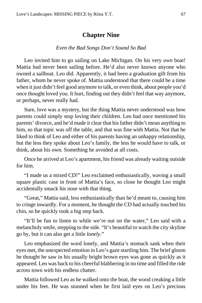## **Chapter Nine**

#### *Even the Bad Songs Don't Sound So Bad*

Leo invited him to go sailing on Lake Michigan. On his very *own* boat! Mattia had never been sailing before. He'd also never known anyone who owned a sailboat. Leo did. Apparently, it had been a graduation gift from his father, whom he never spoke of. Mattia understood that there could be a time when it just didn't feel good anymore to talk, or even think, about people you'd once thought loved you. It hurt, finding out they didn't feel that way anymore, or perhaps, never really had.

Sure, love was a mystery, but the thing Mattia never understood was how parents could simply stop loving their children. Leo had once mentioned his parents' divorce, and he'd made it clear that his father didn't mean anything to him, so that topic was off the table, and that was fine with Mattia. Not that he liked to think of Leo and either of his parents having an unhappy relationship, but the less they spoke about Leo's family, the less he would have to talk, or think, about his own. Something he avoided at all costs.

Once he arrived at Leo's apartment, his friend was already waiting outside for him.

"I made us a mixed CD!" Leo exclaimed enthusiastically, waving a small square plastic case in front of Mattia's face, so close he thought Leo might accidentally smack his nose with that thing.

"Great," Mattia said, less enthusiastically than he'd meant to, causing him to cringe inwardly. For a moment, he thought the CD had actually touched his chin, so he quickly took a big step back.

"It'll be fun to listen to while we're out on the water," Leo said with a melancholy smile, stepping to the side. "It's beautiful to watch the city skyline go by, but it can also get a little *lonely.*"

Leo emphasized the word lonely, and Mattia's stomach sank when their eyes met, the unexpected emotion in Leo's gaze startling him. The brief gloom he thought he saw in his usually bright brown eyes was gone as quickly as it appeared. Leo was back to his cheerful blabbering in no time and filled the ride across town with his endless chatter.

Mattia followed Leo as he walked onto the boat, the wood creaking a little under his feet. He was stunned when he first laid eyes on Leo's precious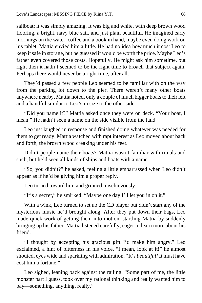sailboat; it was simply amazing. It was big and white, with deep brown wood flooring, a bright, navy blue sail, and just plain beautiful. He imagined early mornings on the water, coffee and a book in hand, maybe even doing work on his tablet. Mattia envied him a little. He had no idea how much it cost Leo to keep it safe in storage, but he guessed it would be worth the price. Maybe Leo's father even covered those costs. Hopefully. He might ask him sometime, but right then it hadn't seemed to be the right time to broach that subject again. Perhaps there would never be a right time, after all.

They'd passed a few people Leo seemed to be familiar with on the way from the parking lot down to the pier. There weren't many other boats anywhere nearby, Mattia noted, only a couple of much bigger boats to their left and a handful similar to Leo's in size to the other side.

"Did you name it?" Mattia asked once they were on deck. "Your boat, I mean." He hadn't seen a name on the side visible from the land.

Leo just laughed in response and finished doing whatever was needed for them to get ready. Mattia watched with rapt interest as Leo moved about back and forth, the brown wood creaking under his feet.

Didn't people name their boats? Mattia wasn't familiar with rituals and such, but he'd seen all kinds of ships and boats with a name.

"So, you didn't?" he asked, feeling a little embarrassed when Leo didn't appear as if he'd be giving him a proper reply.

Leo turned toward him and grinned mischievously.

"It's a secret," he smirked. "Maybe one day I'll let you in on it."

With a wink, Leo turned to set up the CD player but didn't start any of the mysterious music he'd brought along. After they put down their bags, Leo made quick work of getting them into motion, startling Mattia by suddenly bringing up his father. Mattia listened carefully, eager to learn more about his friend.

"I thought by accepting his gracious gift I'd make him angry," Leo exclaimed, a hint of bitterness in his voice. "I mean, look at it!" he almost shouted, eyes wide and sparkling with admiration. "It's *beautiful!* It must have cost him a fortune."

Leo sighed, leaning back against the railing. "Some part of me, the little monster part I guess, took over my rational thinking and really wanted him to pay—something, anything, really."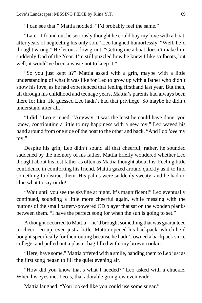"I can see that." Mattia nodded. "I'd probably feel the same."

"Later, I found out he seriously thought he could buy my love with a boat, after years of neglecting his only son." Leo laughed humorlessly. "Well, he'd thought wrong." He let out a low grunt. "Getting me a boat doesn't make him suddenly Dad of the Year. I'm still puzzled how he knew I like sailboats, but well, it would've been a waste not to keep it."

"So you just kept it?" Mattia asked with a grin, maybe with a little understanding of what it was like for Leo to grow up with a father who didn't show his love, as he had experienced that feeling firsthand last year. But then, all through his childhood and teenage years, Mattia's parents had always been there for him. He guessed Leo hadn't had that privilege. So maybe he didn't understand after all.

"I did." Leo grinned. "Anyway, it was the least he could have done, you know, contributing a little to my happiness with a new toy." Leo waved his hand around from one side of the boat to the other and back. "And I do *love* my toy."

Despite his grin, Leo didn't sound all that cheerful; rather, he sounded saddened by the memory of his father. Mattia briefly wondered whether Leo thought about his lost father as often as Mattia thought about his. Feeling little confidence in comforting his friend, Mattia gazed around quickly as if to find something to distract them. His palms were suddenly sweaty, and he had no clue what to say or do!

"Wait until you see the skyline at night. It's magnificent!" Leo eventually continued, sounding a little more cheerful again, while messing with the buttons of the small battery-powered CD player that sat on the wooden planks between them. "I have the perfect song for when the sun is going to set."

A thought occurred to Mattia—he'd brought something that was guaranteed to cheer Leo up, even just a little. Mattia opened his backpack, which he'd bought specifically for their outing because he hadn't owned a backpack since college, and pulled out a plastic bag filled with tiny brown cookies.

"Here, have some," Mattia offered with a smile, handing them to Leo just as the first song began to fill the quiet evening air.

"How did you know that's what I needed?" Leo asked with a chuckle. When his eyes met Leo's, that adorable grin grew even wider.

Mattia laughed. "You looked like you could use some sugar."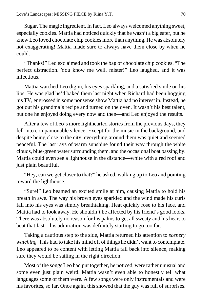Sugar. The magic ingredient. In fact, Leo always welcomed anything sweet, especially cookies. Mattia had noticed quickly that he wasn't a big eater, but he knew Leo loved chocolate chip cookies more than anything. He was absolutely not exaggerating! Mattia made sure to always have them close by when he could.

"Thanks!" Leo exclaimed and took the bag of chocolate chip cookies. "The perfect distraction. You know me well, mister!" Leo laughed, and it was infectious.

Mattia watched Leo dig in, his eyes sparkling, and a satisfied smile on his lips. He was glad he'd baked them last night when Richard had been hogging his TV, engrossed in some nonsense show Mattia had no interest in. Instead, he got out his grandma's recipe and turned on the oven. It wasn't his best talent, but one he enjoyed doing every now and then—and Leo enjoyed the results.

After a few of Leo's more lighthearted stories from the previous days, they fell into companionable silence. Except for the music in the background, and despite being close to the city, everything around them was quiet and seemed peaceful. The last rays of warm sunshine found their way through the white clouds, blue-green water surrounding them, and the occasional boat passing by. Mattia could even see a lighthouse in the distance—white with a red roof and just plain beautiful.

"Hey, can we get closer to that?" he asked, walking up to Leo and pointing toward the lighthouse.

"Sure!" Leo beamed an excited smile at him, causing Mattia to hold his breath in awe. The way his brown eyes sparkled and the wind made his curls fall into his eyes was simply breathtaking. Heat quickly rose to his face, and Mattia had to look away. He shouldn't be affected by his friend's good looks. There was absolutely no reason for his palms to get all sweaty and his heart to beat that fast—his admiration was definitely starting to go too far.

Taking a cautious step to the side, Mattia returned his attention to *scenery watching.* This had to take his mind off of things he didn't want to contemplate. Leo appeared to be content with letting Mattia fall back into silence, making sure they would be sailing in the right direction.

Most of the songs Leo had put together, he noticed, were rather unusual and some even just plain weird. Mattia wasn't even able to honestly tell what languages some of them were. A few songs were only instrumentals and were his favorites, so far. Once again, this showed that the guy was full of surprises.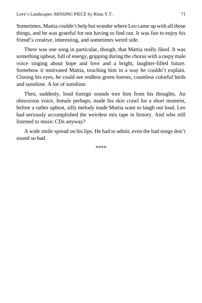Sometimes, Mattia couldn't help but wonder where Leo came up with all those things, and he was grateful for not having to find out. It was fun to enjoy his friend's creative, interesting, and sometimes weird side.

There was one song in particular, though, that Mattia really liked. It was something upbeat, full of energy, gripping during the chorus with a raspy male voice singing about hope and love and a bright, laughter-filled future. Somehow it motivated Mattia, touching him in a way he couldn't explain. Closing his eyes, he could see endless green forests, countless colorful birds and sunshine. A lot of sunshine.

Then, suddenly, loud foreign sounds tore him from his thoughts. An obnoxious voice, female perhaps, made his skin crawl for a short moment, before a rather upbeat, silly melody made Mattia want to laugh out loud. Leo had seriously accomplished the weirdest mix tape in history. And who still listened to music CDs anyway?

A wide smile spread on his lips. He had to admit, even the bad songs don't sound so bad.

\*\*\*\*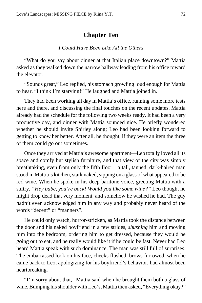## **Chapter Ten**

### *I Could Have Been Like All the Others*

"What do you say about dinner at that Italian place downtown?" Mattia asked as they walked down the narrow hallway leading from his office toward the elevator.

"Sounds great," Leo replied, his stomach growling loud enough for Mattia to hear. "I think I'm starving!" He laughed and Mattia joined in.

They had been working all day in Mattia's office, running some more tests here and there, and discussing the final touches on the recent updates. Mattia already had the schedule for the following two weeks ready. It had been a very productive day, and dinner with Mattia sounded nice. He briefly wondered whether he should invite Shirley along; Leo had been looking forward to getting to know her better. After all, he thought, if they were an item the three of them could go out sometimes.

Once they arrived at Mattia's awesome apartment—Leo totally loved all its space and comfy but stylish furniture, and that view of the city was simply breathtaking, even from only the fifth floor—a tall, tanned, dark-haired man stood in Mattia's kitchen, stark naked, sipping on a glass of what appeared to be red wine. When he spoke in his deep baritone voice, greeting Mattia with a sultry, *"Hey babe, you're back! Would you like some wine?"* Leo thought he might drop dead that very moment, and somehow he wished he had. The guy hadn't even acknowledged him in any way and probably never heard of the words "decent" or "manners".

He could only watch, horror-stricken, as Mattia took the distance between the door and his naked boyfriend in a few strides, *shushing* him and moving him into the bedroom, ordering him to get dressed, because they would be going out to eat, and he really would like it if he could be fast. Never had Leo heard Mattia speak with such dominance. The man was still full of surprises. The embarrassed look on his face, cheeks flushed, brows furrowed, when he came back to Leo, apologizing for his boyfriend's behavior, had almost been heartbreaking.

"I'm sorry about that," Mattia said when he brought them both a glass of wine. Bumping his shoulder with Leo's, Mattia then asked, "Everything okay?"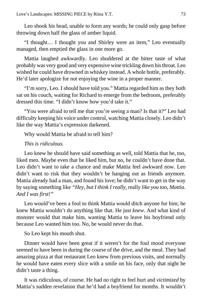Leo shook his head, unable to form any words; he could only gasp before throwing down half the glass of amber liquid.

"I thought… I thought you and Shirley were an item," Leo eventually managed, then emptied the glass in one more go.

Mattia laughed awkwardly. Leo shuddered at the bitter taste of what probably was very good and very expensive wine trickling down his throat. Leo wished he could have drowned in whiskey instead. A whole bottle, preferably. He'd later apologize for not enjoying the wine in a proper manner.

"I'm sorry, Leo. I should have told you." Mattia regarded him as they both sat on his couch, waiting for Richard to emerge from the bedroom, preferably dressed this time. "I didn't know how you'd take it."

"You were afraid to tell me that you're seeing a man? Is that it?" Leo had difficulty keeping his voice under control, watching Mattia closely. Leo didn't like the way Mattia's expression darkened.

Why would Mattia be afraid to tell him?

*This is ridiculous.*

Leo knew he should have said something as well, told Mattia that he, too, liked men. Maybe even that he liked him, but no, he couldn't have done that. Leo didn't want to take a chance and make Mattia feel awkward now. Leo didn't want to risk that they wouldn't be hanging out as friends anymore. Mattia already had a man, and found his love; he didn't want to get in the way by saying something like *"Hey, but I think I really,* really *like you too, Mattia. And I was first!"*

Leo would've been a fool to think Mattia would ditch anyone for him; he knew Mattia wouldn't do anything like that. He just *knew*. And what kind of monster would that make him, wanting Mattia to leave his boyfriend only because Leo wanted him too. No, he would never do that.

So Leo kept his mouth shut.

Dinner would have been great if it weren't for the foul mood everyone seemed to have been in during the course of the drive, and the meal. They had amazing pizza at that restaurant Leo knew from previous visits, and normally he would have eaten every slice with a smile on his face, only that night he didn't taste a thing.

It was ridiculous, of course. He had no right to feel hurt and *victimized* by Mattia's sudden revelation that he'd had a boyfriend for months. It wouldn't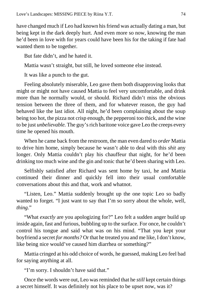have changed much if Leo had known his friend was actually dating a man, but being kept in the dark deeply hurt. And even more so now, knowing the man he'd been in love with for years could have been his for the taking if fate had wanted them to be together.

But fate didn't, and he hated it.

Mattia wasn't straight, but still, he loved someone else instead.

It was like a punch to the gut.

Feeling absolutely miserable, Leo gave them both disapproving looks that might or might not have caused Mattia to feel very uncomfortable, and drink more than he normally would, or should. Richard didn't miss the obvious tension between the three of them, and for whatever reason, the guy had behaved like the last idiot. All night, he'd been complaining about the soup being too hot, the pizza not crisp enough, the pepperoni too thick, and the wine to be just *unbelievable.* The guy's rich baritone voice gave Leo the creeps every time he opened his mouth.

When he came back from the restroom, the man even dared to *order* Mattia to drive him home, simply because he wasn't able to deal with this *shit* any longer. Only Mattia couldn't play his chauffeur that night, for he'd been drinking too much wine and the gin and tonic that he'd been sharing with Leo.

Selfishly satisfied after Richard was sent home by taxi, he and Mattia continued their dinner and quickly fell into their usual comfortable conversations about this and that, work and whatnot.

"Listen, Leo." Mattia suddenly brought up the one topic Leo so badly wanted to forget. "I just want to say that I'm so sorry about the whole, well, *thing.*"

"What *exactly* are you apologizing for?" Leo felt a sudden anger build up inside again, fast and furious, bubbling up to the surface. For once, he couldn't control his tongue and said what was on his mind. "That you kept your boyfriend a secret *for months?* Or that he treated you and me like, I don't know, like being nice would've caused him diarrhea or something?"

Mattia cringed at his odd choice of words, he guessed, making Leo feel bad for saying anything at all.

"I'm sorry. I shouldn't have said that."

Once the words were out, Leo was reminded that he *still* kept certain things a secret himself. It was definitely not his place to be upset now, was it?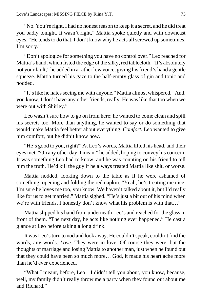"No. You're right, I had no honest reason to keep it a secret, and he did treat you badly tonight. It wasn't right," Mattia spoke quietly and with downcast eyes. "He tends to do that. I don't know why he acts all screwed up sometimes. I'm sorry."

"Don't apologize for something you have no control over." Leo reached for Mattia's hand, which fisted the edge of the silky, red tablecloth. "It's absolutely not your fault," he added in a rather low voice, giving his friend's hand a gentle squeeze. Mattia turned his gaze to the half-empty glass of gin and tonic and nodded.

"It's like he hates seeing me with anyone," Mattia almost whispered. "And, you know, I don't have any other friends, really. He was like that too when we were out with Shirley."

Leo wasn't sure how to go on from here; he wanted to come clean and spill his secrets too. More than anything, he wanted to say or do something that would make Mattia feel better about everything. *Comfort.* Leo wanted to give him comfort, but he didn't know how.

"He's good to you, right?" At Leo's words, Mattia lifted his head, and their eyes met. "On any other day, I mean," he added, hoping to convey his concern. It was something Leo had to know, and he was counting on his friend to tell him the truth. He'd kill the guy if he always treated Mattia like shit, or worse.

Mattia nodded, looking down to the table as if he were ashamed of something, opening and folding the red napkin. "Yeah, he's treating me nice. I'm sure he loves me too, you know. We haven't talked about it, but I'd really like for us to get married." Mattia sighed. "He's just a bit out of his mind when we're with friends. I honestly don't know what his problem is with that…"

Mattia slipped his hand from underneath Leo's and reached for the glass in front of them. "The next day, he acts like nothing ever happened." He cast a glance at Leo before taking a long drink.

It was Leo's turn to nod and look away. He couldn't speak, couldn't find the words, any words. *Love.* They were in love. Of course they were, but the thoughts of marriage and losing Mattia to another man, just when he found out that they could have been so much more… God, it made his heart ache more than he'd ever experienced.

"What I meant, before, Leo—I didn't tell you about, you know, because, well, my family didn't really throw me a party when they found out about me and Richard."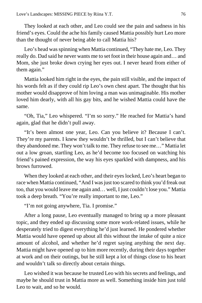They looked at each other, and Leo could see the pain and sadness in his friend's eyes. Could the ache his family caused Mattia possibly hurt Leo more than the thought of never being able to call Mattia his?

Leo's head was spinning when Mattia continued, "They hate me, Leo. They really do. Dad said he never wants me to set foot in their house again and… and Mom, she just broke down crying her eyes out. I never heard from either of them again."

Mattia looked him right in the eyes, the pain still visible, and the impact of his words felt as if they could rip Leo's own chest apart. The thought that his mother would disapprove of him loving a man was unimaginable. His mother loved him dearly, with all his gay bits, and he wished Mattia could have the same.

"Oh, Tia," Leo whispered. "I'm so sorry." He reached for Mattia's hand again, glad that he didn't pull away.

"It's been almost one year, Leo. Can you believe it? Because I can't. They're my parents. I knew they wouldn't be thrilled, but I can't believe that they abandoned me. They won't talk to me. They refuse to see me…" Mattia let out a low groan, startling Leo, as he'd become too focused on watching his friend's pained expression, the way his eyes sparkled with dampness, and his brows furrowed.

When they looked at each other, and their eyes locked, Leo's heart began to race when Mattia continued, "And I was just too scared to think you'd freak out too, that you would leave me again and… well, I just couldn't lose you." Mattia took a deep breath. "You're really important to me, Leo."

"I'm not going anywhere, Tia. I promise."

After a long pause, Leo eventually managed to bring up a more pleasant topic, and they ended up discussing some more work-related issues, while he desperately tried to digest everything he'd just learned. He pondered whether Mattia would have opened up about all this without the intake of quite a nice amount of alcohol, and whether he'd regret saying anything the next day. Mattia might have opened up to him more recently, during their days together at work and on their outings, but he still kept a lot of things close to his heart and wouldn't talk so directly about certain things.

Leo wished it was because he trusted Leo with his secrets and feelings, and maybe he should trust in Mattia more as well. Something inside him just told Leo to wait, and so he would.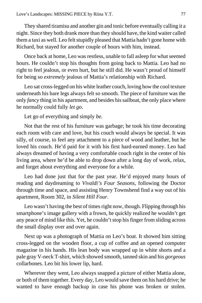They shared tiramisu and another gin and tonic before eventually calling it a night. Since they both drank more than they should have, the kind waiter called them a taxi as well. Leo felt stupidly pleased that Mattia hadn't gone home with Richard, but stayed for another couple of hours with him, instead.

Once back at home, Leo was restless, unable to fall asleep for what seemed hours. He couldn't stop his thoughts from going back to Mattia. Leo had no right to feel jealous, or even hurt, but he still did. He wasn't proud of himself for being so *extremely* jealous of Mattia's relationship with Richard.

Leo sat cross-legged on his white leather couch, loving how the cool texture underneath his bare legs always felt so smooth. The piece of furniture was the only *fancy* thing in his apartment, and besides his sailboat, the only place where he normally could fully *let go*.

Let go of everything and simply *be.*

Not that the rest of his furniture was garbage; he took his time decorating each room with care and love, but his couch would always be special. It was silly, of course, to feel any attachment to a piece of wood and leather, but he loved his couch. He'd paid for it with his first hard-earned money. Leo had always dreamed of having a very comfortable couch right in the center of his living area, where he'd be able to drop down after a long day of work, relax, and forget about everything and everyone for a while.

Leo had done just that for the past year. He'd enjoyed many hours of reading and daydreaming to *Vivaldi's Four Seasons*, following the Doctor through time and space, and assisting Henry Townshend find a way out of his apartment, Room 302, in *Silent Hill Four*.

Leo wasn't having the best of times right now, though. Flipping through his smartphone's image gallery with a frown, he quickly realized he wouldn't get any peace of mind like this. Yet, he couldn't stop his finger from sliding across the small display over and over again.

Next up was a photograph of Mattia on Leo's boat. It showed him sitting cross-legged on the wooden floor, a cup of coffee and an opened computer magazine in his hands. His lean body was wrapped up in white shorts and a pale gray V-neck T-shirt, which showed smooth, tanned skin and his *gorgeous* collarbones. Leo bit his lower lip, hard.

Wherever they went, Leo always snapped a picture of either Mattia alone, or both of them together. Every day, Leo would save them on his hard drive; he wanted to have enough backup in case his phone was broken or stolen.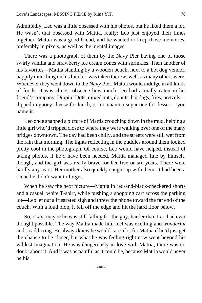Admittedly, Leo was a little obsessed with his photos, but he liked them a lot. He wasn't that obsessed with Mattia, really; Leo just enjoyed their times together. Mattia was a good friend, and he wanted to keep those memories, preferably in pixels, as well as the mental images.

There was a photograph of them by the Navy Pier having one of those swirly vanilla and strawberry ice cream cones with sprinkles. Then another of his favorites—Mattia standing by a wooden bench, next to a hot dog vendor, happily munching on his lunch—was taken there as well, as many others were. Whenever they went down to the Navy Pier, Mattia would indulge in all kinds of foods. It was almost obscene how much Leo had actually eaten in his friend's company. Dippin' Dots, mixed nuts, donuts, hot dogs, fries, pretzels dipped in gooey cheese for lunch, or a cinnamon sugar one for dessert—you name it.

Leo once snapped a picture of Mattia crouching down in the mud, helping a little girl who'd tripped close to where they were walking over one of the many bridges downtown. The day had been chilly, and the streets were still wet from the rain that morning. The lights reflecting in the puddles around them looked pretty cool in the photograph. Of course, Leo would have helped, instead of taking photos, if he'd have been needed. Mattia managed fine by himself, though, and the girl was really brave for her five or six years. There were hardly any tears. Her mother also quickly caught up with them. It had been a scene he didn't want to forget.

When he saw the next picture—Mattia in red-and-black-checkered shorts and a casual, white T-shirt, while pushing a shopping cart across the parking lot—Leo let out a frustrated sigh and threw the phone toward the far end of the couch. With a loud plop, it fell off the edge and hit the hard floor below.

So, okay, maybe he was still falling for the guy, harder than Leo had ever thought possible. The way Mattia made him feel was exciting and *wonderful* and so addicting. He always knew he would care a lot for Mattia if he'd just get the chance to be closer, but what he was feeling right now went beyond his wildest imagination. He was dangerously in love with Mattia; there was no doubt about it. And it was as painful as it could be, because Mattia would never be his.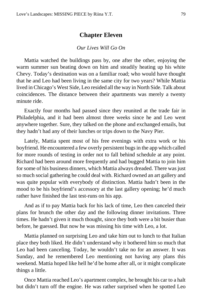## **Chapter Eleven**

#### *Our Lives Will Go On*

Mattia watched the buildings pass by, one after the other, enjoying the warm summer sun beating down on him and steadily heating up his white Chevy. Today's destination was on a familiar road; who would have thought that he and Leo had been living in the same city for two years? While Mattia lived in Chicago's West Side, Leo resided all the way in North Side. Talk about coincidences. The distance between their apartments was merely a twenty minute ride.

Exactly four months had passed since they reunited at the trade fair in Philadelphia, and it had been almost three weeks since he and Leo went anywhere together. Sure, they talked on the phone and exchanged emails, but they hadn't had any of their lunches or trips down to the Navy Pier.

Lately, Mattia spent most of his free evenings with extra work or his boyfriend. He encountered a few overly persistent bugs in the app which called for more rounds of testing in order not to fall behind schedule at any point. Richard had been around more frequently and had bugged Mattia to join him for some of his business dinners, which Mattia always dreaded. There was just so much social gathering he could deal with. Richard owned an art gallery and was quite popular with everybody of distinction. Mattia hadn't been in the mood to be his boyfriend's accessory at the last gallery opening; he'd much rather have finished the last test-runs on his app.

And as if to pay Mattia back for his lack of time, Leo then canceled their plans for brunch the other day and the following dinner invitations. Three times. He hadn't given it much thought, since they both were a bit busier than before, he guessed. But now he was missing his time with Leo, a lot.

Mattia planned on surprising Leo and take him out to lunch to that Italian place they both liked. He didn't understand why it bothered him so much that Leo had been canceling. Today, he wouldn't take no for an answer. It was Sunday, and he remembered Leo mentioning not having any plans this weekend. Mattia hoped like hell he'd be home after all, or it might complicate things a little.

Once Mattia reached Leo's apartment complex, he brought his car to a halt but didn't turn off the engine. He was rather surprised when he spotted Leo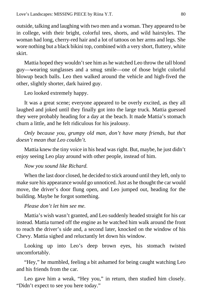outside, talking and laughing with two men and a woman. They appeared to be in college, with their bright, colorful tees, shorts, and wild hairstyles. The woman had long, cherry-red hair and a lot of tattoos on her arms and legs. She wore nothing but a black bikini top, combined with a very short, fluttery, white skirt.

Mattia hoped they wouldn't see him as he watched Leo throw the tall blond guy—wearing sunglasses and a smug smile—one of those bright colorful blowup beach balls. Leo then walked around the vehicle and high-fived the other, slightly shorter, dark haired guy.

Leo looked extremely happy.

It was a great scene; everyone appeared to be overly excited, as they all laughed and joked until they finally got into the large truck. Mattia guessed they were probably heading for a day at the beach. It made Mattia's stomach churn a little, and he felt ridiculous for his jealousy.

*Only because you, grumpy old man, don't have many friends, but that doesn't mean that Leo couldn't.*

Mattia knew the tiny voice in his head was right. But, maybe, he just didn't enjoy seeing Leo play around with other people, instead of him.

## *Now you sound like Richard.*

When the last door closed, he decided to stick around until they left, only to make sure his appearance would go unnoticed. Just as he thought the car would move, the driver's door flung open, and Leo jumped out, heading for the building. Maybe he forgot something.

## *Please don't let him see me.*

Mattia's wish wasn't granted, and Leo suddenly headed straight for his car instead. Mattia turned off the engine as he watched him walk around the front to reach the driver's side and, a second later, knocked on the window of his Chevy. Mattia sighed and reluctantly let down his window.

Looking up into Leo's deep brown eyes, his stomach twisted uncomfortably.

"Hey," he mumbled, feeling a bit ashamed for being caught watching Leo and his friends from the car.

Leo gave him a weak, "Hey you," in return, then studied him closely. "Didn't expect to see you here today."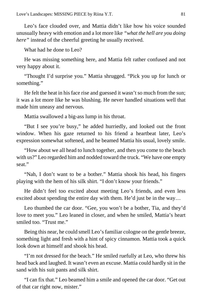Leo's face clouded over, and Mattia didn't like how his voice sounded unusually heavy with emotion and a lot more like *"what the hell are you doing here"* instead of the cheerful greeting he usually received.

What had he done to Leo?

He was missing something here, and Mattia felt rather confused and not very happy about it.

"Thought I'd surprise you." Mattia shrugged. "Pick you up for lunch or something."

He felt the heat in his face rise and guessed it wasn't so much from the sun; it was a lot more like he was blushing. He never handled situations well that made him uneasy and nervous.

Mattia swallowed a big-ass lump in his throat.

"But I see you're busy," he added hurriedly, and looked out the front window. When his gaze returned to his friend a heartbeat later, Leo's expression somewhat softened, and he beamed Mattia his usual, lovely smile.

"How about we all head to lunch together, and then you come to the beach with us?" Leo regarded him and nodded toward the truck. "We have one empty seat."

"Nah, I don't want to be a bother." Mattia shook his head, his fingers playing with the hem of his silk shirt. "I don't know your friends."

He didn't feel too excited about meeting Leo's friends, and even less excited about spending the entire day with them. He'd just be in the way…

Leo thumbed the car door. "Gee, you won't be a bother, Tia, and they'd love to meet you." Leo leaned in closer, and when he smiled, Mattia's heart smiled too. "Trust me."

Being this near, he could smell Leo's familiar cologne on the gentle breeze, something light and fresh with a hint of spicy cinnamon. Mattia took a quick look down at himself and shook his head.

"I'm not dressed for the beach." He smiled ruefully at Leo, who threw his head back and laughed. It wasn't even an excuse. Mattia could hardly sit in the sand with his suit pants and silk shirt.

"I can fix that." Leo beamed him a smile and opened the car door. "Get out of that car right now, mister."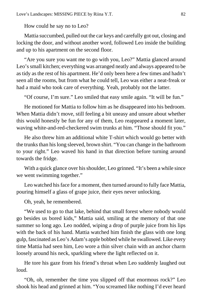How could he say no to Leo?

Mattia succumbed, pulled out the car keys and carefully got out, closing and locking the door, and without another word, followed Leo inside the building and up to his apartment on the second floor.

"Are you sure you want me to go with you, Leo?" Mattia glanced around Leo's small kitchen; everything was arranged neatly and always appeared to be as tidy as the rest of his apartment. He'd only been here a few times and hadn't seen all the rooms, but from what he could tell, Leo was either a neat-freak or had a maid who took care of everything. Yeah, probably not the latter.

"Of course, I'm sure." Leo smiled that easy smile again. "It will be fun."

He motioned for Mattia to follow him as he disappeared into his bedroom. When Mattia didn't move, still feeling a bit uneasy and unsure about whether this would honestly be fun for any of them, Leo reappeared a moment later, waving white-and-red-checkered swim trunks at him. "Those should fit you."

He also threw him an additional white T-shirt which would go better with the trunks than his long sleeved, brown shirt. "You can change in the bathroom to your right." Leo waved his hand in that direction before turning around towards the fridge.

With a quick glance over his shoulder, Leo grinned. "It's been a while since we went swimming together."

Leo watched his face for a moment, then turned around to fully face Mattia, pouring himself a glass of grape juice, their eyes never unlocking.

Oh, yeah, he remembered.

"We used to go to that lake, behind that small forest where nobody would go besides us bored kids," Mattia said, smiling at the memory of that one summer so long ago. Leo nodded, wiping a drop of purple juice from his lips with the back of his hand. Mattia watched him finish the glass with one long gulp, fascinated as Leo's Adam's apple bobbed while he swallowed. Like every time Mattia had seen him, Leo wore a thin silver chain with an anchor charm loosely around his neck, sparkling where the light reflected on it.

He tore his gaze from his friend's throat when Leo suddenly laughed out loud.

"Oh, oh, remember the time you slipped off that enormous rock?" Leo shook his head and grinned at him. "You screamed like nothing I'd ever heard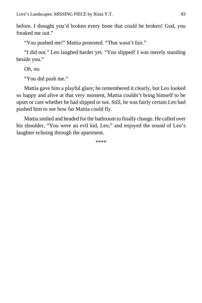before. I thought you'd broken every bone that could be broken! God, you freaked me out."

"You pushed me!" Mattia protested. "That wasn't fair."

"I did not." Leo laughed harder yet. "You slipped! I was merely standing beside you."

*Oh, no.*

"You did push me."

Mattia gave him a playful glare; he remembered it clearly, but Leo looked so happy and alive at that very moment, Mattia couldn't bring himself to be upset or care whether he had slipped or not. Still, he was fairly certain Leo had pushed him to see how far Mattia could fly.

Mattia smiled and headed for the bathroom to finally change. He called over his shoulder, "You were an evil kid, Leo," and enjoyed the sound of Leo's laughter echoing through the apartment.

\*\*\*\*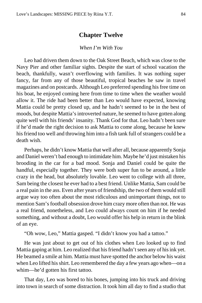## **Chapter Twelve**

#### *When I'm With You*

Leo had driven them down to the Oak Street Beach, which was close to the Navy Pier and other familiar sights. Despite the start of school vacation the beach, thankfully, wasn't overflowing with families. It was nothing super fancy, far from any of those beautiful, tropical beaches he saw in travel magazines and on postcards. Although Leo preferred spending his free time on his boat, he enjoyed coming here from time to time when the weather would allow it. The ride had been better than Leo would have expected, knowing Mattia could be pretty closed up, and he hadn't seemed to be in the best of moods, but despite Mattia's introverted nature, he seemed to have gotten along quite well with his friends' insanity. Thank God for that. Leo hadn't been sure if he'd made the right decision to ask Mattia to come along, because he knew his friend too well and throwing him into a fish tank full of strangers could be a death wish.

Perhaps, he didn't know Mattia that well after all, because apparently Sonja and Daniel weren't bad enough to intimidate him. Maybe he'd just mistaken his brooding in the car for a bad mood. Sonja and Daniel could be quite the handful, especially together. They were both super fun to be around, a little crazy in the head, but absolutely lovable. Leo went to college with all three, Sam being the closest he ever had to a best friend. Unlike Mattia, Sam could be a real pain in the ass. Even after years of friendship, the two of them would still argue way too often about the most ridiculous and unimportant things, not to mention Sam's football obsession drove him crazy more often than not. He was a real friend, nonetheless, and Leo could always count on him if he needed something, and without a doubt, Leo would offer his help in return in the blink of an eye.

"Oh wow, Leo," Mattia gasped. "I didn't know you had a tattoo."

He was just about to get out of his clothes when Leo looked up to find Mattia gaping at him. Leo realized that his friend hadn't seen any of his ink yet. He beamed a smile at him. Mattia must have spotted the anchor below his waist when Leo lifted his shirt. Leo remembered the day a few years ago when—on a whim—he'd gotten his first tattoo.

That day, Leo was bored to his bones, jumping into his truck and driving into town in search of some distraction. It took him all day to find a studio that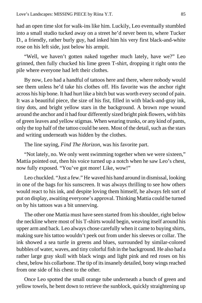had an open time slot for walk-ins like him. Luckily, Leo eventually stumbled into a small studio tucked away on a street he'd never been to, where Tucker D., a friendly, rather burly guy, had inked him his very first black-and-white rose on his left side, just below his armpit.

"Well, we haven't gotten naked together much lately, have we?" Leo grinned, then fully chucked his lime green T-shirt, dropping it right onto the pile where everyone had left their clothes.

By now, Leo had a handful of tattoos here and there, where nobody would see them unless he'd take his clothes off. His favorite was the anchor right across his hip bone. It had hurt like a bitch but was worth every second of pain. It was a beautiful piece, the size of his fist, filled in with black-and-gray ink, tiny dots, and bright yellow stars in the background. A brown rope wound around the anchor and it had four differently sized bright pink flowers, with bits of green leaves and yellow stigmas. When wearing trunks, or any kind of pants, only the top half of the tattoo could be seen. Most of the detail, such as the stars and writing underneath was hidden by the clothes.

The line saying, *Find The Horizon,* was his favorite part.

"Not lately, no. We only went swimming together when we were sixteen," Mattia pointed out, then his voice turned up a notch when he saw Leo's chest, now fully exposed. "You've got more! Like, wow!"

Leo chuckled. "Just a few." He waved his hand around in dismissal, looking in one of the bags for his sunscreen. It was always thrilling to see how others would react to his ink, and despite loving them himself, he always felt sort of put on display, awaiting everyone's approval. Thinking Mattia could be turned on by his tattoos was a bit unnerving.

The other one Mattia must have seen started from his shoulder, right below the neckline where most of his T-shirts would begin, weaving itself around his upper arm and back. Leo always chose carefully when it came to buying shirts, making sure his tattoo wouldn't peek out from under his sleeves or collar. The ink showed a sea turtle in greens and blues, surrounded by similar-colored bubbles of water, waves, and tiny colorful fish in the background. He also had a rather large gray skull with black wings and light pink and red roses on his chest, below his collarbone. The tip of its insanely detailed, bony wings reached from one side of his chest to the other.

Once Leo spotted the small orange tube underneath a bunch of green and yellow towels, he bent down to retrieve the sunblock, quickly straightening up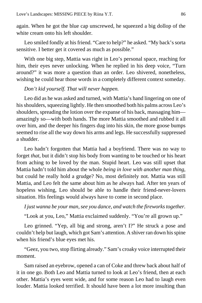again. When he got the blue cap unscrewed, he squeezed a big dollop of the white cream onto his left shoulder.

Leo smiled fondly at his friend. "Care to help?" he asked. "My back's sorta sensitive. I better get it covered as much as possible."

With one big step, Mattia was right in Leo's personal space, reaching for him, their eyes never unlocking. When he replied in his deep voice, "Turn around?" it was more a question than an order. Leo shivered, nonetheless, wishing he could hear those words in a completely different context someday.

#### *Don't kid yourself. That will never happen.*

Leo did as he was asked and turned, with Mattia's hand lingering on one of his shoulders, squeezing lightly. He then smoothed both his palms across Leo's shoulders, spreading the lotion over the expanse of his back, massaging him amazingly so—with both hands. The more Mattia smoothed and rubbed it all over him, and the deeper his fingers dug into his skin, the more goose bumps seemed to rise all the way down his arms and legs. He successfully suppressed a shudder.

Leo hadn't forgotten that Mattia had a boyfriend. There was no way to forget *that*, but it didn't stop his body from wanting to be touched or his heart from aching to be loved by the man. Stupid heart. Leo was still upset that Mattia hadn't told him about the whole *being in love with another man thing*, but could he really hold a grudge? No, most definitely not. Mattia was still Mattia, and Leo felt the same about him as he always had. After ten years of hopeless wishing, Leo should be able to handle their friend-never-lovers situation. His feelings would always have to come in second place.

## *I just wanna be your man, see you dance, and watch the fireworks together.*

"Look at you, Leo," Mattia exclaimed suddenly. "You're all grown up."

Leo grinned. "Yep, all big and strong, aren't I?" He struck a pose and couldn't help but laugh, which got Sam's attention. A shiver ran down his spine when his friend's blue eyes met his.

"Geez, you two, stop flirting already." Sam's croaky voice interrupted their moment.

Sam raised an eyebrow, opened a can of Coke and threw back about half of it in one go. Both Leo and Mattia turned to look at Leo's friend, then at each other. Mattia's eyes went wide, and for some reason Leo had to laugh even louder. Mattia looked terrified. It should have been a lot more insulting than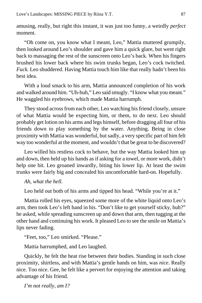amusing, really, but right this instant, it was just too funny, a weirdly *perfect*  moment*.*

"Oh come on, you know what I meant, Leo," Mattia muttered grumpily, then looked around Leo's shoulder and gave him a quick glare, but went right back to massaging the rest of the sunscreen onto Leo's back. When his fingers brushed his lower back where his swim trunks began, Leo's cock twitched. *Fuck.* Leo shuddered. Having Mattia touch him like that really hadn't been his best idea.

With a loud smack to his arm, Mattia announced completion of his work and walked around him. "Uh-huh," Leo said smugly. "I know what you meant." He waggled his eyebrows, which made Mattia harrumph.

They stood across from each other, Leo watching his friend closely, unsure of what Mattia would be expecting him, or them, to do next. Leo should probably get lotion on his arms and legs himself, before dragging all four of his friends down to play something by the water. Anything. Being in close proximity with Mattia was wonderful, butsadly, a very specific part of him felt way too wonderful at the moment, and wouldn't that be great to be discovered?

Leo willed his restless cock to behave, but the way Mattia looked him up and down, then held up his hands as if asking for a towel, or more work, didn't help one bit. Leo groaned inwardly, biting his lower lip. At least the swim trunks were fairly big and concealed his uncomfortable hard-on. Hopefully.

#### *Ah, what the hell.*

Leo held out both of his arms and tipped his head. "While you're at it."

Mattia rolled his eyes, squeezed some more of the white liquid onto Leo's arm, then took Leo's left hand in his. "Don't like to get yourself sticky, huh?" he asked, while spreading sunscreen up and down that arm, then tugging at the other hand and continuing his work. It pleased Leo to see the smile on Mattia's lips never fading.

"Feet, too," Leo smirked. "Please."

Mattia harrumphed, and Leo laughed.

Quickly, he felt the heat rise between their bodies. Standing in such close proximity, shirtless, and with Mattia's gentle hands on him, was *nice.* Really nice. Too nice. Gee, he felt like a pervert for enjoying the attention and taking advantage of his friend.

*I'm not really, am I?*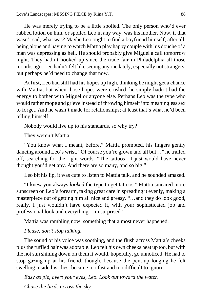He was merely trying to be a little spoiled. The only person who'd ever rubbed lotion on him, or spoiled Leo in any way, was his mother. Now, if that wasn't sad, what was? Maybe Leo ought to find a boyfriend himself; after all, being alone and having to watch Mattia play happy couple with his douche of a man was depressing as hell. He should probably give Miguel a call tomorrow night. They hadn't hooked up since the trade fair in Philadelphia all those months ago. Leo hadn't felt like seeing anyone lately, especially not strangers, but perhaps he'd need to change that now.

At first, Leo had still had his hopes up high, thinking he might get a chance with Mattia, but when those hopes were crushed, he simply hadn't had the energy to bother with Miguel or anyone else. Perhaps Leo was the type who would rather mope and grieve instead of throwing himself into meaningless sex to forget. And he wasn't made for relationships; at least that's what he'd been telling himself.

Nobody would live up to his standards, so why try?

They weren't Mattia.

"You know what I meant, before," Mattia prompted, his fingers gently dancing around Leo's wrist. "Of course you're grown and all but…" he trailed off, searching for the right words. "The tattoos—I just would have never thought you'd get any. And there are so many, and so big."

Leo bit his lip, it was cute to listen to Mattia talk, and he sounded amazed.

"I knew you always *looked* the type to get tattoos." Mattia smeared more sunscreen on Leo's forearm, taking great care in spreading it evenly, making a masterpiece out of getting him all nice and greasy. "…and they do look good, really. I just wouldn't have expected it, with your sophisticated job and professional look and everything. I'm surprised."

Mattia was rambling now, something that almost never happened.

### *Please, don't stop talking.*

The sound of his voice was soothing, and the flush across Mattia's cheeks plus the ruffled hair was adorable. Leo felt his own cheeks heat up too, but with the hot sun shining down on them it would, hopefully, go unnoticed. He had to stop gazing up at his friend, though, because the pent-up longing he felt swelling inside his chest became too fast and too difficult to ignore.

*Easy as pie, avert your eyes, Leo. Look out toward the water. Chase the birds across the sky.*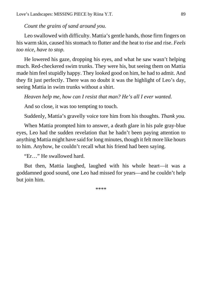*Count the grains of sand around you.*

Leo swallowed with difficulty. Mattia's gentle hands, those firm fingers on his warm skin, caused his stomach to flutter and the heat to rise and rise. *Feels too nice, have to stop.*

He lowered his gaze, dropping his eyes, and what he saw wasn't helping much. Red-checkered swim trunks. They were his, but seeing them on Mattia made him feel stupidly happy. They looked good on him, he had to admit. And they fit just perfectly. There was no doubt it was the highlight of Leo's day, seeing Mattia in swim trunks without a shirt.

*Heaven help me, how can I resist that man? He's all I ever wanted.*

And so close, it was too tempting to touch.

Suddenly, Mattia's gravelly voice tore him from his thoughts. *Thank you.*

When Mattia prompted him to answer, a death glare in his pale gray-blue eyes, Leo had the sudden revelation that he hadn't been paying attention to anything Mattia might have said for long minutes, though it felt more like hours to him. Anyhow, he couldn't recall what his friend had been saying.

"Er…" He swallowed hard.

But then, Mattia laughed, laughed with his whole heart—it was a goddamned good sound, one Leo had missed for years—and he couldn't help but join him.

\*\*\*\*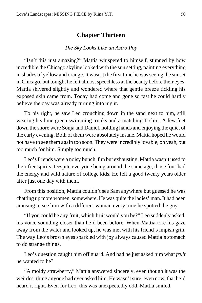# **Chapter Thirteen**

#### *The Sky Looks Like an Astro Pop*

"Isn't this just amazing?" Mattia whispered to himself, stunned by how incredible the Chicago skyline looked with the sun setting, painting everything in shades of yellow and orange. It wasn't the first time he was seeing the sunset in Chicago, but tonight he felt almost speechless at the beauty before their eyes. Mattia shivered slightly and wondered where that gentle breeze tickling his exposed skin came from. Today had come and gone so fast he could hardly believe the day was already turning into night.

To his right, he saw Leo crouching down in the sand next to him, still wearing his lime green swimming trunks and a matching T-shirt. A few feet down the shore were Sonja and Daniel, holding hands and enjoying the quiet of the early evening. Both of them were absolutely insane. Mattia hoped he would not have to see them again too soon. They were incredibly lovable, oh yeah, but too much for him. Simply too much.

Leo's friends were a noisy bunch, fun but exhausting. Mattia wasn't used to their free spirits. Despite everyone being around the same age, those four had the energy and wild nature of college kids. He felt a good twenty years older after just one day with them.

From this position, Mattia couldn't see Sam anywhere but guessed he was chatting up more women, somewhere. He was quite the ladies' man. It had been amusing to see him with a different woman every time he spotted the guy.

"If you could be any fruit, which fruit would you be?" Leo suddenly asked, his voice sounding closer than he'd been before. When Mattia tore his gaze away from the water and looked up, he was met with his friend's impish grin. The way Leo's brown eyes sparkled with joy always caused Mattia's stomach to do strange things.

Leo's question caught him off guard. And had he just asked him what *fruit*  he wanted to be?

"A moldy strawberry," Mattia answered sincerely, even though it was the weirdest thing anyone had ever asked him. He wasn't sure, even now, that he'd heard it right. Even for Leo, this was unexpectedly odd. Mattia smiled.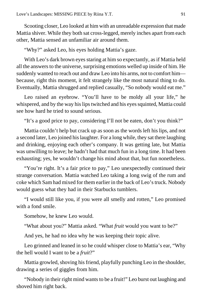Scooting closer, Leo looked at him with an unreadable expression that made Mattia shiver. While they both sat cross-legged, merely inches apart from each other, Mattia sensed an unfamiliar air around them.

"Why?" asked Leo, his eyes holding Mattia's gaze.

With Leo's dark brown eyes staring at him so expectantly, as if Mattia held all the answers to the universe, surprising emotions welled up inside of him. He suddenly wanted to reach out and draw Leo into his arms, not to comfort him because, right this moment, it felt strangely like the most natural thing to do. Eventually, Mattia shrugged and replied casually, "So nobody would eat me."

Leo raised an eyebrow. "You'll have to be moldy all your life," he whispered, and by the way his lips twitched and his eyes squinted, Mattia could see how hard he tried to sound serious.

"It's a good price to pay, considering I'll not be eaten, don't you think?"

Mattia couldn't help but crack up as soon as the words left his lips, and not a second later, Leo joined his laughter. For a long while, they sat there laughing and drinking, enjoying each other's company. It was getting late, but Mattia was unwilling to leave; he hadn't had that much fun in a long time. It had been exhausting; yes, he wouldn't change his mind about that, but fun nonetheless.

"You're right. It's a fair price to pay," Leo unexpectedly continued their strange conversation. Mattia watched Leo taking a long swig of the rum and coke which Sam had mixed for them earlier in the back of Leo's truck. Nobody would guess what they had in their Starbucks tumblers.

"I would still like you, if you were all smelly and rotten," Leo promised with a fond smile.

Somehow, he knew Leo would.

"What about you?" Mattia asked. "What *fruit* would you want to be?"

And yes, he had no idea why he was keeping their topic alive.

Leo grinned and leaned in so he could whisper close to Mattia's ear, "Why the hell would I want to be a *fruit*?"

Mattia growled, shoving his friend, playfully punching Leo in the shoulder, drawing a series of giggles from him.

"Nobody in their right mind wants to be a fruit!" Leo burst out laughing and shoved him right back.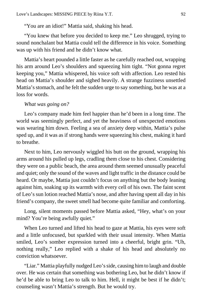"You are an idiot!" Mattia said, shaking his head.

"You knew that before you decided to keep me." Leo shrugged, trying to sound nonchalant but Mattia could tell the difference in his voice. Something was up with his friend and he didn't know what.

Mattia's heart pounded a little faster as he carefully reached out, wrapping his arm around Leo's shoulders and squeezing him tight. "Not gonna regret keeping you," Mattia whispered, his voice soft with affection. Leo rested his head on Mattia's shoulder and sighed heavily. A strange fuzziness unsettled Mattia's stomach, and he felt the sudden urge to say something, but he was at a loss for words.

#### *What was going on?*

Leo's company made him feel happier than he'd been in a long time. The world was seemingly perfect, and yet the heaviness of unexpected emotions was wearing him down. Feeling a sea of anxiety deep within, Mattia's pulse sped up, and it was as if strong hands were squeezing his chest, making it hard to breathe.

Next to him, Leo nervously wiggled his butt on the ground, wrapping his arms around his pulled up legs, cradling them close to his chest. Considering they were on a public beach, the area around them seemed unusually peaceful and quiet; only the sound of the waves and light traffic in the distance could be heard. Or maybe, Mattia just couldn't focus on anything but the body leaning against him, soaking up its warmth with every cell of his own. The faint scent of Leo's sun lotion reached Mattia's nose, and after having spent all day in his friend's company, the sweet smell had become quite familiar and comforting.

Long, silent moments passed before Mattia asked, "Hey, what's on your mind? You're being awfully quiet."

When Leo turned and lifted his head to gaze at Mattia, his eyes were soft and a little unfocused, but sparkled with their usual intensity. When Mattia smiled, Leo's somber expression turned into a cheerful, bright grin. "Uh, nothing really," Leo replied with a shake of his head and absolutely no conviction whatsoever.

"Liar." Mattia playfully nudged Leo's side, causing him to laugh and double over. He was certain that something was bothering Leo, but he didn't know if he'd be able to bring Leo to talk to him. Hell, it might be best if he didn't; counseling wasn't Mattia's strength. But he would try.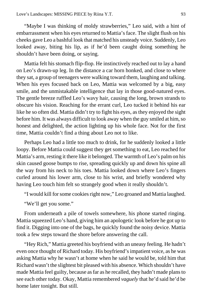"Maybe I was thinking of moldy strawberries," Leo said, with a hint of embarrassment when his eyes returned to Mattia's face. The slight flush on his cheeks gave Leo a bashful look that matched his unsteady voice. Suddenly, Leo looked away, biting his lip, as if he'd been caught doing something he shouldn't have been doing, or saying.

Mattia felt his stomach flip-flop. He instinctively reached out to lay a hand on Leo's drawn-up leg. In the distance a car horn honked, and close to where they sat, a group of teenagers were walking toward them, laughing and talking. When his eyes focused back on Leo, Mattia was welcomed by a big, easy smile, and the unmistakable intelligence that lay in those good-natured eyes. The gentle breeze ruffled Leo's wavy hair, causing the long, brown strands to obscure his vision. Reaching for the errant curl, Leo tucked it behind his ear like he so often did. Mattia didn't try to fight his eyes, as they enjoyed the sight before him. It was always difficult to look away when the guy smiled at him, so honest and delighted, the action lighting up his whole face. Not for the first time, Mattia couldn't find a thing about Leo not to like.

Perhaps Leo had a little too much to drink, for he suddenly looked a little loopy. Before Mattia could suggest they get something to eat, Leo reached for Mattia's arm, resting it there like it belonged. The warmth of Leo's palm on his skin caused goose bumps to rise, spreading quickly up and down his spine all the way from his neck to his toes. Mattia looked down where Leo's fingers curled around his lower arm, close to his wrist, and briefly wondered why having Leo touch him felt so strangely good when it really shouldn't.

"I would kill for some cookies right now," Leo groaned and Mattia laughed.

"We'll get you some."

From underneath a pile of towels somewhere, his phone started ringing. Mattia squeezed Leo's hand, giving him an apologetic look before he got up to find it. Digging into one of the bags, he quickly found the noisy device. Mattia took a few steps toward the shore before answering the call.

"Hey Rich," Mattia greeted his boyfriend with an uneasy feeling. He hadn't even once thought of Richard today. His boyfriend's impatient voice, as he was asking Mattia why he wasn't at home when he said he would be, told him that Richard wasn't the slightest bit pleased with his absence. Which shouldn't have made Mattia feel guilty, because as far as he recalled, they hadn't made plans to see each other today. Okay, Mattia remembered *vaguely* that he'd said he'd be home later tonight. But still.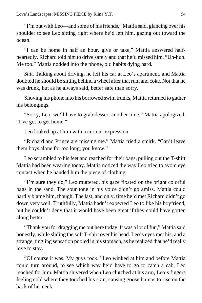"I'm out with Leo—and some of his friends," Mattia said, glancing over his shoulder to see Leo sitting right where he'd left him, gazing out toward the ocean.

"I can be home in half an hour, give or take," Mattia answered halfheartedly. Richard told him to drive safely and that he'd missed him. "Uh-huh. Me too." Mattia nodded into the phone, old habits dying hard.

*Shit.* Talking about driving, he left his car at Leo's apartment, and Mattia doubted he should be sitting behind a wheel after that rum and coke. Not that he was drunk, but as he always said, better safe than sorry.

Shoving his phone into his borrowed swim trunks, Mattia returned to gather his belongings.

"Sorry, Leo, we'll have to grab dessert another time," Mattia apologized. "I've got to get home."

Leo looked up at him with a curious expression.

"Richard and Prince are missing me." Mattia tried a smirk. "Can't leave them boys alone for too long, you know."

Leo scrambled to his feet and reached for their bags, pulling out the T-shirt Mattia had been wearing today. Mattia noticed the way Leo tried to avoid eye contact when he handed him the piece of clothing.

"I'm sure they do," Leo muttered, his gaze fixated on the bright colorful bags in the sand. The sour tone in his voice didn't go amiss. Mattia could hardly blame him, though. The last, and only, time he'd met Richard didn't go down very well. Truthfully, Mattia hadn't expected Leo to like his boyfriend, but he couldn't deny that it would have been great if they could have gotten along better.

"Thank you for dragging me out here today. It was a lot of fun," Mattia said honestly, while sliding the soft T-shirt over his head. Leo's eyes met his, and a strange, tingling sensation pooled in his stomach, as he realized that he'd really love to stay.

"Of course it was. My guys rock." Leo winked at him and before Mattia could turn around, to see which way he'd have to go to catch a cab, Leo reached for him. Mattia shivered when Leo clutched at his arm, Leo's fingers feeling cold where they touched his skin, causing goose bumps to rise on the back of his neck.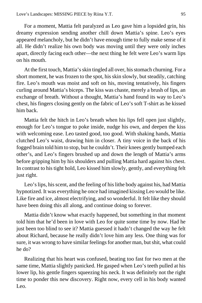For a moment, Mattia felt paralyzed as Leo gave him a lopsided grin, his dreamy expression sending another chill down Mattia's spine. Leo's eyes appeared melancholy, but he didn't have enough time to fully make sense of it all. He didn't realize his own body was moving until they were only inches apart, directly facing each other—the next thing he felt were Leo's warm lips on his mouth.

At the first touch, Mattia's skin tingled all over, his stomach churning. For a short moment, he was frozen to the spot, his skin slowly, but steadily, catching fire. Leo's mouth was moist and soft on his, moving tentatively, his fingers curling around Mattia's biceps. The kiss was chaste, merely a brush of lips, an exchange of breath. Without a thought, Mattia's hand found its way to Leo's chest, his fingers closing gently on the fabric of Leo's soft T-shirt as he kissed him back.

Mattia felt the hitch in Leo's breath when his lips fell open just slightly, enough for Leo's tongue to poke inside, nudge his own, and deepen the kiss with welcoming ease. Leo tasted good, too good. With shaking hands, Mattia clutched Leo's waist, drawing him in closer. A tiny voice in the back of his fogged brain told him to stop, but he couldn't. Their knees gently bumped each other's, and Leo's fingers brushed up and down the length of Mattia's arms before gripping him by his shoulders and pulling Mattia hard against his chest. In contrast to his tight hold, Leo kissed him slowly, gently, and everything felt just right.

Leo's lips, his scent, and the feeling of his lithe body against his, had Mattia hypnotized. It was everything he once had imagined kissing Leo would be like. Like fire and ice, almost electrifying, and so wonderful. It felt like they should have been doing this all along, and continue doing so forever.

Mattia didn't know what exactly happened, but something in that moment told him that he'd been in love with Leo for quite some time by now. Had he just been too blind to see it? Mattia guessed it hadn't changed the way he felt about Richard, because he really didn't love him any less. One thing was for sure, it was wrong to have similar feelings for another man, but shit, what could he do?

Realizing that his heart was confused, beating too fast for two men at the same time, Mattia slightly panicked. He gasped when Leo's teeth pulled at his lower lip, his gentle fingers squeezing his neck. It was definitely not the right time to ponder this new discovery. Right now, every cell in his body wanted Leo.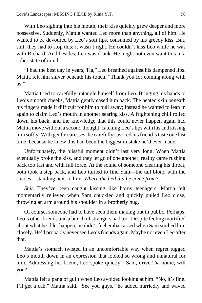With Leo sighing into his mouth, their kiss quickly grew deeper and more possessive. Suddenly, Mattia wanted Leo more than anything, all of him. He wanted to be devoured by Leo's soft lips, consumed by his greedy kiss. But, shit, they had to stop this; it wasn't right. He couldn't kiss Leo while he was with Richard. And besides, Leo was drunk. He might not even want this in a sober state of mind.

"I had the best day in years, Tia," Leo breathed against his dampened lips. Mattia felt him shiver beneath his touch. "Thank you for coming along with  $\overline{\mathbf{u}}$   $\mathbf{s}$ ."

Mattia tried to carefully untangle himself from Leo. Bringing his hands to Leo's smooth cheeks, Mattia gently eased him back. The heated skin beneath his fingers made it difficult for him to pull away; instead he wanted to lean in again to claim Leo's mouth in another searing kiss. A frightening chill rolled down his back, and the knowledge that this could never happen again had Mattia move without a second thought, catching Leo's lips with his and kissing him softly. With gentle caresses, he carefully savored his friend's taste one last time, because he knew this had been the biggest mistake he'd ever made.

Unfortunately, the blissful moment didn't last very long. When Mattia eventually broke the kiss, and they let go of one another, reality came rushing back too fast and with full force. At the sound of someone clearing his throat, both took a step back, and Leo turned to find Sam—the tall blond with the shades—standing next to him. *Where the hell did he come from?*

*Shit.* They've been caught kissing like horny teenagers. Mattia felt momentarily relieved when Sam chuckled and quickly pulled Leo close, throwing an arm around his shoulder in a brotherly hug.

Of course, someone had to have seen them making out in public. Perhaps, Leo's other friends and a bunch of strangers had too. Despite feeling mortified about what he'd let happen, he didn't feel embarrassed when Sam studied him closely. He'd probably never see Leo's friends again. Maybe not even Leo after that.

Mattia's stomach twisted in an uncomfortable way when regret tugged Leo's mouth down in an expression that looked so wrong and unnatural for him. Addressing his friend, Leo spoke quietly, "Sam, drive Tia home, will you?"

Mattia felt a pang of guilt when Leo avoided looking at him. "No, it's fine. I'll get a cab," Mattia said. "See you guys," he added hurriedly and waved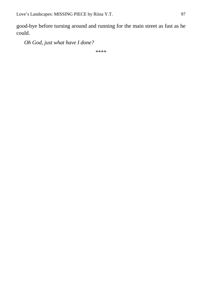good-bye before turning around and running for the main street as fast as he could.

*Oh God, just what have I done?*

\*\*\*\*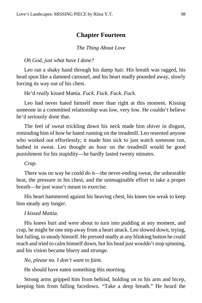# **Chapter Fourteen**

#### *The Thing About Love*

#### *Oh God, just what have I done?*

Leo ran a shaky hand through his damp hair. His breath was ragged, his head spun like a damned carousel, and his heart madly pounded away, slowly forcing its way out of his chest.

He'd *really* kissed Mattia. *Fuck. Fuck. Fuck. Fuck.*

Leo had never hated himself more than right at this moment. Kissing someone in a committed relationship was low, very low. He couldn't believe he'd seriously done that.

The feel of sweat trickling down his neck made him shiver in disgust, reminding him of how he hated running on the treadmill. Leo resented anyone who worked out effortlessly; it made him sick to just watch someone run, bathed in sweat. Leo thought an hour on the treadmill would be good punishment for his stupidity—he hardly lasted twenty minutes.

#### *Crap.*

There was no way he could do it—the never-ending sweat, the unbearable heat, the pressure in his chest, and the unimaginable effort to take a proper breath—he just wasn't meant to exercise.

His heart hammered against his heaving chest, his knees too weak to keep him steady any longer.

## *I kissed Mattia.*

His knees hurt and were about to turn into pudding at any moment, and crap, he might be one step away from a heart attack. Leo slowed down, trying, but failing, to steady himself. He pressed madly at any blinking button he could reach and tried to calm himself down, but his head just wouldn't stop spinning, and his vision became blurry and *strange.*

#### *No, please no. I don't want to faint.*

He should have eaten something this morning.

Strong arms gripped him from behind, holding on to his arm and bicep, keeping him from falling facedown. "Take a deep breath." He heard the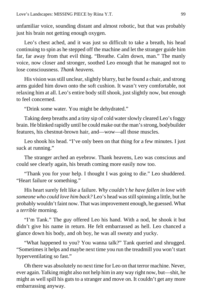unfamiliar voice, sounding distant and almost robotic, but that was probably just his brain not getting enough oxygen.

Leo's chest ached, and it was just so difficult to take a breath, his head continuing to spin as he stepped off the machine and let the stranger guide him far, far away from that evil thing. "Breathe. Calm down, man." The manly voice, now closer and stronger, soothed Leo enough that he managed not to lose consciousness. *Thank heavens.*

His vision was still unclear, slightly blurry, but he found a chair, and strong arms guided him down onto the soft cushion. It wasn't very comfortable, not relaxing him at all. Leo's entire body still shook, just slightly now, but enough to feel concerned.

"Drink some water. You might be dehydrated."

Taking deep breaths and a tiny sip of cold water slowly cleared Leo's foggy brain. He blinked rapidly until he could make out the man's strong, bodybuilder features, his chestnut-brown hair, and—wow—all those muscles.

Leo shook his head. "I've only been on that thing for a few minutes. I just suck at running."

The stranger arched an eyebrow. Thank heavens, Leo was conscious and could see clearly again, his breath coming more easily now too.

"Thank you for your help. I thought I was going to die." Leo shuddered. "Heart failure or something."

His heart surely felt like a failure. *Why couldn't he have fallen in love with someone who could love him back?* Leo's head was still spinning a little, but he probably wouldn't faint now. That was improvement enough, he guessed. What a *terrible* morning.

"I'm Tank." The guy offered Leo his hand. With a nod, he shook it but didn't give his name in return. He felt embarrassed as hell. Leo chanced a glance down his body, and oh boy, he was all sweaty and yucky.

"What happened to you? You wanna talk?" Tank queried and shrugged. "Sometimes it helps and maybe next time you run the treadmill you won't start hyperventilating so fast."

Oh there was absolutely no next time for Leo on that terror machine. Never, ever again. Talking might also not help him in any way right now, but—shit, he might as well spill his guts to a stranger and move on. It couldn't get any more embarrassing anyway.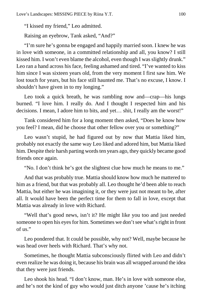"I kissed my friend," Leo admitted.

Raising an eyebrow, Tank asked, "And?"

"I'm sure he's gonna be engaged and happily married soon. I knew he was in love with someone, in a committed relationship and all, you know? I still kissed him. I won't even blame the alcohol, even though I was slightly drunk." Leo ran a hand across his face, feeling ashamed and tired. "I've wanted to kiss him since I was sixteen years old, from the very moment I first saw him. We lost touch for years, but his face still haunted me. That's no excuse, I know. I shouldn't have given in to my longing."

Leo took a quick breath, he was rambling now and—crap—his lungs burned. "I love him. I really do. And I thought I respected him and his decisions. I mean, I adore him to bits, and yet… shit, I really am the worst!"

Tank considered him for a long moment then asked, "Does he know how you feel? I mean, did he choose that other fellow over you or something?"

Leo wasn't stupid, he had figured out by now that Mattia liked him, probably not exactly the same way Leo liked and adored him, but Mattia liked him. Despite their harsh parting words ten years ago, they quickly became good friends once again.

"No. I don't think he's got the slightest clue how much he means to me."

And that was probably true. Mattia should know how much he mattered to him as a friend, but that was probably all. Leo thought he'd been able to reach Mattia, but either he was imagining it, or they were just not meant to be, after all. It would have been the perfect time for them to fall in love, except that Mattia was already in love with Richard.

"Well that's good news, isn't it? He might like you too and just needed someone to open his eyes for him. Sometimes we don't see what's right in front of us."

Leo pondered that. It could be possible, why not? Well, maybe because he was head over heels with Richard. That's why not.

Sometimes, he thought Mattia subconsciously flirted with Leo and didn't even realize he was doing it, because his brain was all wrapped around the idea that they were just friends.

Leo shook his head. "I don't know, man. He's in love with someone else, and he's not the kind of guy who would just ditch anyone 'cause he's itching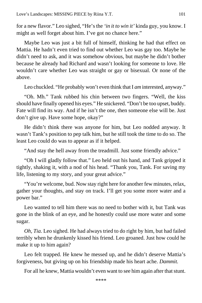for a new flavor." Leo sighed, "He's the *'in it to win it'* kinda guy, you know. I might as well forget about him. I've got no chance here."

Maybe Leo was just a bit full of himself, thinking he had that effect on Mattia. He hadn't even tried to find out whether Leo was gay too. Maybe he didn't need to ask, and it was somehow obvious, but maybe he didn't bother because he already had Richard and wasn't looking for someone to love. He wouldn't care whether Leo was straight or gay or bisexual. Or none of the above.

Leo chuckled. "He probably won't even think that I *am* interested, anyway."

"Oh. Mh." Tank rubbed his chin between two fingers. "Well, the kiss should have finally opened his eyes." He snickered. "Don't be too upset, buddy. Fate will find its way. And if he isn't the one, then someone else will be. Just don't give up. Have some hope, okay?"

He didn't think there was anyone for him, but Leo nodded anyway. It wasn't Tank's position to pep talk him, but he still took the time to do so. The least Leo could do was to appear as if it helped.

"And stay the hell away from the treadmill. Just some friendly advice."

"Oh I will gladly follow that." Leo held out his hand, and Tank gripped it tightly, shaking it, with a nod of his head. "Thank you, Tank. For saving my life, listening to my story, and your great advice."

"You're welcome, bud. Now stay right here for another few minutes, relax, gather your thoughts, and stay on track. I'll get you some more water and a power bar."

Leo wanted to tell him there was no need to bother with it, but Tank was gone in the blink of an eye, and he honestly could use more water and some sugar.

*Oh, Tia.* Leo sighed. He had always tried to do right by him, but had failed terribly when he drunkenly kissed his friend. Leo groaned. Just how could he make it up to him again?

Leo felt trapped. He knew he messed up, and he didn't deserve Mattia's forgiveness, but giving up on his friendship made his heart ache. *Dammit.*

For all he knew, Mattia wouldn't even want to see him again after that stunt.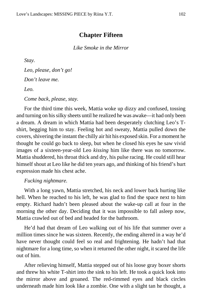# **Chapter Fifteen**

*Like Smoke in the Mirror*

*Stay.*

*Leo, please, don't go! Don't leave me. Leo. Come back, please, stay.*

For the third time this week, Mattia woke up dizzy and confused, tossing and turning on his silky sheets until he realized he was awake—it had only been a dream. A dream in which Mattia had been desperately clutching Leo's Tshirt, begging him to stay. Feeling hot and sweaty, Mattia pulled down the covers, shivering the instant the chilly air hit his exposed skin. For a moment he thought he could go back to sleep, but when he closed his eyes he saw vivid images of a sixteen-year-old Leo *kissing* him like there was no tomorrow. Mattia shuddered, his throat thick and dry, his pulse racing. He could still hear himself shout at Leo like he did ten years ago, and thinking of his friend's hurt expression made his chest ache.

## *Fucking nightmare.*

With a long yawn, Mattia stretched, his neck and lower back hurting like hell. When he reached to his left, he was glad to find the space next to him empty. Richard hadn't been pleased about the wake-up call at four in the morning the other day. Deciding that it was impossible to fall asleep now, Mattia crawled out of bed and headed for the bathroom.

He'd had that dream of Leo walking out of his life that summer over a million times since he was sixteen. Recently, the ending altered in a way he'd have never thought could feel so real and frightening. He hadn't had that nightmare for a long time, so when it returned the other night, it scared the life out of him.

After relieving himself, Mattia stepped out of his loose gray boxer shorts and threw his white T-shirt into the sink to his left. He took a quick look into the mirror above and groaned. The red-rimmed eyes and black circles underneath made him look like a zombie. One with a slight tan he thought, a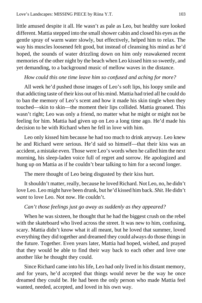little amused despite it all. He wasn't as pale as Leo, but healthy sure looked different. Mattia stepped into the small shower cabin and closed his eyes as the gentle spray of warm water slowly, but effectively, helped him to relax. The way his muscles loosened felt good, but instead of cleansing his mind as he'd hoped, the sounds of water drizzling down on him only reawakened recent memories of the other night by the beach when Leo kissed him so sweetly, and yet demanding, to a background music of mellow waves in the distance.

## *How could this one time leave him so confused and aching for more?*

All week he'd pushed those images of Leo's soft lips, his loopy smile and that addicting taste of their kiss out of his mind. Mattia had tried all he could do to ban the memory of Leo's scent and how it made his skin tingle when they touched—skin to skin—the moment their lips collided. Mattia groaned. This wasn't right; Leo was only a friend, no matter what he might or might not be feeling for him. Mattia had given up on Leo a long time ago. He'd made his decision to be with Richard when he fell in love with him.

Leo only kissed him because he had too much to drink anyway. Leo knew he and Richard were serious. He'd said so himself—that their kiss was an accident, a mistake even. Those were Leo's words when he called him the next morning, his sleep-laden voice full of regret and sorrow. He apologized and hung up on Mattia as if he couldn't bear talking to him for a second longer.

The mere thought of Leo being disgusted by their kiss hurt.

It shouldn't matter, really, because he loved Richard. Not Leo, no, he didn't love Leo. Leo might have been drunk, but he'd kissed him back. *Shit.* He didn't *want* to love Leo. Not now. He couldn't.

## *Can't those feelings just go away as suddenly as they appeared?*

When he was sixteen, he thought that he had the biggest crush on the rebel with the skateboard who lived across the street. It was new to him, confusing, scary. Mattia didn't know what it all meant, but he loved that summer, loved everything they did together and dreamed they could always do those things in the future. Together. Even years later, Mattia had hoped, wished, and prayed that they would be able to find their way back to each other and love one another like he thought they could.

Since Richard came into his life, Leo had only lived in his distant memory, and for years, he'd accepted that things would never be the way he once dreamed they could be. He had been the only person who made Mattia feel wanted, needed, accepted, and loved in his own way.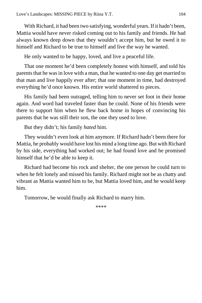With Richard, it had been two satisfying, wonderful years. If it hadn't been, Mattia would have never risked coming out to his family and friends. He had always known deep down that they wouldn't accept him, but he owed it to himself and Richard to be true to himself and live the way he wanted.

He only wanted to be happy, loved, and live a peaceful life.

That one moment he'd been completely honest with himself, and told his parents that he was in love with a man, that he wanted to one day get married to that man and live happily ever after; that one moment in time, had destroyed everything he'd once known. His entire world shattered to pieces.

His family had been outraged, telling him to never set foot in their home again. And word had traveled faster than he could. None of his friends were there to support him when he flew back home in hopes of convincing his parents that he was still their son, the one they used to love.

But they didn't; his family *hated* him.

They wouldn't even look at him anymore. If Richard hadn't been there for Mattia, he probably would have lost his mind a long time ago. But with Richard by his side, everything had worked out; he had found love and he promised himself that he'd be able to keep it.

Richard had become his rock and shelter, the one person he could turn to when he felt lonely and missed his family. Richard might not be as chatty and vibrant as Mattia wanted him to be, but Mattia loved him, and he would keep him.

Tomorrow, he would finally ask Richard to marry him.

\*\*\*\*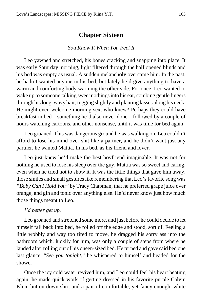## **Chapter Sixteen**

#### *You Know It When You Feel It*

Leo yawned and stretched, his bones cracking and snapping into place. It was early Saturday morning, light filtered through the half opened blinds and his bed was empty as usual. A sudden melancholy overcame him. In the past, he hadn't wanted anyone in his bed, but lately he'd give anything to have a warm and comforting body warming the other side. For once, Leo wanted to wake up to someone talking sweet nothings into his ear, combing gentle fingers through his long, wavy hair, tugging slightly and planting kisses along his neck. He might even welcome morning sex, who knew? Perhaps they could have breakfast in bed—something he'd also never done—followed by a couple of hours watching cartoons, and other nonsense, until it was time for bed again.

Leo groaned. This was dangerous ground he was walking on. Leo couldn't afford to lose his mind over shit like a partner, and he didn't want just any partner, he wanted Mattia. In his bed, as his friend and lover.

Leo just knew he'd make the best boyfriend imaginable. It was not for nothing he used to lose his sleep over the guy. Mattia was so sweet and caring, even when he tried not to show it. It was the little things that gave him away, those smiles and small gestures like remembering that Leo's favorite song was *"Baby Can I Hold You"* by Tracy Chapman, that he preferred grape juice over orange, and gin and tonic over anything else. He'd never know just how much those things meant to Leo.

#### *I'd better get up.*

Leo groaned and stretched some more, and just before he could decide to let himself fall back into bed, he rolled off the edge and stood, sort of. Feeling a little wobbly and way too tired to move, he dragged his sorry ass into the bathroom which, luckily for him, was only a couple of steps from where he landed after rolling out of his queen-sized bed. He turned and gave said bed one last glance. "*See you tonight*," he whispered to himself and headed for the shower.

Once the icy cold water revived him, and Leo could feel his heart beating again, he made quick work of getting dressed in his favorite purple Calvin Klein button-down shirt and a pair of comfortable, yet fancy enough, white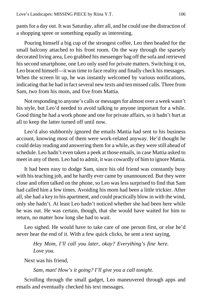pants for a day out. It was Saturday, after all, and he could use the distraction of a shopping spree or something equally as interesting.

Pouring himself a big cup of the strongest coffee, Leo then headed for the small balcony attached to his front room. On the way through the sparsely decorated living area, Leo grabbed his messenger bag off the sofa and retrieved his second smartphone, one Leo only used for private matters. Switching it on, Leo braced himself—it was time to face reality and finally check his messages. When the screen lit up, he was instantly welcomed by various notifications, indicating that he had in fact several new texts and ten missed calls. Three from Sam, two from his mom, and five from Mattia.

Not responding to anyone's calls or messages for almost over a week wasn't his style, but Leo'd needed to avoid talking to anyone important for a while. Good thing he had a work phone and one for private affairs, so it hadn't hurt at all to keep the latter turned off until now.

Leo'd also stubbornly ignored the emails Mattia had sent to his business account, knowing most of them were work-related anyway. He'd thought he could delay reading and answering them for a while, as they were still ahead of schedule. Leo hadn't even taken a peek at those emails, in case Mattia asked to meet in any of them. Leo had to admit, it was cowardly of him to ignore Mattia.

It had been easy to dodge Sam, since his old friend was constantly busy with his teaching job, and he hardly ever came by unannounced. But they were close and often talked on the phone, so Leo was less surprised to find that Sam had called him a few times. Avoiding his mom had been a little trickier. After all, she had a key to his apartment, and could practically blow in with the wind, only she hadn't. At least Leo hadn't noticed whether she had been here while he was out. He was certain, though, that she would have waited for him to return, no matter how long she had to wait.

Leo sighed. He would have to take care of one person first, or else he'd never hear the end of it. With a few quick clicks, he sent a text saying,

*Hey Mom, I'll call you later, okay? Everything's fine here. Love you.*

Next was his friend,

*Sam, man! How's it going? I'll give you a call tonight*.

Scrolling through the small gadget, Leo maneuvered through apps and emails and eventually checked his text messages.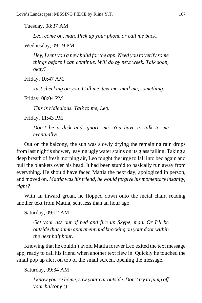Tuesday, 08:37 AM

*Leo, come on, man. Pick up your phone or call me back.*

Wednesday, 09:19 PM

*Hey, I sent you a new build for the app. Need you to verify some things before I can continue. Will do by next week. Talk soon, okay?*

Friday, 10:47 AM

*Just checking on you. Call me, text me, mail me, something.*

Friday, 08:04 PM

*This is ridiculous. Talk to me, Leo.*

Friday, 11:43 PM

*Don't be a dick and ignore me. You have to talk to me eventually!*

Out on the balcony, the sun was slowly drying the remaining rain drops from last night's shower, leaving ugly water stains on its glass railing. Taking a deep breath of fresh morning air, Leo fought the urge to fall into bed again and pull the blankets over his head. It had been stupid to basically run away from everything. He should have faced Mattia the next day, apologized in person, and moved on. *Mattia was his friend, he would forgive his momentary insanity, right?*

With an inward groan, he flopped down onto the metal chair, reading another text from Mattia, sent less than an hour ago.

Saturday, 09:12 AM

*Get your ass out of bed and fire up Skype, man. Or I'll be outside that damn apartment and knocking on your door within the next half hour.*

Knowing that he couldn't avoid Mattia forever Leo exited the text message app, ready to call his friend when another text flew in. Quickly he touched the small pop up alert on top of the small screen, opening the message.

Saturday, 09:34 AM

*I know you're home, saw your car outside. Don't try to jump off your balcony ;)*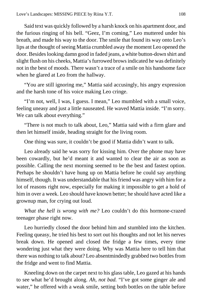Said text was quickly followed by a harsh knock on his apartment door, and the furious ringing of his bell. "Geez, I'm coming," Leo muttered under his breath, and made his way to the door. The smile that found its way onto Leo's lips at the thought of seeing Mattia crumbled away the moment Leo opened the door. Besides looking damn good in faded jeans, a white button-down shirt and slight flush on his cheeks, Mattia's furrowed brows indicated he was definitely not in the best of moods. There wasn't a trace of a smile on his handsome face when he glared at Leo from the hallway.

"You are still ignoring me," Mattia said accusingly, his angry expression and the harsh tone of his voice making Leo cringe.

"I'm not, well, I was, I guess. I mean," Leo mumbled with a small voice, feeling uneasy and just a little nauseated. He waved Mattia inside. "I'm sorry. We can talk about everything."

"There is not much to talk about, Leo," Mattia said with a firm glare and then let himself inside, heading straight for the living room.

One thing was sure, it couldn't be good if Mattia didn't want to talk.

Leo already said he was sorry for kissing him. Over the phone may have been cowardly, but he'd meant it and wanted to clear the air as soon as possible. Calling the next morning seemed to be the best and fastest option. Perhaps he shouldn't have hung up on Mattia before he could say anything himself, though. It was understandable that his friend was angry with him for a lot of reasons right now, especially for making it impossible to get a hold of him in over a week. Leo should have known better; he should have acted like a grownup man, for crying out loud.

*What the hell is wrong with me?* Leo couldn't do this hormone-crazed teenager phase right now.

Leo hurriedly closed the door behind him and stumbled into the kitchen. Feeling queasy, he tried his best to sort out his thoughts and not let his nerves break down. He opened and closed the fridge a few times, every time wondering just what they were doing. Why was Mattia here to tell him that there was nothing to talk about? Leo absentmindedly grabbed two bottles from the fridge and went to find Mattia.

Kneeling down on the carpet next to his glass table, Leo gazed at his hands to see what he'd brought along. *Ah, not bad.* "I've got some ginger ale and water," he offered with a weak smile, setting both bottles on the table before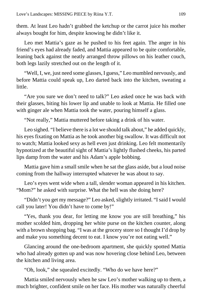them. At least Leo hadn't grabbed the ketchup or the carrot juice his mother always bought for him, despite knowing he didn't like it.

Leo met Mattia's gaze as he pushed to his feet again. The anger in his friend's eyes had already faded, and Mattia appeared to be quite comfortable, leaning back against the neatly arranged throw pillows on his leather couch, both legs lazily stretched out on the length of it.

"Well, I, we, just need some glasses, I guess," Leo mumbled nervously, and before Mattia could speak up, Leo darted back into the kitchen, sweating a little.

"Are you sure we don't need to talk?" Leo asked once he was back with their glasses, biting his lower lip and unable to look at Mattia. He filled one with ginger ale when Mattia took the water, pouring himself a glass.

"Not really," Mattia muttered before taking a drink of his water.

Leo sighed. "I believe there is a lot we should talk about," he added quickly, his eyes fixating on Mattia as he took another big swallow. It was difficult not to watch; Mattia looked sexy as hell even just drinking. Leo felt momentarily hypnotized at the beautiful sight of Mattia's lightly flushed cheeks, his parted lips damp from the water and his Adam's apple bobbing.

Mattia gave him a small smile when he sat the glass aside, but a loud noise coming from the hallway interrupted whatever he was about to say.

Leo's eyes went wide when a tall, slender woman appeared in his kitchen. "Mom?" he asked with surprise. What the hell was she doing here?

"Didn't you get my message?" Leo asked, slightly irritated. "I said I would call you later! You didn't have to come by!"

"Yes, thank you dear, for letting me know you are still breathing," his mother scolded him, dropping her white purse on the kitchen counter, along with a brown shopping bag. "I was at the grocery store so I thought I'd drop by and make you something decent to eat. I know you're not eating well."

Glancing around the one-bedroom apartment, she quickly spotted Mattia who had already gotten up and was now hovering close behind Leo, between the kitchen and living area.

"Oh, look," she squealed excitedly. "Who do we have here?"

Mattia smiled nervously when he saw Leo's mother walking up to them, a much brighter, confident smile on her face. His mother was naturally cheerful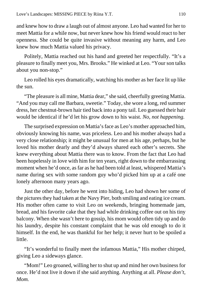and knew how to draw a laugh out of almost anyone. Leo had wanted for her to meet Mattia for a while now, but never knew how his friend would react to her openness. She could be quite invasive without meaning any harm, and Leo knew how much Mattia valued his privacy.

Politely, Mattia reached out his hand and greeted her respectfully. "It's a pleasure to finally meet you, Mrs. Brooks." He winked at Leo. "Your son talks about you non-stop."

Leo rolled his eyes dramatically, watching his mother as her face lit up like the sun.

"The pleasure is all mine, Mattia dear," she said, cheerfully greeting Mattia. "And you may call me Barbara, sweetie." Today, she wore a long, red summer dress, her chestnut-brown hair tied back into a pony tail. Leo guessed their hair would be identical if he'd let his grow down to his waist. *No, not happening.*

The surprised expression on Mattia's face as Leo's mother approached him, obviously knowing his name, was priceless. Leo and his mother always had a very close relationship; it might be unusual for men at his age, perhaps, but he loved his mother dearly and they'd always shared each other's secrets. She knew everything about Mattia there was to know. From the fact that Leo had been hopelessly in love with him for ten years, right down to the embarrassing moment when he'd once, as far as he had been told at least, whispered Mattia's name during sex with some random guy who'd picked him up at a café one lonely afternoon many years ago.

Just the other day, before he went into hiding, Leo had shown her some of the pictures they had taken at the Navy Pier, both smiling and eating ice cream. His mother often came to visit Leo on weekends, bringing homemade jam, bread, and his favorite cake that they had while drinking coffee out on his tiny balcony. When she wasn't here to gossip, his mom would often tidy up and do his laundry, despite his constant complaint that he was old enough to do it himself. In the end, he was thankful for her help; it never hurt to be spoiled a little.

"It's wonderful to finally meet the infamous Mattia," His mother chirped, giving Leo a sideways glance.

"Mom!" Leo groaned, willing her to shut up and mind her own business for once. He'd not live it down if she said anything. Anything at all. *Please don't, Mom.*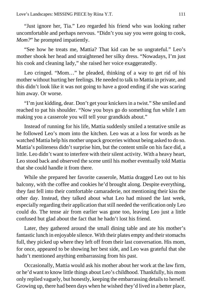"Just ignore her, Tia." Leo regarded his friend who was looking rather uncomfortable and perhaps nervous. "Didn't you say you were going to cook, *Mom?*" he prompted impatiently.

"See how he treats me, Mattia? That kid can be so ungrateful." Leo's mother shook her head and straightened her silky dress. "Nowadays, I'm just his cook and cleaning lady," she raised her voice exaggeratedly.

Leo cringed. "Mom…" he pleaded, thinking of a way to get rid of his mother without hurting her feelings. He needed to talk to Mattia in private, and this didn't look like it was not going to have a good ending if she was scaring him away. Or worse.

"I'm just kidding, dear. Don't get your knickers in a twist." She smiled and reached to pat his shoulder. "Now you boys go do something fun while I am making you a casserole you will tell your grandkids about."

Instead of running for his life, Mattia suddenly smiled a tentative smile as he followed Leo's mom into the kitchen. Leo was at a loss for words as he watched Mattia help his mother unpack groceries without being asked to do so. Mattia's politeness didn't surprise him, but the content smile on his face did, a little. Leo didn't want to interfere with their silent activity. With a heavy heart, Leo stood back and observed the scene until his mother eventually told Mattia that she could handle it from there.

While she prepared her favorite casserole, Mattia dragged Leo out to his balcony, with the coffee and cookies he'd brought along. Despite everything, they fast fell into their comfortable camaraderie, not mentioning their kiss the other day. Instead, they talked about what Leo had missed the last week, especially regarding their application that still needed the verification only Leo could do. The tense air from earlier was gone too, leaving Leo just a little confused but glad about the fact that he hadn't lost his friend.

Later, they gathered around the small dining table and ate his mother's fantastic lunch in enjoyable silence. With their plates empty and their stomachs full, they picked up where they left off from their last conversation. His mom, for once, appeared to be showing her best side, and Leo was grateful that she hadn't mentioned anything embarrassing from his past.

Occasionally, Mattia would ask his mother about her work at the law firm, or he'd want to know little things about Leo's childhood. Thankfully, his mom only replied vaguely, but honestly, keeping the embarrassing details to herself. Growing up, there had been days when he wished they'd lived in a better place,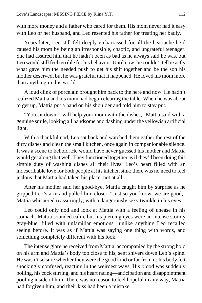with more money and a father who cared for them. His mom never had it easy with Leo or her husband, and Leo resented his father for treating her badly.

Years later, Leo still felt deeply embarrassed for all the heartache he'd caused his mom by being an irresponsible, chaotic, and ungrateful teenager. She had assured him that he hadn't been as bad as he always said he was, but Leo would still feel terrible for his behavior. Until now, he couldn't tell exactly what gave him the needed push to get his shit together and be the son his mother deserved, but he was grateful that it happened. He loved his mom more than anything in this world.

A loud clink of porcelain brought him back to the here and now. He hadn't realized Mattia and his mom had begun clearing the table. When he was about to get up, Mattia put a hand on his shoulder and told him to stay put.

"You sit down. I will help your mom with the dishes," Mattia said with a genuine smile, looking all handsome and dashing under the yellowish artificial light.

With a thankful nod, Leo sat back and watched them gather the rest of the dirty dishes and clean the small kitchen, once again in companionable silence. It was a scene to behold. He would have never guessed his mother and Mattia would get along that well. They functioned together as if they'd been doing this simple duty of washing dishes all their lives. Leo's heart filled with an indescribable love for both people at his kitchen sink; there was no need to feel jealous that Mattia had taken his place, not at all.

After his mother said her good-bye, Mattia caught him by surprise as he gripped Leo's arm and pulled him closer. "Just so you know, we are good," Mattia whispered reassuringly, with a dangerously sexy twinkle in his eyes.

Leo could only nod and look at Mattia with a feeling of unease in his stomach. Mattia sounded calm, but his piercing eyes were an intense stormy gray-blue, filled with unfamiliar emotions—unlike anything Leo recalled seeing before. It was as if Mattia was saying one thing with words, and something completely different with his look.

The intense glare he received from Mattia, accompanied by the strong hold on his arm and Mattia's body too close to his, sent shivers down Leo's spine. He wasn't so sure whether they were the good kind or far from it; his body felt shockingly confused, reacting in the weirdest ways. His blood was suddenly boiling, his cock stirring, and his heart racing—anticipation and disappointment pooling inside of him. There was no reason to feel hopeful in any way, Mattia had forgiven him, and their kiss had been a mistake.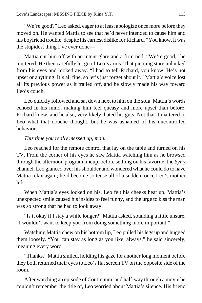"We're good?" Leo asked, eager to at least apologize once more before they moved on. He wanted Mattia to see that he'd never intended to cause him and his boyfriend trouble, despite his earnest dislike for Richard. "You know, it was the stupidest thing I've ever done—"

Mattia cut him off with an intent glare and a firm nod. "We're good," he muttered. He then carefully let go of Leo's arms. That piercing stare unlocked from his eyes and looked away. "I had to tell Richard, you know. He's not upset or anything. It's all fine, so let's just forget about it." Mattia's voice lost all its previous power as it trailed off, and he slowly made his way toward Leo's couch.

Leo quickly followed and sat down next to him on the sofa. Mattia's words echoed in his mind, making him feel queasy and more upset than before. Richard knew, and he also, very likely, hated his guts. Not that it mattered to Leo what that douche thought, but he was ashamed of his uncontrolled behavior.

### *This time you really messed up, man.*

Leo reached for the remote control that lay on the table and turned on his TV. From the corner of his eyes he saw Mattia watching him as he browsed through the afternoon program lineup, before settling on his favorite, the *SyFy* channel. Leo glanced over his shoulder and wondered what he could do to have Mattia relax again; he'd become so tense all of a sudden, once Leo's mother left.

When Mattia's eyes locked on his, Leo felt his cheeks heat up. Mattia's unexpected smile caused his insides to feel funny, and the urge to kiss the man was so strong that he had to look away.

"Is it okay if I stay a while longer?" Mattia asked, sounding a little unsure. "I wouldn't want to keep you from doing something more important."

Watching Mattia chew on his bottom lip, Leo pulled his legs up and hugged them loosely. "You can stay as long as you like, always," he said sincerely, meaning every word.

"Thanks." Mattia smiled, holding his gaze for another long moment before they both returned their eyes to Leo's flat screen TV on the opposite side of the room.

After watching an episode of Continuum, and half-way through a movie he couldn't remember the title of, Leo worried about Mattia's silence. His friend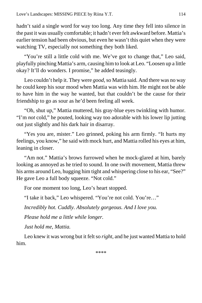hadn't said a single word for way too long. Any time they fell into silence in the past it was usually comfortable; it hadn't ever felt awkward before. Mattia's earlier tension had been obvious, but even he wasn't this quiet when they were watching TV, especially not something they both liked.

"You're still a little cold with me. We've got to change that," Leo said, playfully pinching Mattia's arm, causing him to look at Leo. "Loosen up a little okay? It'll do wonders. I promise," he added teasingly.

Leo couldn't help it. They were *good*, so Mattia said. And there was no way he could keep his sour mood when Mattia was with him. He might not be able to have him in the way he wanted, but that couldn't be the cause for their friendship to go as sour as he'd been feeling all week.

"Oh, shut up," Mattia muttered, his gray-blue eyes twinkling with humor. "I'm *not* cold," he pouted, looking way too adorable with his lower lip jutting out just slightly and his dark hair in disarray.

"Yes you are, mister." Leo grinned, poking his arm firmly. "It hurts my feelings, you know," he said with mock hurt, and Mattia rolled his eyes at him, leaning in closer.

"Am not." Mattia's brows furrowed when he mock-glared at him, barely looking as annoyed as he tried to sound. In one swift movement, Mattia threw his arms around Leo, hugging him tight and whispering close to his ear, "See?" He gave Leo a full body squeeze. "Not cold."

For one moment too long, Leo's heart stopped.

"I take it back," Leo whispered. "You're not cold. You're…"

*Incredibly hot. Cuddly. Absolutely gorgeous. And I love you.*

*Please hold me a little while longer.*

*Just hold me, Mattia.*

Leo knew it was wrong but it felt so *right,* and he just wanted Mattia to hold him.

\*\*\*\*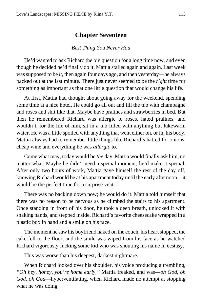## **Chapter Seventeen**

#### *Best Thing You Never Had*

He'd wanted to ask Richard the big question for a long time now, and even though he decided he'd finally do it, Mattia stalled again and again. Last week was supposed to be *it*, then again four days ago, and then yesterday—he always backed out at the last minute. There just never seemed to be the *right* time for something as important as that one little question that would change his life.

At first, Mattia had thought about going away for the weekend, spending some time at a nice hotel. He could go all out and fill the tub with champagne and roses and shit like that. Maybe have pralines and strawberries in bed. But then he remembered Richard was allergic to roses, hated pralines, and wouldn't, for the life of him, sit in a tub filled with anything but lukewarm water. He was a little spoiled with anything that went either on, or in, his body. Mattia always had to remember little things like Richard's hatred for onions, cheap wine and everything he was *allergic* to.

Come what may, today would be *the* day. Mattia would finally ask him, no matter what. Maybe he didn't need a special moment; he'd make it special. After only two hours of work, Mattia gave himself the rest of the day off, knowing Richard would be at his apartment today until the early afternoon—it would be the perfect time for a surprise visit.

There was no backing down now; he would do it. Mattia told himself that there was no reason to be nervous as he climbed the stairs to his apartment. Once standing in front of his door, he took a deep breath, unlocked it with shaking hands, and stepped inside, Richard's favorite cheesecake wrapped in a plastic box in hand and a smile on his face.

The moment he saw his boyfriend naked on the couch, his heart stopped, the cake fell to the floor, and the smile was wiped from his face as he watched Richard vigorously fucking some kid who was shouting his name in ecstasy.

This was worse than his deepest, darkest nightmare.

When Richard looked over his shoulder, his voice producing a trembling, *"Oh hey, honey, you're home early,"* Mattia freaked, and was—*oh God, oh God, oh God*—hyperventilating, when Richard made no attempt at stopping what he was doing.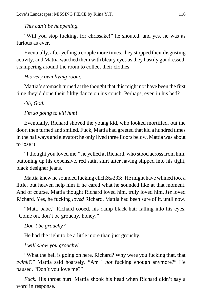### *This can't be happening.*

"Will you stop fucking, for chrissake!" he shouted, and yes, he was as furious as ever.

Eventually, after yelling a couple more times, they stopped their disgusting activity, and Mattia watched them with bleary eyes as they hastily got dressed, scampering around the room to collect their clothes.

#### *His very own living room*.

Mattia's stomach turned at the thought that this might not have been the first time they'd done their filthy dance on his couch. Perhaps, even in his bed?

*Oh, God.*

#### *I'm so going to kill him!*

Eventually, Richard shoved the young kid, who looked mortified, out the door, then turned and smiled. Fuck, Mattia had greeted that kid a hundred times in the hallways and elevator; he only lived three floors below. Mattia was about to lose it.

"I thought you loved me," he yelled at Richard, who stood across from him, buttoning up his expensive, red satin shirt after having slipped into his tight, black designer jeans.

Mattia knew he sounded fucking clich  $\&\#233$ ; He might have whined too, a little, but heaven help him if he cared what he sounded like at that moment. And of course, Mattia thought Richard loved him, truly loved him. *He* loved Richard. Yes, he fucking *loved* Richard. Mattia had been sure of it, until now.

"Matt, babe," Richard cooed, his damp black hair falling into his eyes. "Come on, don't be grouchy, honey."

#### *Don't be grouchy?*

He had the right to be a little more than just grouchy.

*I will show you grouchy!*

"What the hell is going on here, Richard? Why were you fucking that, that *twink*!?" Mattia said hoarsely. "Am I *not* fucking enough anymore?" He paused. "Don't you love me?"

*Fuck.* His throat hurt. Mattia shook his head when Richard didn't say a word in response.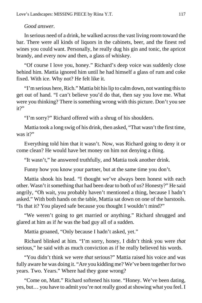## *Good answer.*

In serious need of a drink, he walked across the vast living room toward the bar. There were all kinds of liquors in the cabinets, beer, and the finest red wines you could want. Personally, he really dug his gin and tonic, the apricot brandy, and every now and then, a glass of whiskey.

"Of course I love you, honey." Richard's deep voice was suddenly close behind him. Mattia ignored him until he had himself a glass of rum and coke fixed. With ice. Why not? He felt like it.

"I'm serious here, Rich." Mattia bit his lip to calm down, not wanting this to get out of hand. "I can't believe you'd do that, then say you love me. What were you thinking? There is something wrong with this picture. Don't you see  $it?"$ 

"I'm sorry?" Richard offered with a shrug of his shoulders.

Mattia took a long swig of his drink, then asked, "That wasn't the first time, was it?"

Everything told him that it wasn't. Now, was Richard going to deny it or come clean? He would have bet money on him not denying a thing.

"It wasn't," he answered truthfully, and Mattia took another drink.

Funny how you know your partner, but at the same time you don't.

Mattia shook his head. "I thought we've always been honest with each other. Wasn't it something that had been dear to both of us? Honesty?" He said angrily, "Oh wait, you probably haven't mentioned a thing, because I hadn't asked." With both hands on the table, Mattia sat down on one of the barstools. "Is that it? You played safe because you thought I wouldn't mind?"

"We weren't going to get married or anything." Richard shrugged and glared at him as if *he* was the bad guy all of a sudden.

Mattia groaned, "Only because I hadn't asked, yet."

Richard blinked at him. "I'm sorry, honey, I didn't think you were *that* serious," he said with as much conviction as if he really believed his words.

"You didn't think we were *that* serious?" Mattia raised his voice and was fully aware he was doing it. "Are you kidding me? We've been together for two years. Two. Years." Where had they gone wrong?

"Come on, Matt." Richard softened his tone. "Honey. We've been dating, yes, but… you have to admit you're not really good at showing what you feel. I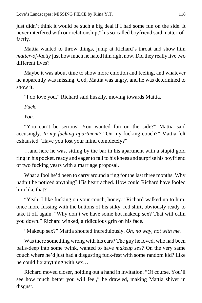just didn't think it would be such a big deal if I had some fun on the side. It never interfered with our relationship," his so-called boyfriend said matter-offactly.

Mattia wanted to throw things, jump at Richard's throat and show him *matter-of-factly* just how much he hated him right now. Did they really live two different lives?

Maybe it was about time to show more emotion and feeling, and whatever he apparently was missing. God, Mattia was angry, and he was determined to show it.

"I do love you," Richard said huskily, moving towards Mattia.

*Fuck.*

*You.*

"You can't be serious! You wanted fun on the side?" Mattia said accusingly. *In my fucking apartment?* "On my fucking couch?" Mattia felt exhausted "Have you lost your mind completely?"

…and here he was, sitting by the bar in his apartment with a stupid gold ring in his pocket, ready and eager to fall to his knees and surprise his boyfriend of two fucking years with a marriage proposal.

What a fool he'd been to carry around a ring for the last three months. Why hadn't he noticed anything? His heart ached. How could Richard have fooled him like that?

"Yeah, I like fucking on your couch, honey." Richard walked up to him, once more fussing with the buttons of his silky, red shirt, obviously ready to take it off again. "Why don't we have some hot makeup sex? That will calm you down." Richard winked, a ridiculous grin on his face.

"Makeup sex?" Mattia shouted incredulously. *Oh, no way, not with me.*

Was there something wrong with his ears? The guy he loved, who had been balls-deep into some twink, wanted to have *makeup sex?* On the very same couch where he'd just had a disgusting fuck-fest with some random kid? Like he could fix anything with sex…

Richard moved closer, holding out a hand in invitation. "Of course. You'll see how much better you will feel," he drawled, making Mattia shiver in disgust.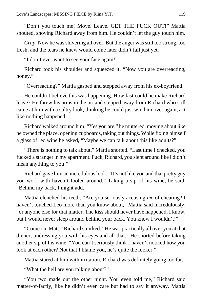"Don't you touch me! Move. Leave. GET THE FUCK OUT!" Mattia shouted, shoving Richard away from him. He couldn't let the guy touch him.

*Crap.* Now he was shivering all over. But the anger was still too strong, too fresh, and the tears he knew would come later didn't fall just yet.

"I don't ever want to see your face again!"

Richard took his shoulder and squeezed it. "Now you are overreacting, honey."

"Overreacting?" Mattia gasped and stepped away from his ex-boyfriend.

He couldn't believe this was happening. How fast could he make Richard leave? He threw his arms in the air and stepped away from Richard who still came at him with a sultry look, thinking he could just win him over again, act like nothing happened.

Richard walked around him. "Yes you are," he muttered, moving about like he owned the place, opening cupboards, taking out things. While fixing himself a glass of red wine he asked, "Maybe we can talk about this like adults?"

"There is nothing to talk about." Mattia snorted. "Last time I checked, you fucked a stranger in my apartment. Fuck, Richard, you slept around like I didn't mean anything to you!"

Richard gave him an incredulous look. "It's not like you and that pretty guy you work with haven't fooled around." Taking a sip of his wine, he said, "Behind my back, I might add."

Mattia clenched his teeth. "Are you seriously accusing *me* of cheating? I haven't touched Leo more than you know about," Mattia said incredulously, "or anyone else for that matter. The kiss should never have happened, I know, but I would never sleep around behind your back. You know I wouldn't!"

"Come on, Matt." Richard smirked. "He was practically all over you at that dinner, undressing you with his eyes and all that." He snorted before taking another sip of his wine. "You can't seriously think I haven't noticed how you look at each other? Not that I blame you, he's quite the looker."

Mattia stared at him with irritation. Richard was definitely going too far.

"What the hell are you talking about?"

"You two made out the other night. You even told me," Richard said matter-of-factly, like he didn't even care but had to say it anyway. Mattia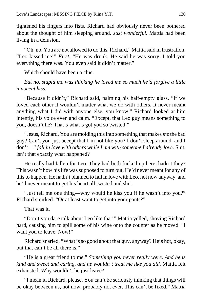tightened his fingers into fists. Richard had obviously never been bothered about the thought of him sleeping around. *Just wonderful.* Mattia had been living in a delusion.

"Oh, no. You are not allowed to do this, Richard," Mattia said in frustration. "Leo kissed me!" *First.* "He was drunk. He said he was sorry. I told you everything there was. You even said it didn't matter."

Which should have been a clue.

*But no, stupid me was thinking he loved me so much he'd forgive a little innocent kiss!*

"Because it didn't," Richard said, palming his half-empty glass. "If we loved each other it wouldn't matter what we do with others. It never meant anything what I did with anyone else, you know." Richard looked at him intently, his voice even and calm. "Except, that Leo guy means something to you, doesn't he? That's what's got you so twisted."

"Jesus, Richard. You are molding this into something that makes *me* the bad guy? Can't you just accept that I'm not like you? I don't sleep around, and I don't—" *fall in love with others while I am with someone I already love.* Shit, isn't that exactly what happened?

He really had fallen for Leo. They had both fucked up here, hadn't they? This wasn't how his life was supposed to turn out. He'd never meant for any of this to happen. He hadn't planned to fall in love with Leo, not now anyway, and he'd never meant to get his heart all twisted and shit.

"Just tell me one thing—why would he kiss you if he wasn't into you?" Richard smirked. "Or at least want to get into your pants?"

That was it.

"Don't you dare talk about Leo like that!" Mattia yelled, shoving Richard hard, causing him to spill some of his wine onto the counter as he moved. "I want you to leave. Now!"

Richard snarled, "What is so good about that guy, anyway? He's hot, okay, but that can't be all there is."

"He is a great friend to me." *Something you never really were. And he is kind and sweet and caring, and he wouldn't treat me like you did.* Mattia felt exhausted. Why wouldn't he just leave?

"I mean it, Richard, please. You can't be seriously thinking that things will be okay between us, not now, probably not ever. This can't be fixed." Mattia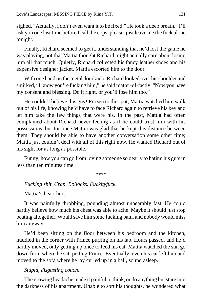sighed. "Actually, I don't even want it to be fixed." He took a deep breath. "I'll ask you one last time before I call the cops, please, just leave me the fuck alone tonight."

Finally, Richard seemed to get it, understanding that he'd lost the game he was playing, not that Mattia thought Richard might actually care about losing him all that much. Quietly, Richard collected his fancy leather shoes and his expensive designer jacket. Mattia escorted him to the door.

With one hand on the metal doorknob, Richard looked over his shoulder and smirked, "I know you're fucking him," he said matter-of-factly. "Now you have my consent and blessing. Do it right, or you'll lose him too."

He couldn't believe this guy! Frozen to the spot, Mattia watched him walk out of his life, knowing he'd have to face Richard again to retrieve his key and let him take the few things that were his. In the past, Mattia had often complained about Richard never feeling as if he could trust him with his possessions, but for once Mattia was glad that he kept this distance between them. They should be able to have another conversation some other time; Mattia just couldn't deal with all of this right now. He wanted Richard out of his sight for as long as possible.

Funny, how you can go from loving someone so dearly to hating his guts in less than ten minutes time.

\*\*\*\*

*Fucking shit. Crap. Bollocks. Fuckityfuck.*

Mattia's heart hurt.

It was painfully throbbing, pounding almost unbearably fast. He could hardly believe how much his chest was able to ache. Maybe it should just stop beating altogether. Would save him some fucking pain, and nobody would miss him anyway.

He'd been sitting on the floor between his bedroom and the kitchen, huddled in the corner with Prince purring on his lap. Hours passed, and he'd hardly moved, only getting up once to feed his cat. Mattia watched the sun go down from where he sat, petting Prince. Eventually, even his cat left him and moved to the sofa where he lay curled up in a ball, sound asleep.

#### *Stupid, disgusting couch.*

The growing headache made it painful to think, or do anything but stare into the darkness of his apartment. Unable to sort his thoughts, he wondered what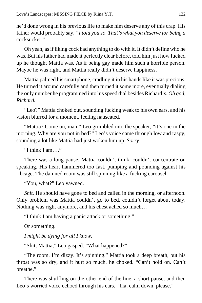he'd done wrong in his previous life to make him deserve any of this crap. His father would probably say, *"I told you so. That's what you deserve for being a*  cocksucker."

Oh yeah, as if liking cock had anything to do with it. It didn't define who he was. But his father had made it perfectly clear before, told him just how fucked up he thought Mattia was. As if being gay made him such a horrible person. Maybe he was right, and Mattia really didn't deserve happiness.

Mattia palmed his smartphone, cradling it in his hands like it was precious. He turned it around carefully and then turned it some more, eventually dialing the only number he programmed into his speed dial besides Richard's. *Oh god, Richard.*

"Leo?" Mattia choked out, sounding fucking weak to his own ears, and his vision blurred for a moment, feeling nauseated.

"Mattia? Come on, man," Leo grumbled into the speaker, "it's one in the morning. Why are you not in bed?" Leo's voice came through low and raspy, sounding a lot like Mattia had just woken him up. *Sorry.*

"I think I am…."

There was a long pause. Mattia couldn't think, couldn't concentrate on speaking. His heart hammered too fast, pumping and pounding against his ribcage. The damned room was still spinning like a fucking carousel.

"You, what?" Leo yawned.

*Shit.* He should have gone to bed and called in the morning, or afternoon. Only problem was Mattia couldn't go to bed, couldn't forget about today. Nothing was right anymore, and his chest ached so much…

"I think I am having a panic attack or something."

Or something.

*I might be dying for all I know.*

"Shit, Mattia," Leo gasped. "What happened?"

"The room. I'm dizzy. It's spinning." Mattia took a deep breath, but his throat was so dry, and it hurt so much, he choked. "Can't hold on. Can't breathe."

There was shuffling on the other end of the line, a short pause, and then Leo's worried voice echoed through his ears. "Tia, calm down, please."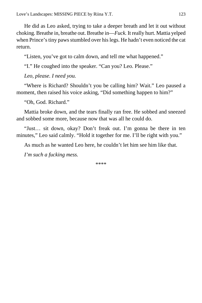He did as Leo asked, trying to take a deeper breath and let it out without choking. Breathe in, breathe out. Breathe in—*Fuck.* It really hurt. Mattia yelped when Prince's tiny paws stumbled over his legs. He hadn't even noticed the cat return.

"Listen, you've got to calm down, and tell me what happened."

"I." He coughed into the speaker. "Can you? Leo. Please."

*Leo, please. I need you.*

"Where is Richard? Shouldn't you be calling him? Wait." Leo paused a moment, then raised his voice asking, "Did something happen to him?"

"Oh, God. Richard."

Mattia broke down, and the tears finally ran free. He sobbed and sneezed and sobbed some more, because now that was all he could do.

"Just… sit down, okay? Don't freak out. I'm gonna be there in ten minutes," Leo said calmly. "Hold it together for me. I'll be right with you."

As much as he wanted Leo here, he couldn't let him see him like that.

*I'm such a fucking mess.*

\*\*\*\*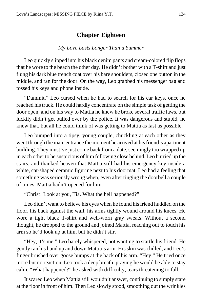# **Chapter Eighteen**

### *My Love Lasts Longer Than a Summer*

Leo quickly slipped into his black denim pants and cream-colored flip flops that he wore to the beach the other day. He didn't bother with a T-shirt and just flung his dark blue trench coat over his bare shoulders, closed one button in the middle, and ran for the door. On the way, Leo grabbed his messenger bag and tossed his keys and phone inside.

"Dammit," Leo cursed when he had to search for his car keys, once he reached his truck. He could hardly concentrate on the simple task of getting the door open, and on his way to Mattia he knew he broke several traffic laws, but luckily didn't get pulled over by the police. It was dangerous and stupid, he knew that, but all he could think of was getting to Mattia as fast as possible.

Leo bumped into a tipsy, young couple, chuckling at each other as they went through the main entrance the moment he arrived at his friend's apartment building. They must've just come back from a date, seemingly too wrapped up in each other to be suspicious of him following close behind. Leo hurried up the stairs, and thanked heaven that Mattia still had his emergency key inside a white, cat-shaped ceramic figurine next to his doormat. Leo had a feeling that something was seriously wrong when, even after ringing the doorbell a couple of times, Mattia hadn't opened for him.

"Christ! Look at you, Tia. What the hell happened?"

Leo didn't want to believe his eyes when he found his friend huddled on the floor, his back against the wall, his arms tightly wound around his knees. He wore a tight black T-shirt and well-worn gray sweats. Without a second thought, he dropped to the ground and joined Mattia, reaching out to touch his arm so he'd look up at him, but he didn't stir.

"Hey, it's me," Leo barely whispered, not wanting to startle his friend. He gently ran his hand up and down Mattia's arm. His skin was chilled, and Leo's finger brushed over goose bumps at the back of his arm. "Hey." He tried once more but no reaction. Leo took a deep breath, praying he would be able to stay calm. "What happened?" he asked with difficulty, tears threatening to fall.

It scared Leo when Mattia still wouldn't answer, continuing to simply stare at the floor in front of him. Then Leo slowly stood, smoothing out the wrinkles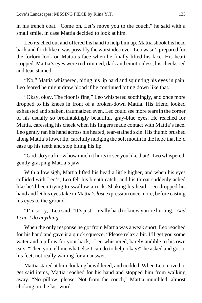in his trench coat. "Come on. Let's move you to the couch," he said with a small smile, in case Mattia decided to look at him.

Leo reached out and offered his hand to help him up. Mattia shook his head back and forth like it was possibly the worst idea ever. Leo wasn't prepared for the forlorn look on Mattia's face when he finally lifted his face. His heart stopped. Mattia's eyes were red-rimmed, dark and emotionless, his cheeks red and tear-stained.

"No," Mattia whispered, biting his lip hard and squinting his eyes in pain. Leo feared he might draw blood if he continued biting down like that.

"Okay, okay. The floor is fine," Leo whispered soothingly, and once more dropped to his knees in front of a broken-down Mattia. His friend looked exhausted and shaken, traumatized even. Leo could see more tears in the corner of his usually so breathtakingly beautiful, gray-blue eyes. He reached for Mattia, caressing his cheek when his fingers made contact with Mattia's face. Leo gently ran his hand across his heated, tear-stained skin. His thumb brushed along Mattia's lower lip, carefully nudging the soft mouth in the hope that he'd ease up his teeth and stop biting his lip.

"God, do you know how much it hurts to see you like that?" Leo whispered, gently grasping Mattia's jaw.

With a low sigh, Mattia lifted his head a little higher, and when his eyes collided with Leo's, Leo felt his breath catch, and his throat suddenly ached like he'd been trying to swallow a rock. Shaking his head, Leo dropped his hand and let his eyes take in Mattia's *lost* expression once more, before casting his eyes to the ground.

"I'm sorry," Leo said. "It's just… really hard to know you're hurting." *And I can't do anything.*

When the only response he got from Mattia was a weak snort, Leo reached for his hand and gave it a quick squeeze. "Please relax a bit. I'll get you some water and a pillow for your back," Leo whispered, barely audible to his own ears. "Then you tell me what else I can do to help, okay?" he asked and got to his feet, not really waiting for an answer.

Mattia stared at him, looking bewildered, and nodded. When Leo moved to get said items, Mattia reached for his hand and stopped him from walking away. "No pillow, please. Not from the couch," Mattia mumbled, almost choking on the last word.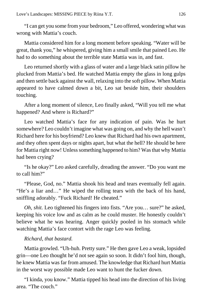"I can get you some from your bedroom," Leo offered, wondering what was wrong with Mattia's couch.

Mattia considered him for a long moment before speaking. "Water will be great, thank you," he whispered, giving him a small smile that pained Leo. He had to do something about the terrible state Mattia was in, and fast.

Leo returned shortly with a glass of water and a large black satin pillow he plucked from Mattia's bed. He watched Mattia empty the glass in long gulps and then settle back against the wall, relaxing into the soft pillow. When Mattia appeared to have calmed down a bit, Leo sat beside him, their shoulders touching.

After a long moment of silence, Leo finally asked, "Will you tell me what happened? And where is Richard?"

Leo watched Mattia's face for any indication of pain. Was he hurt somewhere? Leo couldn't imagine what was going on, and why the hell wasn't Richard here for his boyfriend? Leo knew that Richard had his own apartment, and they often spent days or nights apart, but what the hell? He should be here for Mattia right now! Unless something happened to him? Was that why Mattia had been crying?

"Is he okay?" Leo asked carefully, dreading the answer. "Do you want me to call him?"

"Please, God, no." Mattia shook his head and tears eventually fell again. "He's a liar and…" He wiped the rolling tears with the back of his hand, sniffling adorably. "Fuck Richard! He cheated."

*Oh, shit.* Leo tightened his fingers into fists. "Are you... sure?" he asked, keeping his voice low and as calm as he could muster. He honestly couldn't believe what he was hearing. Anger quickly pooled in his stomach while watching Mattia's face contort with the rage Leo was feeling.

## *Richard, that bastard.*

Mattia growled. "Uh-huh. Pretty sure." He then gave Leo a weak, lopsided grin—one Leo thought he'd not see again so soon. It didn't fool him, though, he knew Mattia was far from amused. The knowledge that Richard hurt Mattia in the worst way possible made Leo want to hunt the fucker down.

"I kinda, you know." Mattia tipped his head into the direction of his living area. "The couch."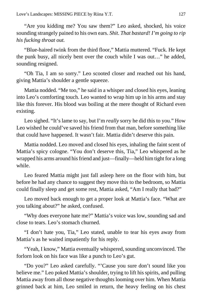"Are you kidding me? You saw them?" Leo asked, shocked, his voice sounding strangely pained to his own ears. *Shit. That bastard! I'm going to rip his fucking throat out.*

"Blue-haired twink from the third floor," Mattia muttered. "Fuck. He kept the punk busy, all nicely bent over the couch while I was out…" he added, sounding resigned.

"Oh Tia, I am so sorry." Leo scooted closer and reached out his hand, giving Mattia's shoulder a gentle squeeze.

Mattia nodded. "Me too," he said in a whisper and closed his eyes, leaning into Leo's comforting touch. Leo wanted to wrap him up in his arms and stay like this forever. His blood was boiling at the mere thought of Richard even existing.

Leo sighed. "It's lame to say, but I'm *really* sorry he did this to you." How Leo wished he could've saved his friend from that man, before something like that could have happened. It wasn't fair. Mattia didn't deserve this pain.

Mattia nodded. Leo moved and closed his eyes, inhaling the faint scent of Mattia's spicy cologne. "You don't deserve this, Tia," Leo whispered as he wrapped his arms around his friend and just—finally—held him tight for a long while.

Leo feared Mattia might just fall asleep here on the floor with him, but before he had any chance to suggest they move this to the bedroom, so Mattia could finally sleep and get some rest, Mattia asked, "Am I really that bad?"

Leo moved back enough to get a proper look at Mattia's face. "What are you talking about?" he asked, confused.

"Why does everyone hate me?" Mattia's voice was low, sounding sad and close to tears. Leo's stomach churned.

"I don't hate you, Tia," Leo stated, unable to tear his eyes away from Mattia's as he waited impatiently for his reply.

"Yeah, I know," Mattia eventually whispered, sounding unconvinced. The forlorn look on his face was like a punch to Leo's gut.

"Do you?" Leo asked carefully. "'Cause you sure don't sound like you believe me." Leo poked Mattia's shoulder, trying to lift his spirits, and pulling Mattia away from all those negative thoughts looming over him. When Mattia grinned back at him, Leo smiled in return, the heavy feeling on his chest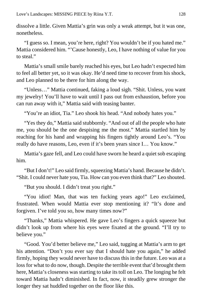dissolve a little. Given Mattia's grin was only a weak attempt, but it was one, nonetheless.

"I guess so. I mean, you're here, right? You wouldn't be if you hated me." Mattia considered him. "'Cause honestly, Leo, I have nothing of value for you to steal."

Mattia's small smile barely reached his eyes, but Leo hadn't expected him to feel all better yet, so it was okay. He'd need time to recover from his shock, and Leo planned to be there for him along the way.

"Unless…" Mattia continued, faking a loud sigh. "Shit. Unless, you want my jewelry! You'll have to wait until I pass out from exhaustion, before you can run away with it," Mattia said with teasing banter.

"You're an idiot, Tia." Leo shook his head. "And nobody hates you."

"Yes they do," Mattia said stubbornly. "And out of all the people who hate me, you should be the one despising me the most." Mattia startled him by reaching for his hand and wrapping his fingers tightly around Leo's. "You really do have reasons, Leo, even if it's been years since I… You know."

Mattia's gaze fell, and Leo could have sworn he heard a quiet sob escaping him.

"But I don't!" Leo said firmly, squeezing Mattia's hand. Because he didn't. "Shit. I could never hate you, Tia. How can you even think that?" Leo shouted.

"But you should. I didn't treat you right."

"You idiot! Man, that was ten fucking years ago!" Leo exclaimed, frustrated. When would Mattia ever stop mentioning it? "It's done and forgiven. I've told you so, how many times now?"

"Thanks," Mattia whispered. He gave Leo's fingers a quick squeeze but didn't look up from where his eyes were fixated at the ground. "I'll try to believe you."

"Good. You'd better believe me," Leo said, tugging at Mattia's arm to get his attention. "Don't you ever say that I should hate you again," he added firmly, hoping they would never have to discuss this in the future. Leo was at a loss for what to do now, though. Despite the terrible event that'd brought them here, Mattia's closeness was starting to take its toll on Leo. The longing he felt toward Mattia hadn't diminished. In fact, now, it steadily grew stronger the longer they sat huddled together on the floor like this.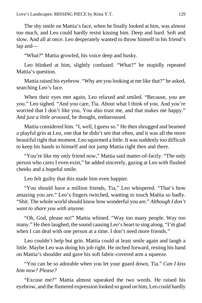The shy smile on Mattia's face, when he finally looked at him, was almost too much, and Leo could hardly resist kissing him. Deep and hard. Soft and slow. And all at once. Leo desperately wanted to throw himself in his friend's lap and—

"What?" Mattia growled, his voice deep and husky.

Leo blinked at him, slightly confused. "What?" he stupidly repeated Mattia's question.

Mattia raised his eyebrow. "Why are you looking at me like that?" he asked, searching Leo's face.

When their eyes met again, Leo relaxed and smiled. "Because, you are you." Leo sighed. "And you care, Tia. About what I think of you. And you're worried that I don't like you. You also trust me, and that makes me happy." *And just a little aroused*, he thought, embarrassed.

Mattia considered him. "I, well, I guess so." He then shrugged and beamed a playful grin at Leo, one that he didn't see that often, and it was all the more beautiful right that moment. Leo squirmed a little. It was suddenly too difficult to keep his hands to himself and not jump Mattia right then and there.

"You're like my only friend now," Mattia said matter-of-factly. "The only person who cares I even exist," he added sincerely, gazing at Leo with flushed cheeks and a hopeful smile.

Leo felt guilty that this made him even happier.

"You should have a million friends, Tia," Leo whispered. "That's how amazing you are." Leo's fingers twitched, wanting to touch Mattia so badly. "Shit. The whole world should know how wonderful you are." *Although I don't want to share you with anyone.*

"Oh, God, please no!" Mattia whined. "Way too many people. Way too many." He then laughed, the sound causing Leo's heart to sing along. "I'm glad when I can deal with one person at a time. I don't need more friends."

Leo couldn't help but grin. Mattia could at least smile again and laugh a little. Maybe Leo was doing his job right. He inched forward, resting his hand on Mattia's shoulder and gave his soft fabric-covered arm a squeeze.

"You can be so adorable when you let your guard down, Tia." *Can I kiss him now? Please?*

"Excuse me?" Mattia almost squeaked the two words. He raised his eyebrow, and the flustered expression looked so good on him, Leo could hardly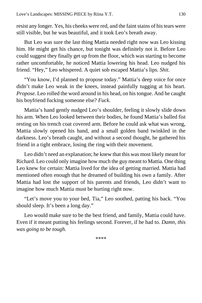resist any longer. Yes, his cheeks were red, and the faint stains of his tears were still visible, but he was beautiful, and it took Leo's breath away.

But Leo was sure the last thing Mattia needed right now was Leo kissing him. He might get his chance, but tonight was definitely not it. Before Leo could suggest they finally get up from the floor, which was starting to become rather uncomfortable, he noticed Mattia lowering his head. Leo nudged his friend. "Hey," Leo whispered. A quiet sob escaped Mattia's lips. *Shit.*

"You know, I'd planned to propose today." Mattia's deep voice for once didn't make Leo weak in the knees, instead painfully tugging at his heart. *Propose.* Leo rolled the word around in his head, on his tongue. And he caught his boyfriend fucking someone else? *Fuck.*

Mattia's hand gently nudged Leo's shoulder, feeling it slowly slide down his arm. When Leo looked between their bodies, he found Mattia's balled fist resting on his trench coat covered arm. Before he could ask what was wrong, Mattia slowly opened his hand, and a small golden band twinkled in the darkness. Leo's breath caught, and without a second thought, he gathered his friend in a tight embrace, losing the ring with their movement.

Leo didn't need an explanation; he knew that this was most likely meant for Richard. Leo could only imagine how much the guy meant to Mattia. One thing Leo knew for certain: Mattia lived for the idea of getting married. Mattia had mentioned often enough that he dreamed of building his own a family. After Mattia had lost the support of his parents and friends, Leo didn't want to imagine how much Mattia must be hurting right now.

"Let's move you to your bed, Tia," Leo soothed, patting his back. "You should sleep. It's been a long day."

Leo would make sure to be the best friend, and family, Mattia could have. Even if it meant putting his feelings second. Forever, if he had to. *Damn, this was going to be tough.*

\*\*\*\*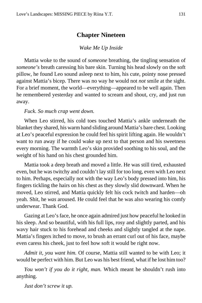# **Chapter Nineteen**

### *Wake Me Up Inside*

Mattia woke to the sound of *someone* breathing, the tingling sensation of *someone's* breath caressing his bare skin. Turning his head slowly on the soft pillow, he found Leo sound asleep next to him, his cute, pointy nose pressed against Mattia's bicep. There was no way he would not *not* smile at the sight. For a brief moment, the world—everything—appeared to be well again. Then he remembered yesterday and wanted to scream and shout, cry, and just run away.

### *Fuck. So much crap went down.*

When Leo stirred, his cold toes touched Mattia's ankle underneath the blanket they shared, his warm hand sliding around Mattia's bare chest. Looking at Leo's peaceful expression he could feel his spirit lifting again. He wouldn't want to run away if he could wake up next to that person and his sweetness every morning. The warmth Leo's skin provided soothing to his soul, and the weight of his hand on his chest grounded him.

Mattia took a deep breath and moved a little. He was still tired, exhausted even, but he was twitchy and couldn't lay still for too long, even with Leo next to him. Perhaps, especially not with the way Leo's body pressed into him, his fingers tickling the hairs on his chest as they slowly slid downward. When he moved, Leo stirred, and Mattia quickly felt his cock twitch and harden—oh yeah. Shit, he *was* aroused. He could feel that he was also wearing his comfy underwear. Thank God.

Gazing at Leo's face, he once again admired just how peaceful he looked in his sleep. And so beautiful, with his full lips, rosy and slightly parted, and his wavy hair stuck to his forehead and cheeks and slightly tangled at the nape. Mattia's fingers itched to move, to brush an errant curl out of his face, maybe even caress his cheek, just to feel how soft it would be right now.

*Admit it, you want him.* Of course, Mattia still wanted to be with Leo; it would be perfect with him. But Leo was his best friend, what if he lost him too?

*You won't if you do it right, man.* Which meant he shouldn't rush into anything.

*Just don't screw it up.*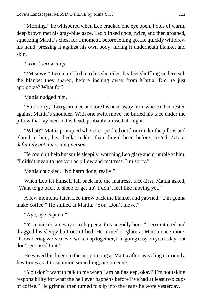"Morning," he whispered when Leo cracked one eye open. Pools of warm, deep brown met his gray-blue gaze. Leo blinked once, twice, and then groaned, squeezing Mattia's chest for a moment, before letting go. He quickly withdrew his hand, pressing it against his own body, hiding it underneath blanket and skin.

## *I won't screw it up.*

"'M sowy," Leo mumbled into his shoulder, his feet shuffling underneath the blanket they shared, before inching away from Mattia. Did he just apologize? What for?

Mattia nudged him.

"Said sorry," Leo grumbled and tore his head away from where it had rested against Mattia's shoulder. With one swift move, he buried his face under the pillow that lay next to his head, probably unused all night.

"What?" Mattia prompted when Leo peeked out from under the pillow and glared at him, his cheeks redder than they'd been before. *Noted, Leo is definitely not a morning person.*

He couldn't help but smile sleepily, watching Leo glare and grumble at him. "I didn't mean to use you as pillow and mattress. I'm sorry."

Mattia chuckled. "No harm done, really."

When Leo let himself fall back into the mattress, face-first, Mattia asked, "Want to go back to sleep or get up? I don't feel like moving yet."

A few moments later, Leo threw back the blanket and yawned. "I'm gonna make coffee." He smiled at Mattia. "You. Don't move."

"Aye, aye captain."

"You, mister, are way too chipper at this ungodly hour," Leo muttered and dragged his sleepy butt out of bed. He turned to glare at Mattia once more. "Considering we've never woken up together, I'm going easy on you today, but don't get used to it."

He waved his finger in the air, pointing at Mattia after swiveling it around a few times as if to summon something, or someone.

"You don't want to talk to me when I am half asleep, okay? I'm not taking responsibility for what the hell ever happens before I've had at least two cups of coffee." He grinned then turned to slip into the jeans he wore yesterday.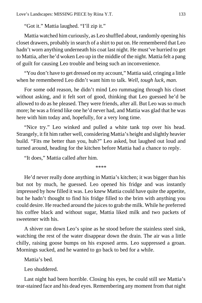"Got it." Mattia laughed. "I'll zip it."

Mattia watched him curiously, as Leo shuffled about, randomly opening his closet drawers, probably in search of a shirt to put on. He remembered that Leo hadn't worn anything underneath his coat last night. He must've hurried to get to Mattia, after he'd woken Leo up in the middle of the night. Mattia felt a pang of guilt for causing Leo trouble and being such an inconvenience.

"You don't have to get dressed on my account," Mattia said, cringing a little when he remembered Leo didn't want him to talk. *Well, tough luck, man.*

For some odd reason, he didn't mind Leo rummaging through his closet without asking, and it felt sort of good, thinking that Leo guessed he'd be allowed to do as he pleased. They were friends, after all. But Leo was so much more; he was a friend like one he'd never had, and Mattia was glad that he was here with him today and, hopefully, for a very long time.

"Nice try." Leo winked and pulled a white tank top over his head. Strangely, it fit him rather well, considering Mattia's height and slightly heavier build. "Fits me better than you, huh?" Leo asked, but laughed out loud and turned around, heading for the kitchen before Mattia had a chance to reply.

"It does," Mattia called after him.

\*\*\*\*

He'd never really done anything in Mattia's kitchen; it was bigger than his but not by much, he guessed. Leo opened his fridge and was instantly impressed by how filled it was. Leo knew Mattia could have quite the appetite, but he hadn't thought to find his fridge filled to the brim with anything you could desire. He reached around the juices to grab the milk. While he preferred his coffee black and without sugar, Mattia liked milk and two packets of sweetener with his.

A shiver ran down Leo's spine as he stood before the stainless steel sink, watching the rest of the water disappear down the drain. The air was a little chilly, raising goose bumps on his exposed arms. Leo suppressed a groan. Mornings sucked, and he wanted to go back to bed for a while.

Mattia's bed.

Leo shuddered.

Last night had been horrible. Closing his eyes, he could still see Mattia's tear-stained face and his dead eyes. Remembering any moment from that night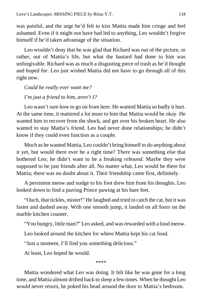was painful, and the urge he'd felt to kiss Mattia made him cringe and feel ashamed. Even if it might not have had led to anything, Leo wouldn't forgive himself if he'd taken advantage of the situation.

Leo wouldn't deny that he was glad that Richard was out of the picture, or rather, out of Mattia's life, but what the bastard had done to him was unforgivable. Richard was as much a disgusting piece of trash as he'd thought and hoped for. Leo just wished Mattia did not have to go through all of this right now.

*Could he really ever want me?*

*I'm just a friend to him, aren't I?*

Leo wasn't sure how to go on from here. He wanted Mattia so badly it hurt. At the same time, it mattered a lot more to him that Mattia would be okay. He wanted him to recover from the shock, and get over his broken heart. He also wanted to stay Mattia's friend. Leo had never done relationships; he didn't know if they could even function as a couple.

Much as he wanted Mattia, Leo couldn't bring himself to do anything about it yet, but would there ever be a right time? There was something else that bothered Leo; he didn't want to be a freaking *rebound.* Maybe they were supposed to be just friends after all. No matter what, Leo would be there for Mattia; there was no doubt about it. Their friendship came first, definitely.

A persistent meow and nudge to his foot drew him from his thoughts. Leo looked down to find a purring Prince pawing at his bare feet.

"Ouch, that tickles, mister!" He laughed and tried to catch the cat, but it was faster and dashed away. With one smooth jump, it landed on all fours on the marble kitchen counter.

"You hungry, little man?" Leo asked, and was rewarded with a loud meow.

Leo looked around the kitchen for where Mattia kept his cat food.

"Just a moment, I'll find you something delicious."

At least, Leo hoped he would.

\*\*\*\*

Mattia wondered what Leo was doing. It felt like he was gone for a long time, and Mattia almost drifted back to sleep a few times. When he thought Leo would never return, he poked his head around the door to Mattia's bedroom.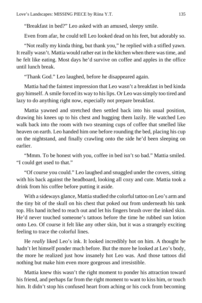"Breakfast in bed?" Leo asked with an amused, sleepy smile.

Even from afar, he could tell Leo looked dead on his feet, but adorably so.

"Not really my kinda thing, but thank you," he replied with a stifled yawn. It really wasn't. Mattia would rather eat in the kitchen when there was time, and he felt like eating. Most days he'd survive on coffee and apples in the office until lunch break.

"Thank God." Leo laughed, before he disappeared again.

Mattia had the faintest impression that Leo wasn't a breakfast in bed kinda guy himself. A smile forced its way to his lips. Or Leo was simply too tired and lazy to do anything right now, especially not prepare breakfast.

Mattia yawned and stretched then settled back into his usual position, drawing his knees up to his chest and hugging them lazily. He watched Leo walk back into the room with two steaming cups of coffee that smelled like heaven on earth. Leo handed him one before rounding the bed, placing his cup on the nightstand, and finally crawling onto the side he'd been sleeping on earlier.

"Mmm. To be honest with you, coffee in bed isn't so bad." Mattia smiled. "I could get used to that."

"Of course you could." Leo laughed and snuggled under the covers, sitting with his back against the headboard, looking all cozy and cute. Mattia took a drink from his coffee before putting it aside.

With a sideways glance, Mattia studied the colorful tattoo on Leo's arm and the tiny bit of the skull on his chest that poked out from underneath his tank top. His hand itched to reach out and let his fingers brush over the inked skin. He'd never touched someone's tattoos before the time he rubbed sun lotion onto Leo. Of course it felt like any other skin, but it was a strangely exciting feeling to trace the colorful lines.

He *really* liked Leo's ink. It looked incredibly hot on him. A thought he hadn't let himself ponder much before. But the more he looked at Leo's body, the more he realized just how insanely hot Leo was. And those tattoos did nothing but make him even more gorgeous and irresistible.

Mattia knew this wasn't the right moment to ponder his attraction toward his friend, and perhaps far from the right moment to want to kiss him, or touch him. It didn't stop his confused heart from aching or his cock from becoming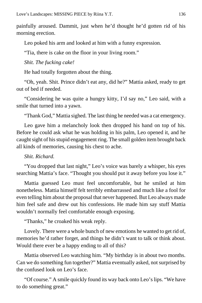painfully aroused. Dammit, just when he'd thought he'd gotten rid of his morning erection.

Leo poked his arm and looked at him with a funny expression.

"Tia, there is cake on the floor in your living room."

*Shit. The fucking cake!*

He had totally forgotten about the thing.

"Oh, yeah. Shit. Prince didn't eat any, did he?" Mattia asked, ready to get out of bed if needed.

"Considering he was quite a hungry kitty, I'd say no," Leo said, with a smile that turned into a yawn.

"Thank God," Mattia sighed. The last thing he needed was a cat emergency.

Leo gave him a melancholy look then dropped his hand on top of his. Before he could ask what he was holding in his palm, Leo opened it, and he caught sight of his stupid engagement ring. The small golden item brought back all kinds of memories, causing his chest to ache.

## *Shit. Richard.*

"You dropped that last night," Leo's voice was barely a whisper, his eyes searching Mattia's face. "Thought you should put it away before you lose it."

Mattia guessed Leo must feel uncomfortable, but he smiled at him nonetheless. Mattia himself felt terribly embarrassed and much like a fool for even telling him about the proposal that never happened. But Leo always made him feel safe and drew out his confessions. He made him say stuff Mattia wouldn't normally feel comfortable enough exposing.

"Thanks," he croaked his weak reply.

Lovely. There were a whole bunch of new emotions he wanted to get rid of, memories he'd rather forget, and things he didn't want to talk or think about. Would there ever be a happy ending to all of this?

Mattia observed Leo watching him. "My birthday is in about two months. Can we do something fun together?" Mattia eventually asked, not surprised by the confused look on Leo's face.

"Of course." A smile quickly found its way back onto Leo's lips. "We have to do something great."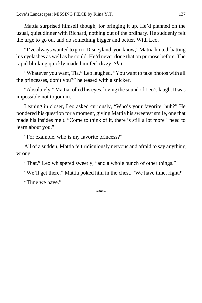Mattia surprised himself though, for bringing it up. He'd planned on the usual, quiet dinner with Richard, nothing out of the ordinary. He suddenly felt the urge to go out and do something bigger and better. With Leo.

"I've always wanted to go to Disneyland, you know," Mattia hinted, batting his eyelashes as well as he could. He'd never done that on purpose before. The rapid blinking quickly made him feel dizzy. *Shit.*

"Whatever you want, Tia." Leo laughed. "You want to take photos with all the princesses, don't you?" he teased with a snicker.

"Absolutely." Mattia rolled his eyes, loving the sound of Leo's laugh. It was impossible not to join in.

Leaning in closer, Leo asked curiously, "Who's your favorite, huh?" He pondered his question for a moment, giving Mattia his sweetest smile, one that made his insides melt. "Come to think of it, there is still a lot more I need to learn about you."

"For example, who is my favorite princess?"

All of a sudden, Mattia felt ridiculously nervous and afraid to say anything wrong.

"That," Leo whispered sweetly, "and a whole bunch of other things."

"We'll get there." Mattia poked him in the chest. "We have time, right?"

"Time we have."

\*\*\*\*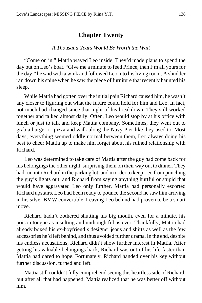## **Chapter Twenty**

#### *A Thousand Years Would Be Worth the Wait*

"Come on in." Mattia waved Leo inside. They'd made plans to spend the day out on Leo's boat. "Give me a minute to feed Prince, then I'm all yours for the day," he said with a wink and followed Leo into his living room. A shudder ran down his spine when he saw the piece of furniture that recently haunted his sleep.

While Mattia had gotten over the initial pain Richard caused him, he wasn't any closer to figuring out what the future could hold for him and Leo. In fact, not much had changed since that night of his breakdown. They still worked together and talked almost daily. Often, Leo would stop by at his office with lunch or just to talk and keep Mattia company. Sometimes, they went out to grab a burger or pizza and walk along the Navy Pier like they used to. Most days, everything seemed oddly normal between them, Leo always doing his best to cheer Mattia up to make him forget about his ruined relationship with Richard.

Leo was determined to take care of Mattia after the guy had come back for his belongings the other night, surprising them on their way out to dinner. They had run into Richard in the parking lot, and in order to keep Leo from punching the guy's lights out, and Richard from saying anything hurtful or stupid that would have aggravated Leo only further, Mattia had personally escorted Richard upstairs. Leo had been ready to pounce the second he saw him arriving in his silver BMW convertible. Leaving Leo behind had proven to be a smart move.

Richard hadn't bothered shutting his big mouth, even for a minute, his poison tongue as insulting and unthoughtful as ever. Thankfully, Mattia had already boxed his ex-boyfriend's designer jeans and shirts as well as the few accessories he'd left behind, and thus avoided further drama. In the end, despite his endless accusations, Richard didn't show further interest in Mattia. After getting his valuable belongings back, Richard was out of his life faster than Mattia had dared to hope. Fortunately, Richard handed over his key without further discussion, turned and left.

Mattia still couldn't fully comprehend seeing this heartless side of Richard, but after all that had happened, Mattia realized that he was better off without him.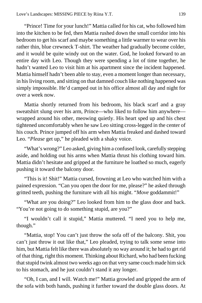"Prince! Time for your lunch!" Mattia called for his cat, who followed him into the kitchen to be fed, then Mattia rushed down the small corridor into his bedroom to get his scarf and maybe something a little warmer to wear over his rather thin, blue crewneck T-shirt. The weather had gradually become colder, and it would be quite windy out on the water. God, he looked forward to an entire day with Leo. Though they were spending a lot of time together, he hadn't wanted Leo to visit him at his apartment since the incident happened. Mattia himself hadn't been able to stay, even a moment longer than necessary, in his living room, and sitting on that damned couch like nothing happened was simply impossible. He'd camped out in his office almost all day and night for over a week now.

Mattia shortly returned from his bedroom, his black scarf and a gray sweatshirt slung over his arm, Prince—who liked to follow him anywhere wrapped around his other, meowing quietly. His heart sped up and his chest tightened uncomfortably when he saw Leo sitting cross-legged in the center of his couch. Prince jumped off his arm when Mattia freaked and dashed toward Leo. "*Please* get up," he pleaded with a shaky voice.

"What's wrong?" Leo asked, giving him a confused look, carefully stepping aside, and holding out his arms when Mattia thrust his clothing toward him. Mattia didn't hesitate and gripped at the furniture he loathed so much, eagerly pushing it toward the balcony door.

"This is it! Shit!" Mattia cursed, frowning at Leo who watched him with a pained expression. "Can you open the door for me, please?" he asked through gritted teeth, pushing the furniture with all his might. "*Move* goddammit!"

"What are you doing?" Leo looked from him to the glass door and back. "You're not going to do something stupid, are you?"

"I wouldn't call it stupid," Mattia muttered. "I need you to help me, though."

"Mattia, stop! You can't just throw the sofa off of the balcony. Shit, you can't just throw it out like that," Leo pleaded, trying to talk some sense into him, but Mattia felt like there was absolutely no way around it; he had to get rid of that thing, right this moment. Thinking about Richard, who had been fucking that stupid twink almost two weeks ago on that very same couch made him sick to his stomach, and he just couldn't stand it any longer.

"Oh, I can, and I will. Watch me!" Mattia growled and gripped the arm of the sofa with both hands, pushing it further toward the double glass doors. At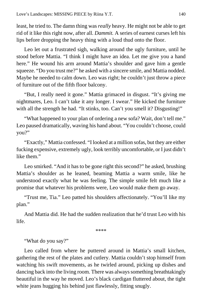least, he tried to. The damn thing was *really* heavy. He might not be able to get rid of it like this right now, after all. *Dammit.* A series of earnest curses left his lips before dropping the heavy thing with a loud thud onto the floor.

Leo let out a frustrated sigh, walking around the ugly furniture, until he stood before Mattia. "I think I might have an idea. Let me give you a hand here." He wound his arm around Mattia's shoulder and gave him a gentle squeeze. "Do you trust me?" he asked with a sincere smile, and Mattia nodded. Maybe he needed to calm down. Leo was right; he couldn't just throw a piece of furniture out of the fifth floor balcony.

"But, I really need it gone." Mattia grimaced in disgust. "It's giving me nightmares, Leo. I can't take it any longer. I swear." He kicked the furniture with all the strength he had. "It stinks, too. Can't you smell it? Disgusting!"

"What happened to your plan of ordering a new sofa? Wait, don't tell me." Leo paused dramatically, waving his hand about. "You couldn't choose, could you?"

"Exactly," Mattia confessed. "I looked at a million sofas, but they are either fucking expensive, extremely ugly, look terribly uncomfortable, or I just didn't like them"

Leo smirked. "And it has to be gone right this second?" he asked, brushing Mattia's shoulder as he leaned, beaming Mattia a warm smile, like he understood exactly what he was feeling. The simple smile felt much like a promise that whatever his problems were, Leo would make them go away.

"Trust me, Tia." Leo patted his shoulders affectionately. "You'll like my plan."

And Mattia did. He had the sudden realization that he'd trust Leo with his life.

\*\*\*\*

"What do you say?"

Leo called from where he puttered around in Mattia's small kitchen, gathering the rest of the plates and cutlery. Mattia couldn't stop himself from watching his swift movements, as he twirled around, picking up dishes and dancing back into the living room. There was always something breathtakingly beautiful in the way he moved. Leo's black cardigan fluttered about, the tight white jeans hugging his behind just flawlessly, fitting snugly.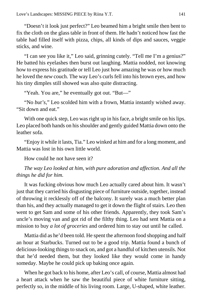"Doesn't it look just perfect?" Leo beamed him a bright smile then bent to fix the cloth on the glass table in front of them. He hadn't noticed how fast the table had filled itself with pizza, chips, all kinds of dips and sauces, veggie sticks, and wine.

"I can see you like it," Leo said, grinning cutely. "Tell me I'm a genius?" He batted his eyelashes then burst out laughing. Mattia nodded, not knowing how to express his gratitude or tell Leo just how amazing he was or how much he loved the *new* couch. The way Leo's curls fell into his brown eyes, and how his tiny dimples still showed was also quite distracting.

"Yeah. You are," he eventually got out. "But—"

"No *but's*," Leo scolded him with a frown, Mattia instantly wished away. "Sit down and eat."

With one quick step, Leo was right up in his face, a bright smile on his lips. Leo placed both hands on his shoulder and gently guided Mattia down onto the leather sofa.

"Enjoy it while it lasts, Tia." Leo winked at him and for a long moment, and Mattia was lost in his own little world.

How could he not have seen it?

# *The way Leo looked at him, with pure adoration and affection. And all the things he did for him.*

It was fucking obvious how much Leo actually cared about him. It wasn't just that they carried his disgusting piece of furniture outside, together, instead of throwing it recklessly off of the balcony. It surely was a much better plan than his, and they actually managed to get it down the flight of stairs. Leo then went to get Sam and some of his other friends. Apparently, they took Sam's uncle's moving van and got rid of the filthy thing. Leo had sent Mattia on a mission to buy *a lot of groceries* and ordered him to stay out until he called.

Mattia did as he'd been told. He spent the afternoon food shopping and half an hour at Starbucks. Turned out to be a good trip. Mattia found a bunch of delicious-looking things to snack on, and got a handful of kitchen utensils. Not that he'd needed them, but they looked like they would come in handy someday. Maybe he could pick up baking once again.

When he got back to his home, after Leo's call, of course, Mattia almost had a heart attack when he saw the beautiful piece of white furniture sitting, perfectly so, in the middle of his living room. Large, U-shaped, white leather.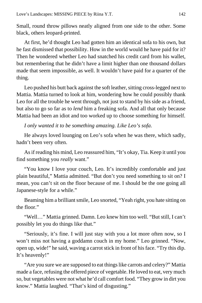Small, round throw pillows neatly aligned from one side to the other. Some black, others leopard-printed.

At first, he'd thought Leo had gotten him an identical sofa to his own, but he fast dismissed that possibility. How in the world would he have paid for it? Then he wondered whether Leo had snatched his credit card from his wallet, but remembering that he didn't have a limit higher than one thousand dollars made that seem impossible, as well. It wouldn't have paid for a quarter of the thing.

Leo pushed his butt back against the soft leather, sitting cross-legged next to Mattia. Mattia turned to look at him, wondering how he could possibly thank Leo for all the trouble he went through, not just to stand by his side as a friend, but also to go so far as to *lend* him a freaking sofa. And all that only because Mattia had been an idiot and too worked up to choose something for himself.

*I only wanted it to be something amazing. Like Leo's sofa.*

He always loved lounging on Leo's sofa when he was there, which sadly, hadn't been very often.

As if reading his mind, Leo reassured him, "It's okay, Tia. Keep it until you find something you *really* want."

"You know I love your couch, Leo. It's incredibly comfortable and just plain beautiful," Mattia admitted. "But don't you need something to sit on? I mean, you can't sit on the floor because of me. I should be the one going all Japanese-style for a while."

Beaming him a brilliant smile, Leo snorted, "Yeah right, you hate sitting on the floor."

"Well…" Mattia grinned. Damn. Leo knew him too well. "But still, I can't possibly let you do things like that."

"Seriously, it's fine. I will just stay with you a lot more often now, so I won't miss not having a goddamn couch in my home." Leo grinned. "Now, open up, wide!" he said, waving a carrot stick in front of his face. "Try this dip. It's heavenly!"

"Are you sure we are supposed to eat things like carrots and celery?" Mattia made a face, refusing the offered piece of vegetable. He loved to eat, very much so, but vegetables were not what he'd call comfort food. "They grow in dirt you know." Mattia laughed. "That's kind of disgusting."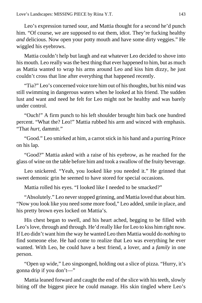Leo's expression turned sour, and Mattia thought for a second he'd punch him. "Of course, we are supposed to eat them, idiot. They're fucking healthy *and* delicious. Now open your potty mouth and have some dirty veggies." He wiggled his eyebrows.

Mattia couldn't help but laugh and eat whatever Leo decided to shove into his mouth. Leo really was the best thing that ever happened to him, but as much as Mattia wanted to wrap his arms around Leo and kiss him dizzy, he just couldn't cross that line after everything that happened recently.

"Tia?" Leo's concerned voice tore him out of his thoughts, but his mind was still swimming in dangerous waters when he looked at his friend. The sudden lust and want and need he felt for Leo might not be healthy and was barely under control.

"Ouch!" A firm punch to his left shoulder brought him back one hundred percent. "What the? Leo!" Mattia rubbed his arm and winced with emphasis. "That *hurt,* dammit."

"Good." Leo smirked at him, a carrot stick in his hand and a purring Prince on his lap.

"Good?" Mattia asked with a raise of his eyebrow, as he reached for the glass of wine on the table before him and took a swallow of the fruity beverage.

Leo snickered. "Yeah, you looked like you needed it." He grinned that sweet demonic grin he seemed to have stored for special occasions.

Mattia rolled his eyes. "I looked like I needed to be smacked?"

"Absolutely." Leo never stopped grinning, and Mattia loved that about him. "Now you look like you need some more food," Leo added, smile in place, and his pretty brown eyes locked on Mattia's.

His chest began to swell, and his heart ached, begging to be filled with Leo's love, through and through. He'd really like for Leo to kiss him right now. If Leo didn't want him the way he wanted Leo then Mattia would do *nothing* to find someone else. He had come to realize that Leo was everything he ever wanted. With Leo, he could have a best friend, a lover, and a *family* in one person.

"Open up wide," Leo singsonged, holding out a slice of pizza. "Hurry, it's gonna drip if you don't—"

Mattia leaned forward and caught the end of the slice with his teeth, slowly biting off the biggest piece he could manage. His skin tingled where Leo's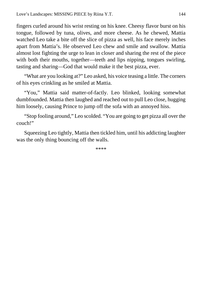fingers curled around his wrist resting on his knee. Cheesy flavor burst on his tongue, followed by tuna, olives, and more cheese. As he chewed, Mattia watched Leo take a bite off the slice of pizza as well, his face merely inches apart from Mattia's. He observed Leo chew and smile and swallow. Mattia almost lost fighting the urge to lean in closer and sharing the rest of the piece with both their mouths, together—teeth and lips nipping, tongues swirling, tasting and sharing—God that would make it the best pizza, ever.

"What are you looking at?" Leo asked, his voice teasing a little. The corners of his eyes crinkling as he smiled at Mattia.

"You," Mattia said matter-of-factly. Leo blinked, looking somewhat dumbfounded. Mattia then laughed and reached out to pull Leo close, hugging him loosely, causing Prince to jump off the sofa with an annoyed hiss.

"Stop fooling around," Leo scolded. "You are going to get pizza all over the couch!"

Squeezing Leo tightly, Mattia then tickled him, until his addicting laughter was the only thing bouncing off the walls.

\*\*\*\*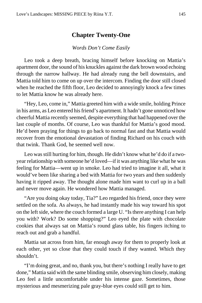# **Chapter Twenty-One**

#### *Words Don't Come Easily*

Leo took a deep breath, bracing himself before knocking on Mattia's apartment door, the sound of his knuckles against the dark brown wood echoing through the narrow hallway. He had already rung the bell downstairs, and Mattia told him to come on up over the intercom. Finding the door still closed when he reached the fifth floor, Leo decided to annoyingly knock a few times to let Mattia know he was already here.

"Hey, Leo, come in," Mattia greeted him with a wide smile, holding Prince in his arms, as Leo entered his friend's apartment. It hadn't gone unnoticed how cheerful Mattia recently seemed, despite everything that had happened over the last couple of months. Of course, Leo was thankful for Mattia's good mood. He'd been praying for things to go back to normal fast and that Mattia would recover from the emotional devastation of finding Richard on his couch with that twink. Thank God, he seemed well now.

Leo was still hurting for him, though. He didn't know what he'd do if a twoyear relationship with someone he'd loved—if it was anything like what he was feeling for Mattia—went up in smoke. Leo had tried to imagine it all, what it would've been like sharing a bed with Mattia for two years and then suddenly having it ripped away. The thought alone made him want to curl up in a ball and never move again. He wondered how Mattia managed.

"Are you doing okay today, Tia?" Leo regarded his friend, once they were settled on the sofa. As always, he had instantly made his way toward his spot on the left side, where the couch formed a large U. "Is there anything I can help you with? Work? Do some shopping?" Leo eyed the plate with chocolate cookies that always sat on Mattia's round glass table, his fingers itching to reach out and grab a handful.

Mattia sat across from him, far enough away for them to properly look at each other, yet so close that they could touch if they wanted. Which they shouldn't.

"I'm doing great, and no, thank you, but there's nothing I really have to get done," Mattia said with the same blinding smile, observing him closely, making Leo feel a little uncomfortable under his intense gaze. Sometimes, those mysterious and mesmerizing pale gray-blue eyes could still get to him.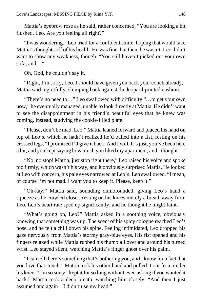Mattia's eyebrow rose as he said, rather concerned, "You are looking a bit flushed, Leo. Are *you* feeling all right?"

"I was wondering." Leo tried for a confident smile, hoping that would take Mattia's thoughts off of his health. He was fine, but then, he wasn't. Leo didn't want to show any weakness, though. "You still haven't picked out your own sofa, and—"

Oh, God, he couldn't say it.

"Right, I'm sorry, Leo. I should have given you back your couch already," Mattia said regretfully, slumping back against the leopard-printed cushion.

"There's no need to…" Leo swallowed with difficulty "…to get your own now," he eventually managed, unable to look directly at Mattia. He didn't want to see the disappointment in his friend's beautiful eyes that he knew was coming, instead, studying the cookie-filled plate.

"Please, don't be mad, Leo." Mattia leaned forward and placed his hand on top of Leo's, which he hadn't realized he'd balled into a fist, resting on his crossed legs. "I promised I'd give it back. And I will. It's just, you've been here a lot, and you kept saying how much you liked my apartment, and I thought—"

"No, no stop! Mattia, just stop right there," Leo raised his voice and spoke too firmly, which wasn't his way, and it obviously surprised Mattia. He looked at Leo with concern, his pale eyes narrowed at Leo's. Leo swallowed. "I mean, of course I'm not mad. I want you to keep it. Please, keep it."

"Oh-kay," Mattia said, sounding dumbfounded, giving Leo's hand a squeeze as he crawled closer, resting on his knees merely a breath away from Leo. Leo's heart rate sped up significantly, and he thought he might faint.

"What's going on, Leo?" Mattia asked in a soothing voice, obviously knowing that something was up. The scent of his spicy cologne reached Leo's nose, and he felt a chill down his spine. Feeling intimidated, Leo dropped his gaze nervously from Mattia's stormy gray-blue eyes. His fist opened and his fingers relaxed while Mattia rubbed his thumb all over and around his turned wrist. Leo stayed silent, watching Mattia's finger ghost over his palm.

"I can tell there's something that's bothering you, and I know for a fact that you love that couch." Mattia took his other hand and pulled it out from under his knee. "I'm so sorry I kept it for so long without even asking if you wanted it back." Mattia took a deep breath, watching him closely. "And then I just assumed and again—I didn't use my head."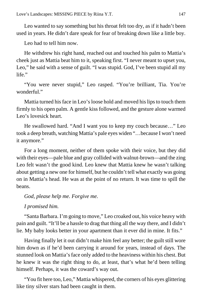Leo wanted to say something but his throat felt too dry, as if it hadn't been used in years. He didn't dare speak for fear of breaking down like a little boy.

Leo had to tell him now.

He withdrew his right hand, reached out and touched his palm to Mattia's cheek just as Mattia beat him to it, speaking first. "I never meant to upset you, Leo," he said with a sense of guilt. "I was stupid. God, I've been stupid all my life."

"You were never stupid," Leo rasped. "You're brilliant, Tia. You're wonderful."

Mattia turned his face in Leo's loose hold and moved his lips to touch them firmly to his open palm. A gentle kiss followed, and the gesture alone warmed Leo's lovesick heart.

He swallowed hard. "And I want you to keep my couch because…" Leo took a deep breath, watching Mattia's pale eyes widen "…because I won't need it anymore."

For a long moment, neither of them spoke with their voice, but they did with their eyes—pale blue and gray collided with walnut-brown—and the zing Leo felt wasn't the good kind. Leo knew that Mattia knew he wasn't talking about getting a new one for himself, but he couldn't tell what exactly was going on in Mattia's head. He was at the point of no return. It was time to spill the beans.

### *God, please help me. Forgive me.*

## *I promised him.*

"Santa Barbara. I'm going to move," Leo croaked out, his voice heavy with pain and guilt. "It'll be a hassle to drag that thing all the way there, and I didn't lie. My baby looks better in your apartment than it ever did in mine. It fits."

Having finally let it out didn't make him feel any better; the guilt still wore him down as if he'd been carrying it around for years, instead of days. The stunned look on Mattia's face only added to the heaviness within his chest. But he knew it was the right thing to do, at least, that's what he'd been telling himself. Perhaps, it was the coward's way out.

"You fit here too, Leo," Mattia whispered, the corners of his eyes glittering like tiny silver stars had been caught in them.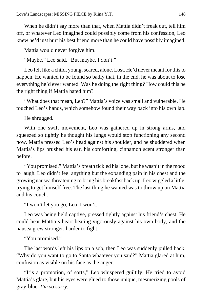When he didn't say more than that, when Mattia didn't freak out, tell him off, or whatever Leo imagined could possibly come from his confession, Leo knew he'd just hurt his best friend more than he could have possibly imagined.

Mattia would never forgive him.

"Maybe," Leo said. "But maybe, I don't."

Leo felt like a child, young, scared, alone. Lost. He'd never meant for this to happen. He wanted to be found so badly that, in the end, he was about to lose everything he'd ever wanted. Was he doing the right thing? How could this be the right thing if Mattia hated him?

"What does that mean, Leo?" Mattia's voice was small and vulnerable. He touched Leo's hands, which somehow found their way back into his own lap.

He shrugged.

With one swift movement, Leo was gathered up in strong arms, and squeezed so tightly he thought his lungs would stop functioning any second now. Mattia pressed Leo's head against his shoulder, and he shuddered when Mattia's lips brushed his ear, his comforting, cinnamon scent stronger than before.

"You promised." Mattia's breath tickled his lobe, but he wasn't in the mood to laugh. Leo didn't feel anything but the expanding pain in his chest and the growing nausea threatening to bring his breakfast back up. Leo wiggled a little, trying to get himself free. The last thing he wanted was to throw up on Mattia and his couch.

"I won't let you go, Leo. I won't."

Leo was being held captive, pressed tightly against his friend's chest. He could hear Mattia's heart beating vigorously against his own body, and the nausea grew stronger, harder to fight.

"You promised."

The last words left his lips on a sob, then Leo was suddenly pulled back. "Why do you want to go to Santa whatever you said?" Mattia glared at him, confusion as visible on his face as the anger.

"It's a promotion, of sorts," Leo whispered guiltily. He tried to avoid Mattia's glare, but his eyes were glued to those unique, mesmerizing pools of gray-blue. *I'm so sorry.*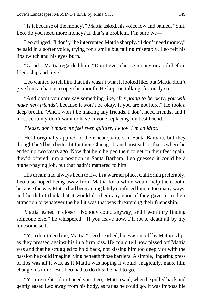"Is it because of the money?" Mattia asked, his voice low and pained. "Shit, Leo, do you need more money? If that's a problem, I'm sure we—"

Leo cringed. "I don't," he interrupted Mattia sharply. "I don't need money," he said in a softer voice, trying for a smile but failing miserably. Leo felt his lips twitch and his eyes burn.

"Good." Mattia regarded him. "Don't ever choose money or a job before friendship and love."

Leo wanted to tell him that this wasn't what it looked like, but Mattia didn't give him a chance to open his mouth. He kept on talking, furiously so.

"And don't you dare say something like, *'It's going to be okay, you will make new friends'*, because it won't be okay, if you are not here." He took a deep breath. "And I won't be making any friends. I don't need friends, and I most certainly don't want to have anyone replacing my best friend."

## *Please, don't make me feel even guiltier. I know I'm an idiot.*

He'd originally applied to their headquarters in Santa Barbara, but they thought he'd be a better fit for their Chicago branch instead, so that's where he ended up two years ago. Now that he'd helped them to get on their feet again, they'd offered him a position in Santa Barbara. Leo guessed it could be a higher-paying job, but that hadn't mattered to him.

His dream had always been to live in a warmer place, California preferably. Leo also hoped being away from Mattia for a while would help them both, because the way Mattia had been acting lately confused him in too many ways, and he didn't think that it would do them any good if they gave in to their attraction or whatever the hell it was that was threatening their friendship.

Mattia leaned in closer. "Nobody could anyway, and I won't try finding someone else," he whispered. "If you leave now, I'll rot to death all by my lonesome self."

"You don't need me, Mattia," Leo breathed, but was cut off by Mattia's lips as they pressed against his in a firm kiss. He could tell how pissed off Mattia was and that he struggled to hold back, not kissing him too deeply or with the passion he could imagine lying beneath those barriers. A simple, lingering press of lips was all it was, as if Mattia was hoping it would, magically, make him change his mind. But Leo had to do this; he had to go.

"You're right. I don't need you, Leo," Mattia said, when he pulled back and gently eased Leo away from his body, as far as he could go. It was impossible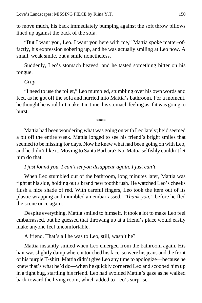to move much, his back immediately bumping against the soft throw pillows lined up against the back of the sofa.

"But I want you, Leo. I want you here with me," Mattia spoke matter-offactly, his expression sobering up, and he was actually smiling at Leo now. A small, weak smile, but a smile nonetheless.

Suddenly, Leo's stomach heaved, and he tasted something bitter on his tongue.

### *Crap.*

"I need to use the toilet," Leo mumbled, stumbling over his own words and feet, as he got off the sofa and hurried into Mattia's bathroom. For a moment, he thought he wouldn't make it in time, his stomach feeling as if it was going to burst.

\*\*\*\*

Mattia had been wondering what was going on with Leo lately; he'd seemed a bit off the entire week. Mattia longed to see his friend's bright smiles that seemed to be missing for days. Now he knew what had been going on with Leo, and he didn't like it. Moving to Santa Barbara? No, Mattia selfishly couldn't let him do that.

*I just found you. I can't let you disappear again. I just can't.*

When Leo stumbled out of the bathroom, long minutes later, Mattia was right at his side, holding out a brand new toothbrush. He watched Leo's cheeks flush a nice shade of red. With careful fingers, Leo took the item out of its plastic wrapping and mumbled an embarrassed, *"Thank you,"* before he fled the scene once again.

Despite everything, Mattia smiled to himself. It took a lot to make Leo feel embarrassed, but he guessed that throwing up at a friend's place would easily make anyone feel uncomfortable.

A friend. That's all he was to Leo, still, wasn't he?

Mattia instantly smiled when Leo emerged from the bathroom again. His hair was slightly damp where it touched his face, so were his jeans and the front of his purple T-shirt. Mattia didn't give Leo any time to apologize—because he knew that's what he'd do—when he quickly cornered Leo and scooped him up in a tight hug, startling his friend. Leo had avoided Mattia's gaze as he walked back toward the living room, which added to Leo's surprise.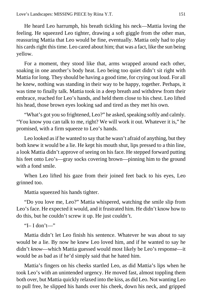He heard Leo harrumph, his breath tickling his neck—Mattia loving the feeling. He squeezed Leo tighter, drawing a soft giggle from the other man, reassuring Mattia that Leo would be fine, eventually. Mattia only had to play his cards right this time. Leo cared about him; that was a fact, like the sun being yellow.

For a moment, they stood like that, arms wrapped around each other, soaking in one another's body heat. Leo being too quiet didn't sit right with Mattia for long. They should be having a good time, for crying out loud. For all he knew, nothing was standing in their way to be happy, together. Perhaps, it was time to finally talk. Mattia took in a deep breath and withdrew from their embrace, reached for Leo's hands, and held them close to his chest. Leo lifted his head, those brown eyes looking sad and tired as they met his own.

"What's got you so frightened, Leo?" he asked, speaking softly and calmly. "You know you can talk to me, right? We will work it out. Whatever it is," he promised, with a firm squeeze to Leo's hands.

Leo looked as if he wanted to say that he wasn't afraid of anything, but they both knew it would be a lie. He kept his mouth shut, lips pressed to a thin line, a look Mattia didn't approve of seeing on his face. He stepped forward putting his feet onto Leo's—gray socks covering brown—pinning him to the ground with a fond smile.

When Leo lifted his gaze from their joined feet back to his eyes, Leo grinned too.

Mattia squeezed his hands tighter.

"Do you love me, Leo?" Mattia whispered, watching the smile slip from Leo's face. He expected it would, and it frustrated him. He didn't know how to do this, but he couldn't screw it up. He just couldn't.

"I– I don't—"

Mattia didn't let Leo finish his sentence. Whatever he was about to say would be a lie. By now he knew Leo loved him, and if he wanted to say he didn't *know*—which Mattia guessed would most likely be Leo's response—it would be as bad as if he'd simply said that he hated him.

Mattia's fingers on his cheeks startled Leo, as did Mattia's lips when he took Leo's with an unintended urgency. He moved fast, almost toppling them both over, but Mattia quickly relaxed into the kiss, as did Leo. Not wanting Leo to pull free, he slipped his hands over his cheek, down his neck, and gripped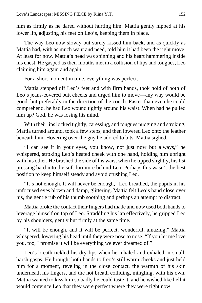him as firmly as he dared without hurting him. Mattia gently nipped at his lower lip, adjusting his feet on Leo's, keeping them in place.

The way Leo now slowly but surely kissed him back, and as quickly as Mattia had, with as much want and need, told him it had been the right move. At least for now. Mattia's head was spinning and his heart hammering inside his chest. He gasped as their mouths met in a collision of lips and tongues, Leo claiming him again and again.

For a short moment in time, everything was perfect.

Mattia stepped off Leo's feet and with firm hands, took hold of both of Leo's jeans-covered butt cheeks and urged him to move—any way would be good, but preferably in the direction of the couch. Faster than even he could comprehend, he had Leo wound tightly around his waist. When had he pulled him up? God, he was losing his mind.

With their lips locked tightly, caressing, and tongues nudging and stroking, Mattia turned around, took a few steps, and then lowered Leo onto the leather beneath him. Hovering over the guy he adored to bits, Mattia sighed.

"I can see it in your eyes, you know, not just now but always," he whispered, stroking Leo's heated cheek with one hand, holding him upright with his other. He brushed the side of his waist when he tipped slightly, his fist pressing hard into the soft furniture behind Leo. Perhaps this wasn't the best position to keep himself steady and avoid crushing Leo.

"It's not enough. It will never be enough," Leo breathed, the pupils in his unfocused eyes blown and damp, glittering. Mattia felt Leo's hand close over his, the gentle rub of his thumb soothing and perhaps an attempt to distract.

Mattia broke the contact their fingers had made and now used both hands to leverage himself on top of Leo. Straddling his lap effectively, he gripped Leo by his shoulders, gently but firmly at the same time.

"It will be enough, and it will be perfect, wonderful, amazing," Mattia whispered, lowering his head until they were nose to nose. "If you let me love you, too, I promise it will be everything we ever dreamed of."

Leo's breath tickled his dry lips when he inhaled and exhaled in small, harsh gasps. He brought both hands to Leo's still warm cheeks and just held him for a moment, reveling in the close contact, the warmth of his skin underneath his fingers, and the hot breath colliding, mingling, with his own. Mattia wanted to kiss him so badly he could taste it, and he wished like hell it would convince Leo that they were perfect where they were right now.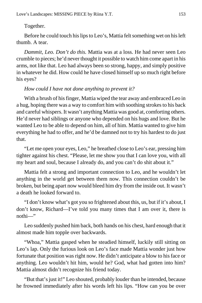Together.

Before he could touch his lips to Leo's, Mattia felt something wet on his left thumb. A tear.

*Dammit, Leo. Don't do this.* Mattia was at a loss. He had never seen Leo crumble to pieces; he'd never thought it possible to watch him come apart in his arms, not like that. Leo had always been so strong, happy, and simply positive in whatever he did. How could he have closed himself up so much right before his eyes?

### *How could I have not done anything to prevent it?*

With a brush of his finger, Mattia wiped the tear away and embraced Leo in a hug, hoping there was a way to comfort him with soothing strokes to his back and careful whispers. It wasn't anything Mattia was good at, comforting others. He'd never had siblings or anyone who depended on his hugs and love. But he wanted Leo to be able to depend on him, all of him. Mattia wanted to give him everything he had to offer, and he'd be damned not to try his hardest to do just that.

"Let me open your eyes, Leo," he breathed close to Leo's ear, pressing him tighter against his chest. "Please, let me show you that I can love you, with all my heart and soul, because I already do, and you can't do shit about it."

Mattia felt a strong and important connection to Leo, and he wouldn't let anything in the world get between them now. This connection couldn't be broken, but being apart now would bleed him dry from the inside out. It wasn't a death he looked forward to.

"I don't know what's got you so frightened about this, us, but if it's about, I don't know, Richard—I've told you many times that I am over it, there is nothi—"

Leo suddenly pushed him back, both hands on his chest, hard enough that it almost made him topple over backwards.

"Whoa," Mattia gasped when he steadied himself, luckily still sitting on Leo's lap. Only the furious look on Leo's face made Mattia wonder just how fortunate that position was right now. He didn't anticipate a blow to his face or anything. Leo wouldn't hit him, would he? God, what had gotten into him? Mattia almost didn't recognize his friend today.

"But that's just it!" Leo shouted, probably louder than he intended, because he frowned immediately after his words left his lips. "How can you be over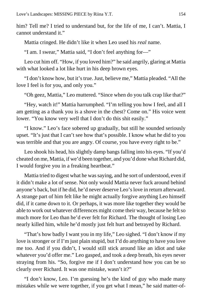him? Tell me? I tried to understand but, for the life of me, I can't. Mattia, I cannot understand it."

Mattia cringed. He didn't like it when Leo used his *real* name.

"I am. I swear," Mattia said, "I don't feel anything for—"

Leo cut him off. "How, if you loved him?" he said angrily, glaring at Mattia with what looked a lot like hurt in his deep brown eyes.

"I don't know how, but it's true. Just, believe me," Mattia pleaded. "All the love I feel is for you, and only you."

"Oh geez, Mattia," Leo muttered. "Since when do you talk crap like that?"

"Hey, watch it!" Mattia harrumphed. "I'm telling you how I feel, and all I am getting as a thank you is a shove in the chest? Come on." His voice went lower. "You know very well that I don't do this shit easily."

"I know." Leo's face sobered up gradually, but still he sounded seriously upset. "It's just that I can't see how that's possible. I know what he did to you was terrible and that you are angry. Of course, you have every right to be."

Leo shook his head, his slightly damp bangs falling into his eyes. "If you'd cheated on me, Mattia, if we'd been together, and you'd done what Richard did, I would forgive you in a freaking heartbeat."

Mattia tried to digest what he was saying, and he sort of understood, even if it didn't make a lot of sense. Not only would Mattia never fuck around behind anyone's back, but if he did, he'd never deserve Leo's love in return afterward. A strange part of him felt like he might actually forgive anything Leo himself did, if it came down to it. Or perhaps, it was more like together they would be able to work out whatever differences might come their way, because he felt so much more for Leo than he'd ever felt for Richard. The thought of losing Leo nearly killed him, while he'd mostly just felt hurt and betrayed by Richard.

"That's how badly I want you in my life," Leo sighed. "I don't know if my love is stronger or if I'm just plain stupid, but I'd do anything to have you love me too. And if you didn't, I would still stick around like an idiot and take whatever you'd offer me." Leo gasped, and took a deep breath, his eyes never straying from his. "So, forgive me if I don't understand how you can be so clearly over Richard. It was one mistake, wasn't it?"

"I don't know, Leo. I'm guessing he's the kind of guy who made many mistakes while we were together, if you get what I mean," he said matter-of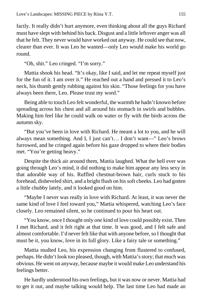factly. It really didn't hurt anymore, even thinking about all the guys Richard must have slept with behind his back. Disgust and a little leftover anger was all that he felt. They never would have worked out anyway. He could see that now, clearer than ever. It was Leo he wanted—only Leo would make his world go round.

"Oh, shit." Leo cringed. "I'm sorry."

Mattia shook his head. "It's okay, like I said, and let me repeat myself just for the fun of it. I am over it." He reached out a hand and pressed it to Leo's neck, his thumb gently rubbing against his skin. "Those feelings for you have always been there, Leo. Please trust my word."

Being able to touch Leo felt wonderful, the warmth he hadn't known before spreading across his chest and all around his stomach in swirls and bubbles. Making him feel like he could walk on water or fly with the birds across the autumn sky.

"But you've been in love with Richard. He meant a lot to you, and he will always mean something. And I, I just can't… I don't want—" Leo's brows furrowed, and he cringed again before his gaze dropped to where their bodies met. "You're getting heavy."

Despite the thick air around them, Mattia laughed. What the hell ever was going through Leo's mind, it did nothing to make him appear any less sexy in that adorable way of his. Ruffled chestnut-brown hair, curls stuck to his forehead, disheveled shirt, and a bright flush on his soft cheeks. Leo had gotten a little chubby lately, and it looked good on him.

"Maybe I never was really in love with Richard. At least, it was never the same kind of love I feel toward you," Mattia whispered, watching Leo's face closely. Leo remained silent, so he continued to pour his heart out.

"You know, once I thought only *one* kind of love could possibly exist. Then I met Richard, and it felt right at that time. It was good, and I felt safe and almost comfortable. I'd never felt like that with anyone before, so I thought that must be it, you know, love in its full glory. Like a fairy tale or something."

Mattia studied Leo, his expression changing from flustered to confused, perhaps. He didn't look too pleased, though, with Mattia's story; that much was obvious. He went on anyway, because maybe it would make Leo understand his feelings better.

He hardly understood his own feelings, but it was now or never. Mattia had to get it out, and maybe talking would help. The last time Leo had made an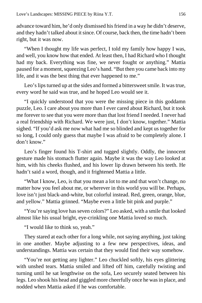advance toward him, he'd only dismissed his friend in a way he didn't deserve, and they hadn't talked about it since. Of course, back then, the time hadn't been right, but it was now.

"When I thought my life was perfect, I told my family how happy I was, and well, you know how that ended. At least then, I had Richard who I thought had my back. Everything was fine, we never fought or anything." Mattia paused for a moment, squeezing Leo's hand. "But then you came back into my life, and it was the best thing that ever happened to me."

Leo's lips turned up at the sides and formed a bittersweet smile. It was true, every word he said was true, and he hoped Leo would see it.

"I quickly understood that you were the missing piece in this goddamn puzzle, Leo. I care about you more than I ever cared about Richard, but it took me forever to see that you were more than that lost friend I needed. I never had a real friendship with Richard. We were just, I don't know, together." Mattia sighed. "If you'd ask me now what had me so blinded and kept us together for so long, I could only guess that maybe I was afraid to be completely alone. I don't know."

Leo's finger found his T-shirt and tugged slightly. Oddly, the innocent gesture made his stomach flutter again. Maybe it was the way Leo looked at him, with his cheeks flushed, and his lower lip drawn between his teeth. He hadn't said a word, though, and it frightened Mattia a little.

"What I know, Leo, is that you mean a lot to me and that won't change, no matter how you feel about me, or wherever in this world you will be. Perhaps, love isn't just black-and-white, but colorful instead. Red, green, orange, blue, and yellow." Mattia grinned. "Maybe even a little bit pink and purple."

"You're saying love has seven colors?" Leo asked, with a smile that looked almost like his usual bright, eye-crinkling one Mattia loved so much.

"I would like to think so, yeah."

They stared at each other for a long while, not saying anything, just taking in one another. Maybe adjusting to a few new perspectives, ideas, and understandings. Mattia was certain that they would find their way somehow.

"You're not getting any lighter." Leo chuckled softly, his eyes glittering with unshed tears. Mattia smiled and lifted off him, carefully twisting and turning until he sat lengthwise on the sofa, Leo securely seated between his legs. Leo shook his head and giggled more cheerfully once he was in place, and nodded when Mattia asked if he was comfortable.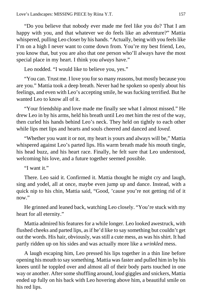"Do you believe that nobody ever made me feel like you do? That I am happy with you, and that whatever we do feels like an adventure?" Mattia whispered, pulling Leo closer by his hands. "Actually, being with you feels like I'm on a high I never want to come down from. You're my best friend, Leo, you know that, but you are also that one person who'll always have the most special place in my heart. I think you *always* have."

Leo nodded. "I would like to believe you, yes."

"You can. Trust me. I love you for so many reasons, but mostly because you are you." Mattia took a deep breath. Never had he spoken so openly about his feelings, and even with Leo's accepting smile, he was fucking terrified. But he wanted Leo to know all of it.

"Your friendship and love made me finally see what I almost missed." He drew Leo in by his arms, held his breath until Leo met him the rest of the way, then curled his hands behind Leo's neck. They held on tightly to each other while lips met lips and hearts and souls cheered and danced and *loved.*

"Whether you want it or not, my heart is yours and always will be," Mattia whispered against Leo's parted lips. His warm breath made his mouth tingle, his head buzz, and his heart race. Finally, he felt sure that Leo understood, welcoming his love, and a future together seemed possible.

"I want it."

There. Leo said it. Confirmed it. Mattia thought he might cry and laugh, sing and yodel, all at once, maybe even jump up and dance. Instead, with a quick nip to his chin, Mattia said, "Good, 'cause you're not getting rid of it now."

He grinned and leaned back, watching Leo closely. "You're stuck with my heart for all eternity."

Mattia admired his features for a while longer. Leo looked awestruck, with flushed cheeks and parted lips, as if he'd like to say something but couldn't get out the words. His hair, obviously, was still a cute mess, as was his shirt. It had partly ridden up on his sides and was actually more like a *wrinkled* mess.

A laugh escaping him, Leo pressed his lips together in a thin line before opening his mouth to say something. Mattia was faster and pulled him in by his knees until he toppled over and almost all of their body parts touched in one way or another. After some shuffling around, loud giggles and snickers, Mattia ended up fully on his back with Leo hovering above him, a beautiful smile on his red lips.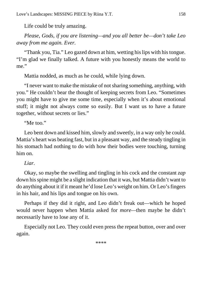Life could be truly amazing.

*Please, Gods, if you are listening—and you all better be—don't take Leo away from me again. Ever.*

"Thank you, Tia." Leo gazed down at him, wetting his lips with his tongue. "I'm glad we finally talked. A future with you honestly means the world to me."

Mattia nodded, as much as he could, while lying down.

"I never want to make the mistake of not sharing something, anything, with you." He couldn't bear the thought of keeping secrets from Leo. "Sometimes you might have to give me some time, especially when it's about emotional stuff; it might not always come so easily. But I want us to have a future together, without secrets or lies."

"Me too."

Leo bent down and kissed him, slowly and sweetly, in a way only he could. Mattia's heart was beating fast, but in a pleasant way, and the steady tingling in his stomach had nothing to do with how their bodies were touching, turning him on.

#### *Liar.*

Okay, so maybe the swelling and tingling in his cock and the constant *zap* down his spine might be a slight indication that it was, but Mattia didn't want to do anything about it if it meant he'd lose Leo's weight on him. Or Leo's fingers in his hair, and his lips and tongue on his own.

Perhaps if they did it right, and Leo didn't freak out—which he hoped would never happen when Mattia asked for *more—*then maybe he didn't necessarily have to lose any of it.

Especially not Leo. They could even press the repeat button, over and over again.

\*\*\*\*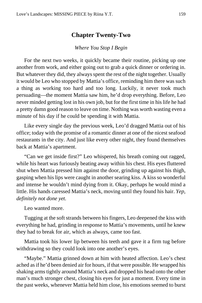# **Chapter Twenty-Two**

#### *Where You Stop I Begin*

For the next two weeks, it quickly became their routine, picking up one another from work, and either going out to grab a quick dinner or ordering in. But whatever they did, they always spent the rest of the night together. Usually it would be Leo who stopped by Mattia's office, reminding him there was such a thing as working too hard and too long. Luckily, it never took much persuading—the moment Mattia saw him, he'd drop everything. Before, Leo never minded getting lost in his own job, but for the first time in his life he had a pretty damn good reason to leave on time. Nothing was worth wasting even a minute of his day if he could be spending it with Mattia.

Like every single day the previous week, Leo'd dragged Mattia out of his office; today with the promise of a romantic dinner at one of the nicest seafood restaurants in the city. And just like every other night, they found themselves back at Mattia's apartment.

"Can we get inside first?" Leo whispered, his breath coming out ragged, while his heart was furiously beating away within his chest. His eyes fluttered shut when Mattia pressed him against the door, grinding up against his thigh, gasping when his lips were caught in another searing kiss. A kiss so wonderful and intense he wouldn't mind dying from it. Okay, perhaps he would mind a little. His hands caressed Mattia's neck, moving until they found his hair. *Yep, definitely not done yet.*

#### Leo wanted more.

Tugging at the soft strands between his fingers, Leo deepened the kiss with everything he had, grinding in response to Mattia's movements, until he knew they had to break for air, which as always, came too fast.

Mattia took his lower lip between his teeth and gave it a firm tug before withdrawing so they could look into one another's eyes.

"Maybe." Mattia grinned down at him with heated affection. Leo's chest ached as if he'd been denied air for hours, if that were possible. He wrapped his shaking arms tightly around Mattia's neck and dropped his head onto the other man's much stronger chest, closing his eyes for just a moment. Every time in the past weeks, whenever Mattia held him close, his emotions seemed to burst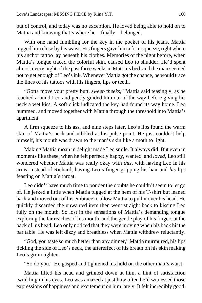out of control, and today was no exception. He loved being able to hold on to Mattia and knowing that's where he—finally—belonged.

With one hand fumbling for the key in the pocket of his jeans, Mattia tugged him close by his waist. His fingers gave him a firm squeeze, right where his anchor tattoo lay beneath his clothes. Memories of the night before, when Mattia's tongue traced the colorful skin, caused Leo to shudder. He'd spent almost every night of the past three weeks in Mattia's bed, and the man seemed not to get enough of Leo's ink. Whenever Mattia got the chance, he would trace the lines of his tattoos with his fingers, lips or teeth.

"Gotta move your pretty butt, *sweet-cheeks,*" Mattia said teasingly, as he reached around Leo and gently guided him out of the way before giving his neck a wet kiss. A soft click indicated the key had found its way home. Leo hummed, and moved together with Mattia through the threshold into Mattia's apartment.

A firm squeeze to his ass, and nine steps later, Leo's lips found the warm skin of Mattia's neck and nibbled at his pulse point. He just couldn't help himself, his mouth was drawn to the man's skin like a moth to light.

Making Mattia moan in delight made Leo smile. It always did. But even in moments like these, when he felt perfectly happy, wanted, and *loved,* Leo still wondered whether Mattia was really okay with *this*, with having Leo in his arms, instead of Richard; having Leo's finger gripping his hair and *his* lips feasting on Mattia's throat.

Leo didn't have much time to ponder the doubts he couldn't seem to let go of. He jerked a little when Mattia tugged at the hem of his T-shirt but leaned back and moved out of his embrace to allow Mattia to pull it over his head. He quickly discarded the unwanted item then went straight back to kissing Leo fully on the mouth. So lost in the sensations of Mattia's demanding tongue exploring the far reaches of his mouth, and the gentle play of his fingers at the back of his head, Leo only noticed that they were moving when his back hit the bar table. He was left dizzy and breathless when Mattia withdrew reluctantly.

"God, you taste so much better than any dinner," Mattia murmured, his lips tickling the side of Leo's neck, the aftereffect of his breath on his skin making Leo's groin tighten.

"So do you." He gasped and tightened his hold on the other man's waist.

Mattia lifted his head and grinned down at him, a hint of satisfaction twinkling in his eyes. Leo was amazed at just how often he'd witnessed those expressions of happiness and excitement on him lately. It felt incredibly good.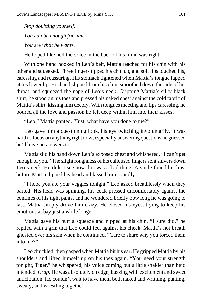*Stop doubting yourself. You can be enough for him. You* are *what he wants.*

He hoped like hell the voice in the back of his mind was right.

With one hand hooked in Leo's belt, Mattia reached for his chin with his other and squeezed. Three fingers tipped his chin up, and soft lips touched his, caressing and reassuring. His stomach tightened when Mattia's tongue lapped at his lower lip. His hand slipped from his chin, smoothed down the side of his throat, and squeezed the nape of Leo's neck. Gripping Mattia's silky black shirt, he stood on his toes and pressed his naked chest against the cold fabric of Mattia's shirt, kissing him deeply. With tongues meeting and lips caressing, he poured all the love and passion he felt deep within him into their kisses.

"Leo," Mattia panted. "Just, what have you done to me?"

Leo gave him a questioning look, his eye twitching involuntarily. It was hard to focus on anything right now, especially answering questions he guessed he'd have no answers to.

Mattia slid his hand down Leo's exposed chest and whispered, "I can't get enough of you." The slight roughness of his calloused fingers sent shivers down Leo's neck. He didn't see how this was a bad thing. A smile found his lips, before Mattia dipped his head and kissed him soundly.

"I hope you ate your veggies tonight," Leo asked breathlessly when they parted. His head was spinning, his cock pressed uncomfortably against the confines of his tight pants, and he wondered briefly how long he was going to last. Mattia simply drove him crazy. He closed his eyes, trying to keep his emotions at bay just a while longer.

Mattia gave his butt a squeeze and nipped at his chin. "I sure did," he replied with a grin that Leo could feel against his cheek. Mattia's hot breath ghosted over his skin when he continued, "Care to share why you forced them into me?"

Leo chuckled, then gasped when Mattia bit his ear. He gripped Mattia by his shoulders and lifted himself up on his toes again. "You need your strength tonight, Tiger," he whispered, his voice coming out a little shakier than he'd intended. *Crap.* He was absolutely on edge, buzzing with excitement and sweet anticipation. He couldn't wait to have them both naked and writhing, panting, sweaty, and wrestling together.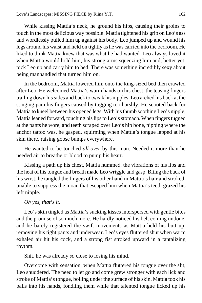While kissing Mattia's neck, he ground his hips, causing their groins to touch in the most delicious way possible. Mattia tightened his grip on Leo's ass and wordlessly pulled him up against his body. Leo jumped up and wound his legs around his waist and held on tightly as he was carried into the bedroom. He liked to think Mattia knew that was what he had wanted. Leo always loved it when Mattia would hold him, his strong arms squeezing him and, better yet, pick Leo up and carry him to bed. There was something incredibly sexy about being manhandled that turned him on.

In the bedroom, Mattia lowered him onto the king-sized bed then crawled after Leo. He welcomed Mattia's warm hands on his chest, the teasing fingers trailing down his sides and back to tweak his nipples. Leo arched his back at the stinging pain his fingers caused by tugging too harshly. He scooted back for Mattia to kneel between his opened legs. With his thumb soothing Leo's nipple, Mattia leaned forward, touching his lips to Leo's stomach. When fingers tugged at the pants he wore, and teeth scraped over Leo's hip bone, nipping where the anchor tattoo was, he gasped, squirming when Mattia's tongue lapped at his skin there, raising goose bumps everywhere.

He wanted to be touched *all over* by this man. Needed it more than he needed air to breathe or blood to pump his heart.

Kissing a path up his chest, Mattia hummed, the vibrations of his lips and the heat of his tongue and breath made Leo wriggle and gasp. Biting the back of his wrist, he tangled the fingers of his other hand in Mattia's hair and stroked, unable to suppress the moan that escaped him when Mattia's teeth grazed his left nipple.

#### *Oh yes, that's it.*

Leo's skin tingled as Mattia's sucking kisses interspersed with gentle bites and the promise of so much more. He hardly noticed his belt coming undone, and he barely registered the swift movements as Mattia held his butt up, removing his tight pants and underwear. Leo's eyes fluttered shut when warm exhaled air hit his cock, and a strong fist stroked upward in a tantalizing rhythm.

Shit, he was already *so* close to losing his mind.

Overcome with sensation, when Mattia fluttered his tongue over the slit, Leo shuddered. The need to let go and come grew stronger with each lick and stroke of Mattia's tongue, boiling under the surface of his skin. Mattia took his balls into his hands, fondling them while that talented tongue licked up his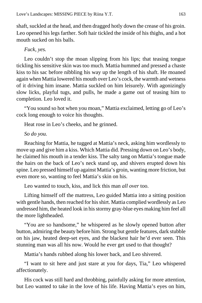shaft, suckled at the head, and then dragged hotly down the crease of his groin. Leo opened his legs farther. Soft hair tickled the inside of his thighs, and a hot mouth sucked on his balls.

# *Fuck, yes.*

Leo couldn't stop the moan slipping from his lips; that teasing tongue tickling his sensitive skin was too much. Mattia hummed and pressed a chaste kiss to his sac before nibbling his way up the length of his shaft. He moaned again when Mattia lowered his mouth over Leo's cock, the warmth and wetness of it driving him insane. Mattia suckled on him leisurely. With agonizingly slow licks, playful tugs, and pulls, he made a game out of teasing him to completion. Leo loved it.

"You sound so hot when you moan," Mattia exclaimed, letting go of Leo's cock long enough to voice his thoughts.

Heat rose in Leo's cheeks, and he grinned.

# *So do you.*

Reaching for Mattia, he tugged at Mattia's neck, asking him wordlessly to move up and give him a kiss. Which Mattia did. Pressing down on Leo's body, he claimed his mouth in a tender kiss. The salty tang on Mattia's tongue made the hairs on the back of Leo's neck stand up, and shivers erupted down his spine. Leo pressed himself up against Mattia's groin, wanting more friction, but even more so, wanting to feel Mattia's skin on his.

Leo wanted to touch, kiss, and lick this man *all over* too.

Lifting himself off the mattress, Leo guided Mattia into a sitting position with gentle hands, then reached for his shirt. Mattia complied wordlessly as Leo undressed him, the heated look in his stormy gray-blue eyes making him feel all the more lightheaded.

"You are so handsome," he whispered as he slowly opened button after button, admiring the beauty before him. Strong but gentle features, dark stubble on his jaw, heated deep-set eyes, and the blackest hair he'd ever seen. This stunning man was all his now. Would he ever get used to that thought?

Mattia's hands rubbed along his lower back, and Leo shivered.

"I want to sit here and just stare at you for days, Tia," Leo whispered affectionately.

His cock was still hard and throbbing, painfully asking for more attention, but Leo wanted to take in the love of his life. Having Mattia's eyes on him,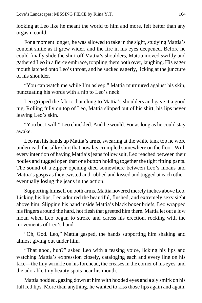looking at Leo like he meant the world to him and more, felt better than any orgasm could.

For a moment longer, he was allowed to take in the sight, studying Mattia's content smile as it grew wider, and the fire in his eyes deepened. Before he could finally slide the shirt off Mattia's shoulders, Mattia moved swiftly and gathered Leo in a fierce embrace, toppling them both over, laughing. His eager mouth latched onto Leo's throat, and he sucked eagerly, licking at the juncture of his shoulder.

"You can watch me while I'm asleep," Mattia murmured against his skin, punctuating his words with a nip to Leo's neck.

Leo gripped the fabric that clung to Mattia's shoulders and gave it a good tug. Rolling fully on top of Leo, Mattia slipped out of his shirt, his lips never leaving Leo's skin.

"You bet I will." Leo chuckled. And he would. For as long as he could stay awake.

Leo ran his hands up Mattia's arms, swearing at the white tank top he wore underneath the silky shirt that now lay crumpled somewhere on the floor. With every intention of having Mattia's jeans follow suit, Leo reached between their bodies and tugged open that one button holding together the tight fitting pants. The sound of a zipper opening died somewhere between Leo's moans and Mattia's gasps as they twisted and rubbed and kissed and tugged at each other, eventually losing the jeans in the action.

Supporting himself on both arms, Mattia hovered merely inches above Leo. Licking his lips, Leo admired the beautiful, flushed, and extremely sexy sight above him. Slipping his hand inside Mattia's black boxer briefs, Leo wrapped his fingers around the hard, hot flesh that greeted him there. Mattia let out a low moan when Leo began to stroke and caress his erection, rocking with the movements of Leo's hand.

"Oh, God. Leo," Mattia gasped, the hands supporting him shaking and almost giving out under him.

"That good, huh?" asked Leo with a teasing voice, licking his lips and watching Mattia's expression closely, cataloging each and every line on his face—the tiny wrinkle on his forehead, the creases in the corner of his eyes, and the adorable tiny beauty spots near his mouth.

Mattia nodded, gazing down at him with hooded eyes and a sly smirk on his full red lips. More than anything, he wanted to kiss those lips again and again.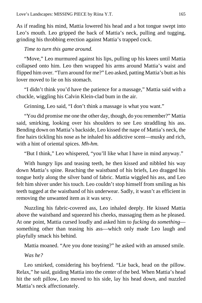As if reading his mind, Mattia lowered his head and a hot tongue swept into Leo's mouth. Leo gripped the back of Mattia's neck, pulling and tugging, grinding his throbbing erection against Mattia's trapped cock.

# *Time to turn this game around.*

"Move," Leo murmured against his lips, pulling up his knees until Mattia collapsed onto him. Leo then wrapped his arms around Mattia's waist and flipped him over. "Turn around for me?" Leo asked, patting Mattia's butt as his lover moved to lie on his stomach.

"I didn't think you'd have the patience for a massage," Mattia said with a chuckle, wiggling his Calvin Klein-clad bum in the air.

Grinning, Leo said, "I don't think a massage is what you want."

"You did promise me one the other day, though, do you remember?" Mattia said, smirking, looking over his shoulders to see Leo straddling his ass. Bending down on Mattia's backside, Leo kissed the nape of Mattia's neck, the fine hairs tickling his nose as he inhaled his addictive scent—musky and rich, with a hint of oriental spices. *Mh-hm.*

"But I think," Leo whispered, "you'll like what I have in mind anyway."

With hungry lips and teasing teeth, he then kissed and nibbled his way down Mattia's spine. Reaching the waistband of his briefs, Leo dragged his tongue hotly along the silver band of fabric. Mattia wiggled his ass, and Leo felt him shiver under his touch. Leo couldn't stop himself from smiling as his teeth tugged at the waistband of his underwear. Sadly, it wasn't as efficient in removing the unwanted item as it was sexy.

Nuzzling his fabric-covered ass, Leo inhaled deeply. He kissed Mattia above the waistband and squeezed his cheeks, massaging them as he pleased. At one point, Mattia cursed loudly and asked him to *fucking* do *something* something other than teasing his ass—which only made Leo laugh and playfully smack his behind.

Mattia moaned. "Are you done teasing?" he asked with an amused smile. *Was he?*

Leo smirked, considering his boyfriend. "Lie back, head on the pillow. Relax," he said, guiding Mattia into the center of the bed. When Mattia's head hit the soft pillow, Leo moved to his side, lay his head down, and nuzzled Mattia's neck affectionately.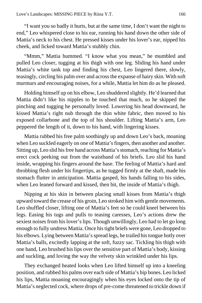"I want you so badly it hurts, but at the same time, I don't want the night to end," Leo whispered close to his ear, running his hand down the other side of Mattia's neck to his chest. He pressed kisses under his lover's ear, nipped his cheek, and licked toward Mattia's stubbly chin.

"Mmm," Mattia hummed. "I know what you mean," he mumbled and pulled Leo closer, tugging at his thigh with one leg. Sliding his hand under Mattia's white tank top and finding his chest, Leo lingered there, slowly, teasingly, circling his palm over and across the expanse of hairy skin. With soft murmurs and encouraging noises, for a while, Mattia let him do as he pleased.

Holding himself up on his elbow, Leo shuddered slightly. He'd learned that Mattia didn't like his nipples to be touched that much, so he skipped the pinching and tugging he personally loved. Lowering his head downward, he kissed Mattia's right nub through the thin white fabric, then moved to his exposed collarbone and the top of his shoulder. Lifting Mattia's arm, Leo peppered the length of it, down to his hand, with lingering kisses.

Mattia rubbed his free palm soothingly up and down Leo's back, moaning when Leo suckled eagerly on one of Mattia's fingers, then another and another. Sitting up, Leo slid his free hand across Mattia's stomach, reaching for Mattia's erect cock peeking out from the waistband of his briefs. Leo slid his hand inside, wrapping his fingers around the base. The feeling of Mattia's hard and throbbing flesh under his fingertips, as he tugged firmly at the shaft, made his stomach flutter in anticipation. Mattia gasped, his hands falling to his sides, when Leo leaned forward and kissed, then bit, the inside of Mattia's thigh.

Nipping at his skin in between placing small kisses from Mattia's thigh upward toward the crease of his groin, Leo stroked him with gentle movements. Leo shuffled closer, lifting one of Mattia's feet so he could kneel between his legs. Easing his tugs and pulls to teasing caresses, Leo's actions drew the sexiest noises from his lover's lips. Though unwillingly, Leo had to let go long enough to fully undress Mattia. Once his tight briefs were gone, Leo dropped to his elbows. Lying between Mattia's spread legs, he trailed his tongue hotly over Mattia's balls, excitedly lapping at the soft, fuzzy sac. Tickling his thigh with one hand, Leo brushed his lips over the sensitive part of Mattia's body, kissing and suckling, and loving the way the velvety skin wrinkled under his lips.

They exchanged heated looks when Leo lifted himself up into a kneeling position, and rubbed his palms over each side of Mattia's hip bones. Leo licked his lips, Mattia moaning encouragingly when his eyes locked onto the tip of Mattia's neglected cock, where drops of pre-come threatened to trickle down if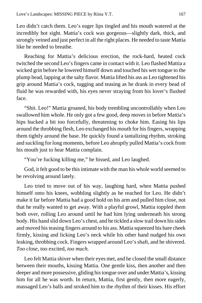Leo didn't catch them. Leo's eager lips tingled and his mouth watered at the incredibly hot sight. Mattia's cock was gorgeous—slightly dark, thick, and strongly veined and just perfect in all the right places. He needed to taste Mattia like he needed to breathe.

Reaching for Mattia's delicious erection, the rock-hard, heated cock twitched the second Leo's fingers came in contact with it. Leo flashed Mattia a wicked grin before he lowered himself down and touched his wet tongue to the plump head, lapping at the salty flavor. Mattia lifted his ass as Leo tightened his grip around Mattia's cock, tugging and teasing as he drank in every bead of fluid he was rewarded with, his eyes never straying from his lover's flushed face.

"Shit. Leo!" Mattia groaned, his body trembling uncontrollably when Leo swallowed him whole. He only got a few good, deep moves in before Mattia's hips bucked a bit too forcefully, threatening to choke him. Easing his lips around the throbbing flesh, Leo exchanged his mouth for his fingers, wrapping them tightly around the base. He quickly found a tantalizing rhythm, stroking and suckling for long moments, before Leo abruptly pulled Mattia's cock from his mouth just to hear Mattia complain.

"You're fucking killing me," he hissed, and Leo laughed.

God, it felt good to be this intimate with the man his whole world seemed to be revolving around lately.

Leo tried to move out of his way, laughing hard, when Mattia pushed himself onto his knees, wobbling slightly as he reached for Leo. He didn't make it far before Mattia had a good hold on his arm and pulled him close, not that he really wanted to get away. With a playful growl, Mattia toppled them both over, rolling Leo around until he had him lying underneath his strong body. His hand slid down Leo's chest, and he tickled a slow trail down his sides and moved his teasing fingers around to his ass. Mattia squeezed his bare cheek firmly, kissing and licking Leo's neck while his other hand nudged his own leaking, throbbing cock. Fingers wrapped around Leo's shaft, and he shivered. *Too close,* too excited, *too much.*

Leo felt Mattia shiver when their eyes met, and he closed the small distance between their mouths, kissing Mattia. One gentle kiss, then another and then deeper and more possessive, gliding his tongue over and under Mattia's, kissing him for all he was worth. In return, Mattia, first gently, then more eagerly, massaged Leo's balls and stroked him to the rhythm of their kisses. His effort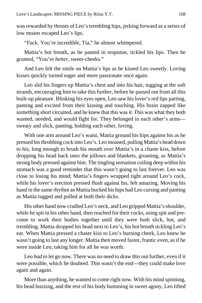was rewarded by thrusts of Leo's trembling hips, jerking forward as a series of low moans escaped Leo's lips.

"Fuck. You're incredible, Tia," he almost whimpered.

Mattia's hot breath, as he panted in response, tickled his lips. Then he grunted, "You're *better,* sweet-cheeks."

And Leo felt the smile on Mattia's lips as he kissed Leo sweetly. Loving kisses quickly turned eager and more passionate once again.

Leo slid his fingers up Mattia's chest and into his hair, tugging at the soft strands, encouraging him to take this further, before he passed out from all this built-up pleasure. Blinking his eyes open, Leo saw his lover's red lips parting, panting and excited from their kissing and touching. His brain zapped like something short circuited, and he knew that this was *it*. This was what they both wanted, needed, and would fight for. They belonged in each other's arms sweaty and slick, panting, holding each other, loving.

With one arm around Leo's waist, Mattia ground his hips against his as he pressed his throbbing cock into Leo's. Leo moaned, pulling Mattia's head down to his, long enough to brush his mouth over Mattia's in a chaste kiss, before dropping his head back onto the pillows and blankets, groaning, as Mattia's strong body pressed against him. The tingling sensation coiling deep within his stomach was a good reminder that this wasn't going to last forever. Leo was close to losing his mind; Mattia's fingers wrapped tight around Leo's cock, while his lover's erection pressed flush against his, felt amazing. Moving his hand in the same rhythm as Mattia bucked his hips had Leo cursing and panting as Mattia tugged and pulled at both their dicks.

His other hand now cradled Leo's neck, and Leo gripped Mattia's shoulder, while he spit in his other hand, then reached for their cocks, using spit and precome to work their bodies together until they were both slick, hot, and trembling. Mattia dropped his head next to Leo's, his hot breath tickling Leo's ear. When Mattia pressed a chaste kiss to Leo's burning cheek, Leo knew he wasn't going to last any longer. Mattia then moved faster, frantic even, as if he were inside Leo, taking him for all he was worth.

Leo *had to* let go now. There was no need to draw this out further, even if it were possible, which he doubted. This wasn't the end—they could make love again and again.

More than anything, he wanted to come right now. With his mind spinning, his head buzzing, and the rest of his body humming in sweet agony, Leo lifted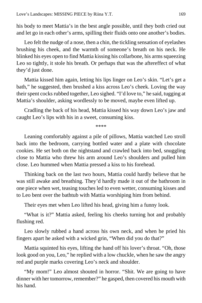his body to meet Mattia's in the best angle possible, until they both cried out and let go in each other's arms, spilling their fluids onto one another's bodies.

Leo felt the nudge of a nose, then a chin, the tickling sensation of eyelashes brushing his cheek, and the warmth of someone's breath on his neck. He blinked his eyes open to find Mattia kissing his collarbone, his arms squeezing Leo so tightly, it stole his breath. Or perhaps that was the aftereffect of what they'd just done.

Mattia kissed him again, letting his lips linger on Leo's skin. "Let's get a bath," he suggested, then brushed a kiss across Leo's cheek. Loving the way their spent cocks rubbed together, Leo sighed. "I'd love to," he said, tugging at Mattia's shoulder, asking wordlessly to be moved, maybe even lifted up.

Cradling the back of his head, Mattia kissed his way down Leo's jaw and caught Leo's lips with his in a sweet, consuming kiss.

\*\*\*\*

Leaning comfortably against a pile of pillows, Mattia watched Leo stroll back into the bedroom, carrying bottled water and a plate with chocolate cookies. He set both on the nightstand and crawled back into bed, snuggling close to Mattia who threw his arm around Leo's shoulders and pulled him close. Leo hummed when Mattia pressed a kiss to his forehead.

Thinking back on the last two hours, Mattia could hardly believe that he was still awake and breathing. They'd hardly made it out of the bathroom in one piece when wet, teasing touches led to even wetter, consuming kisses and to Leo bent over the bathtub with Mattia worshiping him from behind.

Their eyes met when Leo lifted his head, giving him a funny look.

"What is it?" Mattia asked, feeling his cheeks turning hot and probably flushing red.

Leo slowly rubbed a hand across his own neck, and when he pried his fingers apart he asked with a wicked grin, "When did you do that?"

Mattia squinted his eyes, lifting the hand off his lover's throat. "Oh, those look good on you, Leo," he replied with a low chuckle, when he saw the angry red and purple marks covering Leo's neck and shoulder.

"My mom!" Leo almost shouted in horror. "Shit. We are going to have dinner with her tomorrow, remember?" he gasped, then covered his mouth with his hand.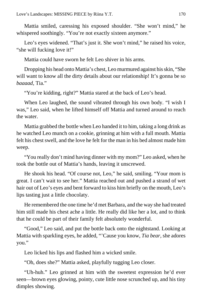Mattia smiled, caressing his exposed shoulder. "She won't mind," he whispered soothingly. "You're not exactly sixteen anymore."

Leo's eyes widened. "That's just it. She won't mind," he raised his voice, "she will fucking love it!"

Mattia could have sworn he felt Leo shiver in his arms.

Dropping his head onto Mattia's chest, Leo murmured against his skin, "She will want to know all the dirty details about our relationship! It's gonna be so *baaaad,* Tia."

"You're kidding, right?" Mattia stared at the back of Leo's head.

When Leo laughed, the sound vibrated through his own body. "I wish I was," Leo said, when he lifted himself off Mattia and turned around to reach the water.

Mattia grabbed the bottle when Leo handed it to him, taking a long drink as he watched Leo munch on a cookie, grinning at him with a full mouth. Mattia felt his chest swell, and the love he felt for the man in his bed almost made him weep.

"You really don't mind having dinner with my mom?" Leo asked, when he took the bottle out of Mattia's hands, leaving it unscrewed.

He shook his head. "Of course not, Leo," he said, smiling. "Your mom is great. I can't wait to see her." Mattia reached out and pushed a strand of wet hair out of Leo's eyes and bent forward to kiss him briefly on the mouth, Leo's lips tasting just a little chocolaty.

He remembered the one time he'd met Barbara, and the way she had treated him still made his chest ache a little. He really did like her a lot, and to think that he could be part of their family felt absolutely wonderful.

"Good," Leo said, and put the bottle back onto the nightstand. Looking at Mattia with sparkling eyes, he added, "'Cause you know, *Tia bear,* she adores you."

Leo licked his lips and flashed him a wicked smile.

"Oh, does she?" Mattia asked, playfully tugging Leo closer.

"Uh-huh." Leo grinned at him with the sweetest expression he'd ever seen—brown eyes glowing, pointy, cute little nose scrunched up, and his tiny dimples showing.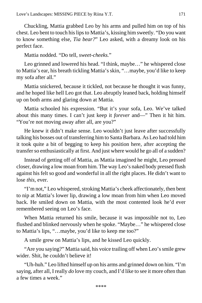Chuckling, Mattia grabbed Leo by his arms and pulled him on top of his chest. Leo bent to touch his lips to Mattia's, kissing him sweetly. "Do you want to know something else, *Tia bear?*" Leo asked, with a dreamy look on his perfect face.

Mattia nodded. "Do tell, *sweet-cheeks.*"

Leo grinned and lowered his head. "I think, maybe…" he whispered close to Mattia's ear, his breath tickling Mattia's skin, "…maybe, you'd like to keep my sofa after all."

Mattia snickered, because it tickled, not because he thought it was funny, and he hoped like hell Leo got that. Leo abruptly leaned back, holding himself up on both arms and glaring down at Mattia.

Mattia schooled his expression. "But it's your sofa, Leo. We've talked about this many times. I can't just keep it *forever* and—" Then it hit him. "You're not moving away after all, are you?"

He knew it didn't make sense. Leo wouldn't just leave after successfully talking his bosses out of transferring him to Santa Barbara. As Leo had told him it took quite a bit of begging to keep his position here, after accepting the transfer so enthusiastically at first. And just where would he go all of a sudden?

Instead of getting off of Mattia, as Mattia imagined he might, Leo pressed closer, drawing a low moan from him. The way Leo's naked body pressed flush against his felt so good and wonderful in all the right places. He didn't want to lose *this*, ever.

"I'm not," Leo whispered, stroking Mattia's cheek affectionately, then bent to nip at Mattia's lower lip, drawing a low moan from him when Leo moved back. He smiled down on Mattia, with the most contented look he'd ever remembered seeing on Leo's face.

When Mattia returned his smile, because it was impossible not to, Leo flushed and blinked nervously when he spoke. "Maybe…" he whispered close to Mattia's lips, "…maybe, you'd like to keep me too?"

A smile grew on Mattia's lips, and he kissed Leo quickly.

"Are you saying?" Mattia said, his voice trailing off when Leo's smile grew wider. Shit, he couldn't believe it!

"Uh-huh." Leo lifted himself up on his arms and grinned down on him. "I'm saying, after all, I really *do* love my couch, and I'd like to see it more often than a few times a week."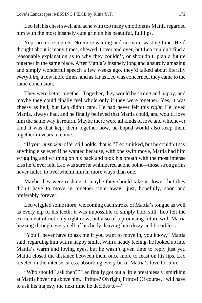Leo felt his chest swell and ache with too many emotions as Mattia regarded him with the most insanely cute grin on his beautiful, full lips.

Yep, no more regrets. No more waiting and no more wasting time. He'd thought about it many times, chewed it over and over, but Leo couldn't find a reasonable explanation as to why they couldn't, or shouldn't, plan a future together in the same place. After Mattia's insanely long and absurdly amazing and simply wonderful speech a few weeks ago, they'd talked about literally *everything* a few more times, and as far as Leo was concerned, they came to the same conclusion.

They were better together. Together, they would be strong and happy, and maybe they could finally feel whole only if they were together. Yes, it was cheesy as hell, but Leo didn't care. He had never felt this *right.* He loved Mattia, always had, and he finally believed that Mattia could, and would, love him the same way in return. Maybe there were all kinds of love and whichever kind it was that kept them together now, he hoped would also keep them together in years to come.

"If your *unspoken* offer still holds, that is," Leo smirked, but he couldn't say anything else even if he wanted because, with one swift move, Mattia had him wriggling and writhing on his back and took his breath with the most intense kiss he'd ever felt. Leo was sure he whimpered at one point—those strong arms never failed to overwhelm him in more ways than one.

Maybe they were rushing it, maybe they should take it slower, but they didn't have to move in together right away—just, hopefully, soon and preferably forever.

Leo wiggled some more, welcoming each stroke of Mattia's tongue as well as every nip of his teeth; it was impossible to simply hold still. Leo felt the excitement of not only right now, but also of a promising future with Mattia buzzing through every cell of his body, leaving him dizzy and breathless.

"You'll never have to ask me if you want to move in, you know," Mattia said, regarding him with a happy smile. With a heady feeling, he looked up into Mattia's warm and loving eyes, but he wasn't given time to reply just yet. Mattia closed the distance between them once more to feast on his lips. Leo reveled in the intense caress, absorbing every bit of Mattia's love for him.

"Who should I ask then?" Leo finally got out a little breathlessly, smirking at Mattia hovering above him. "Prince? Oh right, Prince! Of course, I will have to ask his majesty the next time he decides to—"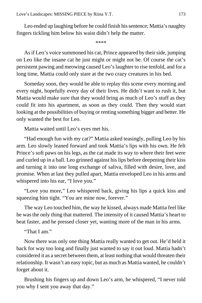Leo ended up laughing before he could finish his sentence; Mattia's naughty fingers tickling him below his waist didn't help the matter.

\*\*\*\*

As if Leo's voice summoned his cat, Prince appeared by their side, jumping on Leo like the insane cat he just might or might not be. Of course the cat's persistent pawing and meowing caused Leo's laughter to rise tenfold, and for a long time, Mattia could only stare at the two crazy creatures in his bed.

Someday soon, they would be able to replay this scene every morning and every night, hopefully every day of their lives. He didn't want to rush it, but Mattia would make sure that they would bring as much of Leo's stuff as they could fit into his apartment, as soon as they could. Then they would start looking at the possibilities of buying or renting something bigger and better. He only wanted the best for Leo.

Mattia waited until Leo's eyes met his.

"Had enough fun with my cat?" Mattia asked teasingly, pulling Leo by his arm. Leo slowly leaned forward and took Mattia's lips with his own. He felt Prince's soft paws on his legs, as the cat made its way to where their feet were and curled up in a ball. Leo grinned against his lips before deepening their kiss and turning it into one long exchange of saliva, filled with desire, love, and promise. When at last they pulled apart, Mattia enveloped Leo in his arms and whispered into his ear, "I love you."

"Love you more," Leo whispered back, giving his lips a quick kiss and squeezing him tight. "You are mine now, forever."

The way Leo touched him, the way he kissed, always made Mattia feel like he was the only thing that mattered. The intensity of it caused Mattia's heart to beat faster, and he pressed closer yet, wanting more of the man in his arms.

"That I am."

Now there was only one thing Mattia really wanted to get out. He'd held it back for way too long and finally just wanted to say it out loud. Mattia hadn't considered it as a secret between them, at least nothing that would threaten their relationship. It wasn't an easy topic, but as much as Mattia wanted, he couldn't forget about it.

Brushing his fingers up and down Leo's arm, he whispered, "I never told you why I sent you away that day."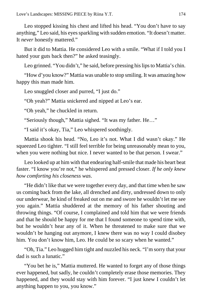Leo stopped kissing his chest and lifted his head. "You don't have to say anything," Leo said, his eyes sparkling with sudden emotion. "It doesn't matter. It *never* honestly mattered."

But it did to Mattia. He considered Leo with a smile. "What if I told you I hated your guts back then?" he asked teasingly.

Leo grinned. "You didn't," he said, before pressing his lips to Mattia's chin.

"How d'you know?" Mattia was unable to stop smiling. It was amazing how happy this man made him.

Leo snuggled closer and purred, "I just do."

"Oh yeah?" Mattia snickered and nipped at Leo's ear.

"Oh yeah," he chuckled in return.

"Seriously though," Mattia sighed. "It was my father. He…"

"I said it's okay, Tia," Leo whispered soothingly.

Mattia shook his head. "No, Leo it's not. What I did wasn't okay." He squeezed Leo tighter. "I still feel terrible for being unreasonably mean to you, when you were nothing but nice. I never wanted to be that person. I swear."

Leo looked up at him with that endearing half-smile that made his heart beat faster. "I know you're not," he whispered and pressed closer. *If he only knew how comforting his closeness was*.

"He didn't like that we were together every day, and that time when he saw us coming back from the lake, all drenched and dirty, undressed down to only our underwear, he kind of freaked out on me and swore he wouldn't let me see you again." Mattia shuddered at the memory of his father shouting and throwing things. "Of course, I complained and told him that we were friends and that he should be happy for me that I found someone to spend time with, but he wouldn't hear any of it. When he threatened to make sure that we wouldn't be hanging out anymore, I knew there was no way I could disobey him. You don't know him, Leo. He could be so scary when he wanted."

"Oh, Tia." Leo hugged him tight and nuzzled his neck. "I'm sorry that your dad is such a lunatic."

"You bet he is," Mattia muttered. He wanted to forget any of those things ever happened, but sadly, he couldn't completely erase those memories. They happened, and they would stay with him forever. "I just knew I couldn't let anything happen to you, you know."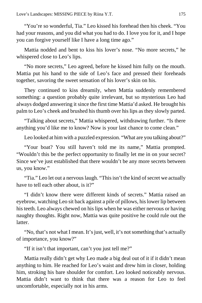"You're so wonderful, Tia." Leo kissed his forehead then his cheek. "You had your reasons, and you did what you had to do. I love you for it, and I hope you can forgive yourself like I have a long time ago."

Mattia nodded and bent to kiss his lover's nose. "No more secrets," he whispered close to Leo's lips.

"No more secrets," Leo agreed, before he kissed him fully on the mouth. Mattia put his hand to the side of Leo's face and pressed their foreheads together, savoring the sweet sensation of his lover's skin on his.

They continued to kiss dreamily, when Mattia suddenly remembered something: a question probably quite irrelevant, but so mysterious Leo had always dodged answering it since the first time Mattia'd asked. He brought his palm to Leo's cheek and brushed his thumb over his lips as they slowly parted.

"Talking about secrets," Mattia whispered, withdrawing further. "Is there anything you'd like me to know? Now is your last chance to come clean."

Leo looked at him with a puzzled expression. "What are you talking about?"

"Your boat? You still haven't told me its name," Mattia prompted. "Wouldn't this be the perfect opportunity to finally let me in on your secret? Since we've just established that there wouldn't be any more secrets between us, you know."

"Tia." Leo let out a nervous laugh. "This isn't the kind of secret we actually have to tell each other about, is it?"

"I didn't know there were different kinds of secrets." Mattia raised an eyebrow, watching Leo sit back against a pile of pillows, his lower lip between his teeth. Leo always chewed on his lips when he was either nervous or having naughty thoughts. Right now, Mattia was quite positive he could rule out the latter.

"No, that's not what I mean. It's just, well, it's not something that's actually of importance, you know?"

"If it isn't that important, can't you just tell me?"

Mattia really didn't get why Leo made a big deal out of it if it didn't mean anything to him. He reached for Leo's waist and drew him in closer, holding him, stroking his bare shoulder for comfort. Leo looked noticeably nervous. Mattia didn't want to think that there was a reason for Leo to feel uncomfortable, especially not in his arms.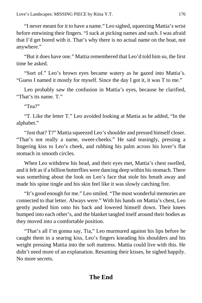"I never meant for it to have a name." Leo sighed, squeezing Mattia's wrist before entwining their fingers. "I suck at picking names and such. I was afraid that I'd get bored with it. That's why there is no actual name on the boat, not anywhere."

"But it does have one." Mattia remembered that Leo'd told him so, the first time he asked.

"Sort of." Leo's brown eyes became watery as he gazed into Mattia's. "Guess I named it mostly for myself. Since the day I got it, it was T to me."

Leo probably saw the confusion in Mattia's eyes, because he clarified, "That's its name. T."

"Tea?"

"T. Like the letter T." Leo avoided looking at Mattia as he added, "In the alphabet."

"Just that? T?" Mattia squeezed Leo's shoulder and pressed himself closer. "That's not really a name, sweet-cheeks." He said teasingly, pressing a lingering kiss to Leo's cheek, and rubbing his palm across his lover's flat stomach in smooth circles.

When Leo withdrew his head, and their eyes met, Mattia's chest swelled, and it felt as if a billion butterflies were dancing deep within his stomach. There was something about the look on Leo's face that stole his breath away and made his spine tingle and his skin feel like it was slowly catching fire.

"It's good enough for me." Leo smiled. "The most wonderful memories are connected to that letter. Always were." With his hands on Mattia's chest, Leo gently pushed him onto his back and lowered himself down. Their knees bumped into each other's, and the blanket tangled itself around their bodies as they moved into a comfortable position.

"That's all I'm gonna say, Tia," Leo murmured against his lips before he caught them in a searing kiss, Leo's fingers kneading his shoulders and his weight pressing Mattia into the soft mattress. Mattia could live with this. He didn't need more of an explanation. Resuming their kisses, he sighed happily. No more secrets.

# **The End**